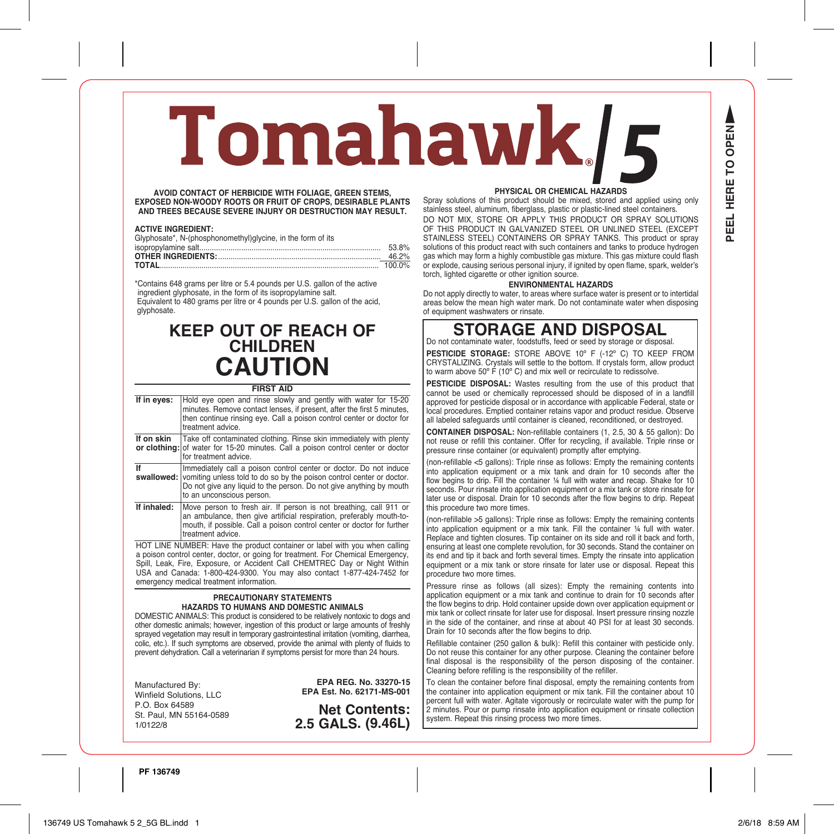# **Tomahawk/**

### **AVOID CONTACT OF HERBICIDE WITH FOLIAGE, GREEN STEMS, EXPOSED NON-WOODY ROOTS OR FRUIT OF CROPS, DESIRABLE PLANTS AND TREES BECAUSE SEVERE INJURY OR DESTRUCTION MAY RESULT.**

### **ACTIVE INGREDIENT:**

Glyphosate\*, N-(phosphonomethyl)glycine, in the form of its

|              | 53.8%  |
|--------------|--------|
|              | 46.2%  |
| <b>TOTAL</b> | 100.0% |

\*Contains 648 grams per litre or 5.4 pounds per U.S. gallon of the active ingredient glyphosate, in the form of its isopropylamine salt. Equivalent to 480 grams per litre or 4 pounds per U.S. gallon of the acid, glyphosate.

# **KEEP OUT OF REACH OF CHILDREN CAUTION**

### **FIRST AID**

| If in eyes: | Hold eye open and rinse slowly and gently with water for 15-20<br>minutes. Remove contact lenses, if present, after the first 5 minutes,<br>then continue rinsing eye. Call a poison control center or doctor for<br>treatment advice.                    |
|-------------|-----------------------------------------------------------------------------------------------------------------------------------------------------------------------------------------------------------------------------------------------------------|
| If on skin  | Take off contaminated clothing. Rinse skin immediately with plenty<br>or clothing: of water for 15-20 minutes. Call a poison control center or doctor<br>for treatment advice.                                                                            |
| If          | Immediately call a poison control center or doctor. Do not induce<br>swallowed: vomiting unless told to do so by the poison control center or doctor.<br>Do not give any liquid to the person. Do not give anything by mouth<br>to an unconscious person. |
| If inhaled: | Move person to fresh air. If person is not breathing, call 911 or<br>an ambulance, then give artificial respiration, preferably mouth-to-<br>mouth, if possible. Call a poison control center or doctor for further<br>treatment advice.                  |
|             | HOT LINE NUMBER: Have the product container or label with you when calling                                                                                                                                                                                |

HOT LINE NUMBER: Have the product container or label with you when calling<br>a poison control center, doctor, or going for treatment. For Chemical Emergency, Spill, Leak, Fire, Exposure, or Accident Call CHEMTREC Day or Night Within USA and Canada: 1-800-424-9300. You may also contact 1-877-424-7452 for emergency medical treatment information.

### **PRECAUTIONARY STATEMENTS HAZARDS TO HUMANS AND DOMESTIC ANIMALS**

DOMESTIC ANIMALS: This product is considered to be relatively nontoxic to dogs and other domestic animals; however, ingestion of this product or large amounts of freshly sprayed vegetation may result in temporary gastrointestinal irritation (vomiting, diarrhea, colic, etc.). If such symptoms are observed, provide the animal with plenty of fluids to prevent dehydration. Call a veterinarian if symptoms persist for more than 24 hours.

Manufactured By: Winfield Solutions, LLC P.O. Box 64589 St. Paul, MN 55164-0589 1/0122/8

**EPA REG. No. 33270-15 EPA Est. No. 62171-MS-001**

**Net Contents: 2.5 GALS. (9.46L)**

### **PHYSICAL OR CHEMICAL HAZARDS**

Spray solutions of this product should be mixed, stored and applied using only stainless steel, aluminum, fiberglass, plastic or plastic-lined steel containers.

DO NOT MIX, STORE OR APPLY THIS PRODUCT OR SPRAY SOLUTIONS OF THIS PRODUCT IN GALVANIZED STEEL OR UNLINED STEEL (EXCEPT STAINLESS STEEL) CONTAINERS OR SPRAY TANKS. This product or spray solutions of this product react with such containers and tanks to produce hydrogen gas which may form a highly combustible gas mixture. This gas mixture could flash or explode, causing serious personal injury, if ignited by open flame, spark, welder's torch, lighted cigarette or other ignition source.

### **ENVIRONMENTAL HAZARDS**

Do not apply directly to water, to areas where surface water is present or to intertidal areas below the mean high water mark. Do not contaminate water when disposing of equipment washwaters or rinsate.

# **STORAGE AND DISPOSAL**

Do not contaminate water, foodstuffs, feed or seed by storage or disposal.

**PESTICIDE STORAGE:** STORE ABOVE 10º F (-12º C) TO KEEP FROM CRYSTALIZING. Crystals will settle to the bottom. If crystals form, allow product to warm above 50º F (10º C) and mix well or recirculate to redissolve.

**PESTICIDE DISPOSAL:** Wastes resulting from the use of this product that cannot be used or chemically reprocessed should be disposed of in a landfill approved for pesticide disposal or in accordance with applicable Federal, state or local procedures. Emptied container retains vapor and product residue. Observe all labeled safeguards until container is cleaned, reconditioned, or destroyed.

**CONTAINER DISPOSAL:** Non-refillable containers (1, 2.5, 30 & 55 gallon): Do not reuse or refill this container. Offer for recycling, if available. Triple rinse or pressure rinse container (or equivalent) promptly after emptying.

(non-refillable <5 gallons): Triple rinse as follows: Empty the remaining contents into application equipment or a mix tank and drain for 10 seconds after the flow begins to drip. Fill the container ¼ full with water and recap. Shake for 10 seconds. Pour rinsate into application equipment or a mix tank or store rinsate for later use or disposal. Drain for 10 seconds after the flow begins to drip. Repeat this procedure two more times.

(non-refillable >5 gallons): Triple rinse as follows: Empty the remaining contents into application equipment or a mix tank. Fill the container 1/4 full with water. Replace and tighten closures. Tip container on its side and roll it back and forth, ensuring at least one complete revolution, for 30 seconds. Stand the container on its end and tip it back and forth several times. Empty the rinsate into application equipment or a mix tank or store rinsate for later use or disposal. Repeat this procedure two more times.

Pressure rinse as follows (all sizes): Empty the remaining contents into application equipment or a mix tank and continue to drain for 10 seconds after the flow begins to drip. Hold container upside down over application equipment or mix tank or collect rinsate for later use for disposal. Insert pressure rinsing nozzle in the side of the container, and rinse at about 40 PSI for at least 30 seconds. Drain for 10 seconds after the flow begins to drip.

Refillable container (250 gallon & bulk): Refill this container with pesticide only. Do not reuse this container for any other purpose. Cleaning the container before final disposal is the responsibility of the person disposing of the container. Cleaning before refilling is the responsibility of the refiller.

To clean the container before final disposal, empty the remaining contents from the container into application equipment or mix tank. Fill the container about 10 percent full with water. Agitate vigorously or recirculate water with the pump for 2 minutes. Pour or pump rinsate into application equipment or rinsate collection system. Repeat this rinsing process two more times.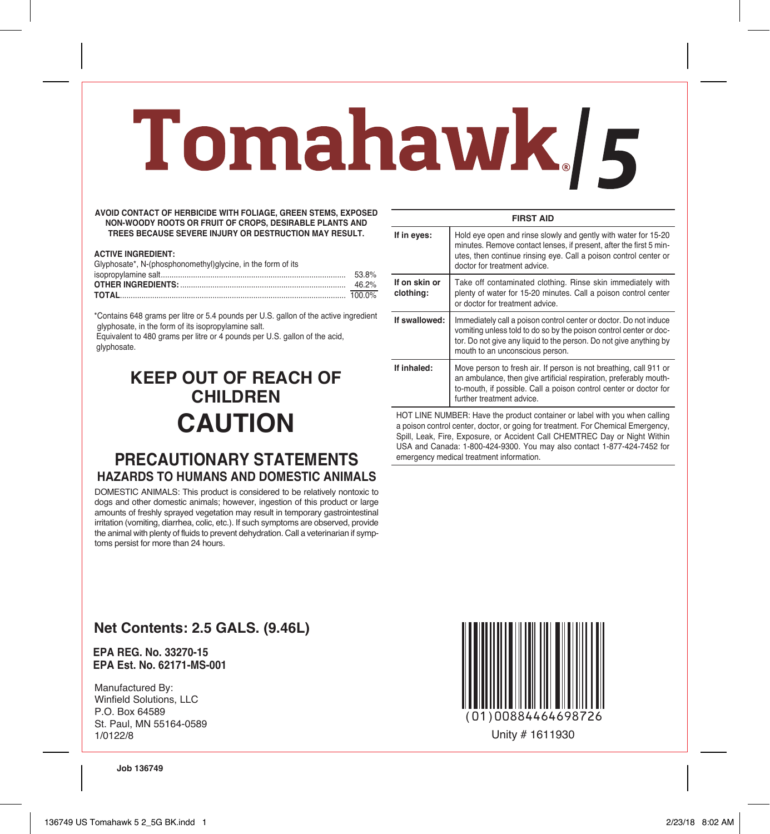# Tomahawk/5

### **AVOID CONTACT OF HERBICIDE WITH FOLIAGE, GREEN STEMS, EXPOSED NON-WOODY ROOTS OR FRUIT OF CROPS, DESIRABLE PLANTS AND TREES BECAUSE SEVERE INJURY OR DESTRUCTION MAY RESULT.**

### **ACTIVE INGREDIENT:**

| Glyphosate*, N-(phosphonomethyl) glycine, in the form of its |        |
|--------------------------------------------------------------|--------|
|                                                              | 53.8%  |
|                                                              | 46.2%  |
|                                                              | 100.0% |

\*Contains 648 grams per litre or 5.4 pounds per U.S. gallon of the active ingredient glyphosate, in the form of its isopropylamine salt.

Equivalent to 480 grams per litre or 4 pounds per U.S. gallon of the acid, glyphosate.

# **KEEP OUT OF REACH OF CHILDREN CAUTION**

# **PRECAUTIONARY STATEMENTS HAZARDS TO HUMANS AND DOMESTIC ANIMALS**

DOMESTIC ANIMALS: This product is considered to be relatively nontoxic to dogs and other domestic animals; however, ingestion of this product or large amounts of freshly sprayed vegetation may result in temporary gastrointestinal irritation (vomiting, diarrhea, colic, etc.). If such symptoms are observed, provide the animal with plenty of fluids to prevent dehydration. Call a veterinarian if symptoms persist for more than 24 hours.

| <b>FIRST AID</b>           |                                                                                                                                                                                                                                                  |  |
|----------------------------|--------------------------------------------------------------------------------------------------------------------------------------------------------------------------------------------------------------------------------------------------|--|
| If in eyes:                | Hold eye open and rinse slowly and gently with water for 15-20<br>minutes. Remove contact lenses, if present, after the first 5 min-<br>utes, then continue rinsing eye. Call a poison control center or<br>doctor for treatment advice.         |  |
| If on skin or<br>clothing: | Take off contaminated clothing. Rinse skin immediately with<br>plenty of water for 15-20 minutes. Call a poison control center<br>or doctor for treatment advice.                                                                                |  |
| If swallowed:              | Immediately call a poison control center or doctor. Do not induce<br>vomiting unless told to do so by the poison control center or doc-<br>tor. Do not give any liquid to the person. Do not give anything by<br>mouth to an unconscious person. |  |
| If inhaled:                | Move person to fresh air. If person is not breathing, call 911 or<br>an ambulance, then give artificial respiration, preferably mouth-<br>to-mouth, if possible. Call a poison control center or doctor for<br>further treatment advice.         |  |

HOT LINE NUMBER: Have the product container or label with you when calling a poison control center, doctor, or going for treatment. For Chemical Emergency, Spill, Leak, Fire, Exposure, or Accident Call CHEMTREC Day or Night Within USA and Canada: 1-800-424-9300. You may also contact 1-877-424-7452 for emergency medical treatment information.

**Net Contents: 2.5 GALS. (9.46L)**

## **EPA REG. No. 33270-15 EPA Est. No. 62171-MS-001**

Manufactured By: Winfield Solutions, LLC P.O. Box 64589 St. Paul, MN 55164-0589 1/0122/8

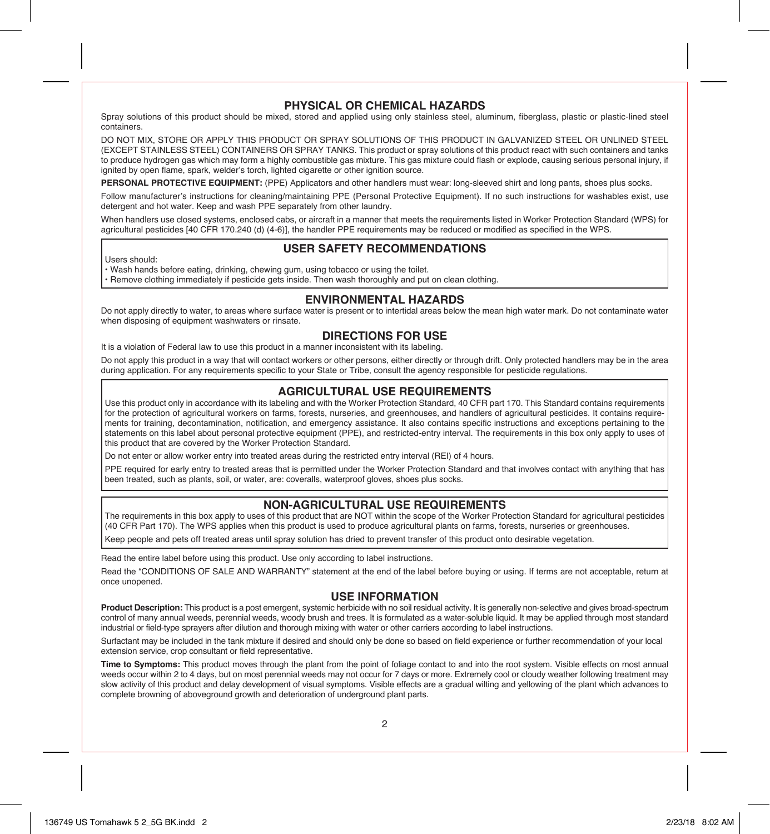## **PHYSICAL OR CHEMICAL HAZARDS**

Spray solutions of this product should be mixed, stored and applied using only stainless steel, aluminum, fiberglass, plastic or plastic-lined steel containers.

DO NOT MIX, STORE OR APPLY THIS PRODUCT OR SPRAY SOLUTIONS OF THIS PRODUCT IN GALVANIZED STEEL OR UNLINED STEEL (EXCEPT STAINLESS STEEL) CONTAINERS OR SPRAY TANKS. This product or spray solutions of this product react with such containers and tanks to produce hydrogen gas which may form a highly combustible gas mixture. This gas mixture could flash or explode, causing serious personal injury, if ignited by open flame, spark, welder's torch, lighted cigarette or other ignition source.

**PERSONAL PROTECTIVE EQUIPMENT:** (PPE) Applicators and other handlers must wear: long-sleeved shirt and long pants, shoes plus socks.

Follow manufacturer's instructions for cleaning/maintaining PPE (Personal Protective Equipment). If no such instructions for washables exist, use detergent and hot water. Keep and wash PPE separately from other laundry.

When handlers use closed systems, enclosed cabs, or aircraft in a manner that meets the requirements listed in Worker Protection Standard (WPS) for agricultural pesticides [40 CFR 170.240 (d) (4-6)], the handler PPE requirements may be reduced or modified as specified in the WPS.

## **USER SAFETY RECOMMENDATIONS**

Users should:

- Wash hands before eating, drinking, chewing gum, using tobacco or using the toilet.
- Remove clothing immediately if pesticide gets inside. Then wash thoroughly and put on clean clothing.

### **ENVIRONMENTAL HAZARDS**

Do not apply directly to water, to areas where surface water is present or to intertidal areas below the mean high water mark. Do not contaminate water when disposing of equipment washwaters or rinsate.

### **DIRECTIONS FOR USE**

It is a violation of Federal law to use this product in a manner inconsistent with its labeling.

Do not apply this product in a way that will contact workers or other persons, either directly or through drift. Only protected handlers may be in the area during application. For any requirements specific to your State or Tribe, consult the agency responsible for pesticide regulations.

### **AGRICULTURAL USE REQUIREMENTS**

Use this product only in accordance with its labeling and with the Worker Protection Standard, 40 CFR part 170. This Standard contains requirements for the protection of agricultural workers on farms, forests, nurseries, and greenhouses, and handlers of agricultural pesticides. It contains requirements for training, decontamination, notification, and emergency assistance. It also contains specific instructions and exceptions pertaining to the statements on this label about personal protective equipment (PPE), and restricted-entry interval. The requirements in this box only apply to uses of this product that are covered by the Worker Protection Standard.

Do not enter or allow worker entry into treated areas during the restricted entry interval (REI) of 4 hours.

PPE required for early entry to treated areas that is permitted under the Worker Protection Standard and that involves contact with anything that has been treated, such as plants, soil, or water, are: coveralls, waterproof gloves, shoes plus socks.

### **NON-AGRICULTURAL USE REQUIREMENTS**

The requirements in this box apply to uses of this product that are NOT within the scope of the Worker Protection Standard for agricultural pesticides (40 CFR Part 170). The WPS applies when this product is used to produce agricultural plants on farms, forests, nurseries or greenhouses.

Keep people and pets off treated areas until spray solution has dried to prevent transfer of this product onto desirable vegetation.

Read the entire label before using this product. Use only according to label instructions.

Read the "CONDITIONS OF SALE AND WARRANTY" statement at the end of the label before buying or using. If terms are not acceptable, return at once unopened.

### **USE INFORMATION**

**Product Description:** This product is a post emergent, systemic herbicide with no soil residual activity. It is generally non-selective and gives broad-spectrum control of many annual weeds, perennial weeds, woody brush and trees. It is formulated as a water-soluble liquid. It may be applied through most standard industrial or field-type sprayers after dilution and thorough mixing with water or other carriers according to label instructions.

Surfactant may be included in the tank mixture if desired and should only be done so based on field experience or further recommendation of your local extension service, crop consultant or field representative.

**Time to Symptoms:** This product moves through the plant from the point of foliage contact to and into the root system. Visible effects on most annual weeds occur within 2 to 4 days, but on most perennial weeds may not occur for 7 days or more. Extremely cool or cloudy weather following treatment may slow activity of this product and delay development of visual symptoms. Visible effects are a gradual wilting and yellowing of the plant which advances to complete browning of aboveground growth and deterioration of underground plant parts.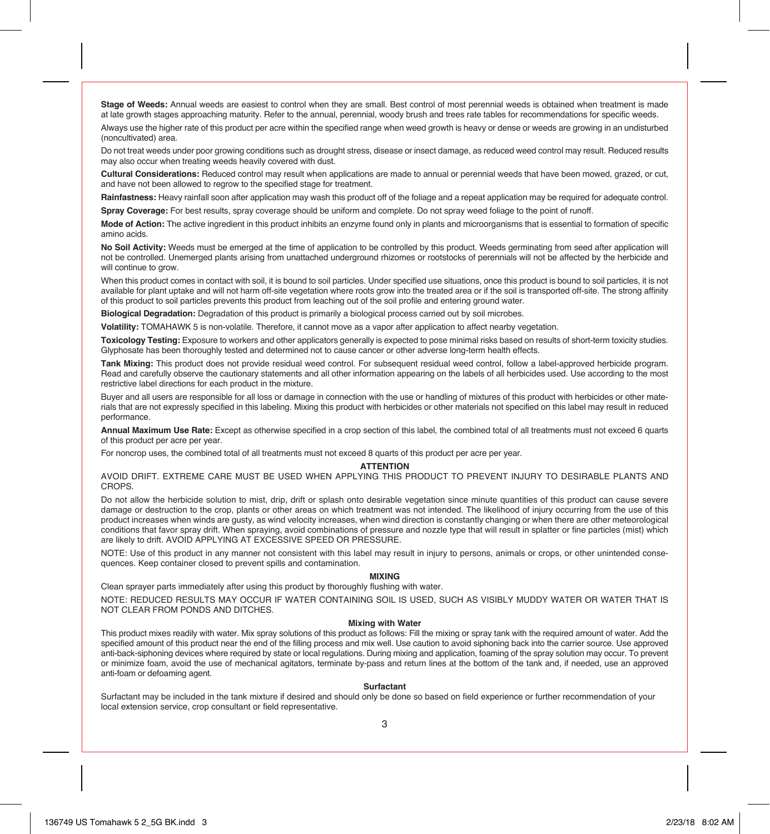**Stage of Weeds:** Annual weeds are easiest to control when they are small. Best control of most perennial weeds is obtained when treatment is made at late growth stages approaching maturity. Refer to the annual, perennial, woody brush and trees rate tables for recommendations for specific weeds.

Always use the higher rate of this product per acre within the specified range when weed growth is heavy or dense or weeds are growing in an undisturbed (noncultivated) area.

Do not treat weeds under poor growing conditions such as drought stress, disease or insect damage, as reduced weed control may result. Reduced results may also occur when treating weeds heavily covered with dust.

**Cultural Considerations:** Reduced control may result when applications are made to annual or perennial weeds that have been mowed, grazed, or cut, and have not been allowed to regrow to the specified stage for treatment.

Rainfastness: Heavy rainfall soon after application may wash this product off of the foliage and a repeat application may be required for adequate control.

**Spray Coverage:** For best results, spray coverage should be uniform and complete. Do not spray weed foliage to the point of runoff.

**Mode of Action:** The active ingredient in this product inhibits an enzyme found only in plants and microorganisms that is essential to formation of specific amino acids.

**No Soil Activity:** Weeds must be emerged at the time of application to be controlled by this product. Weeds germinating from seed after application will not be controlled. Unemerged plants arising from unattached underground rhizomes or rootstocks of perennials will not be affected by the herbicide and will continue to grow.

When this product comes in contact with soil, it is bound to soil particles. Under specified use situations, once this product is bound to soil particles, it is not available for plant uptake and will not harm off-site vegetation where roots grow into the treated area or if the soil is transported off-site. The strong affinity of this product to soil particles prevents this product from leaching out of the soil profile and entering ground water.

**Biological Degradation:** Degradation of this product is primarily a biological process carried out by soil microbes.

**Volatility:** TOMAHAWK 5 is non-volatile. Therefore, it cannot move as a vapor after application to affect nearby vegetation.

**Toxicology Testing:** Exposure to workers and other applicators generally is expected to pose minimal risks based on results of short-term toxicity studies. Glyphosate has been thoroughly tested and determined not to cause cancer or other adverse long-term health effects.

**Tank Mixing:** This product does not provide residual weed control. For subsequent residual weed control, follow a label-approved herbicide program. Read and carefully observe the cautionary statements and all other information appearing on the labels of all herbicides used. Use according to the most restrictive label directions for each product in the mixture.

Buyer and all users are responsible for all loss or damage in connection with the use or handling of mixtures of this product with herbicides or other materials that are not expressly specified in this labeling. Mixing this product with herbicides or other materials not specified on this label may result in reduced performance.

**Annual Maximum Use Rate:** Except as otherwise specified in a crop section of this label, the combined total of all treatments must not exceed 6 quarts of this product per acre per year.

For noncrop uses, the combined total of all treatments must not exceed 8 quarts of this product per acre per year.

### **ATTENTION**

AVOID DRIFT. EXTREME CARE MUST BE USED WHEN APPLYING THIS PRODUCT TO PREVENT INJURY TO DESIRABLE PLANTS AND CROPS.

Do not allow the herbicide solution to mist, drip, drift or splash onto desirable vegetation since minute quantities of this product can cause severe damage or destruction to the crop, plants or other areas on which treatment was not intended. The likelihood of injury occurring from the use of this product increases when winds are gusty, as wind velocity increases, when wind direction is constantly changing or when there are other meteorological conditions that favor spray drift. When spraying, avoid combinations of pressure and nozzle type that will result in splatter or fine particles (mist) which are likely to drift. AVOID APPLYING AT EXCESSIVE SPEED OR PRESSURE.

NOTE: Use of this product in any manner not consistent with this label may result in injury to persons, animals or crops, or other unintended consequences. Keep container closed to prevent spills and contamination.

### **MIXING**

Clean sprayer parts immediately after using this product by thoroughly flushing with water.

NOTE: REDUCED RESULTS MAY OCCUR IF WATER CONTAINING SOIL IS USED, SUCH AS VISIBLY MUDDY WATER OR WATER THAT IS NOT CLEAR FROM PONDS AND DITCHES.

### **Mixing with Water**

This product mixes readily with water. Mix spray solutions of this product as follows: Fill the mixing or spray tank with the required amount of water. Add the specified amount of this product near the end of the filling process and mix well. Use caution to avoid siphoning back into the carrier source. Use approved anti-back-siphoning devices where required by state or local regulations. During mixing and application, foaming of the spray solution may occur. To prevent or minimize foam, avoid the use of mechanical agitators, terminate by-pass and return lines at the bottom of the tank and, if needed, use an approved anti-foam or defoaming agent.

### **Surfactant**

Surfactant may be included in the tank mixture if desired and should only be done so based on field experience or further recommendation of your local extension service, crop consultant or field representative.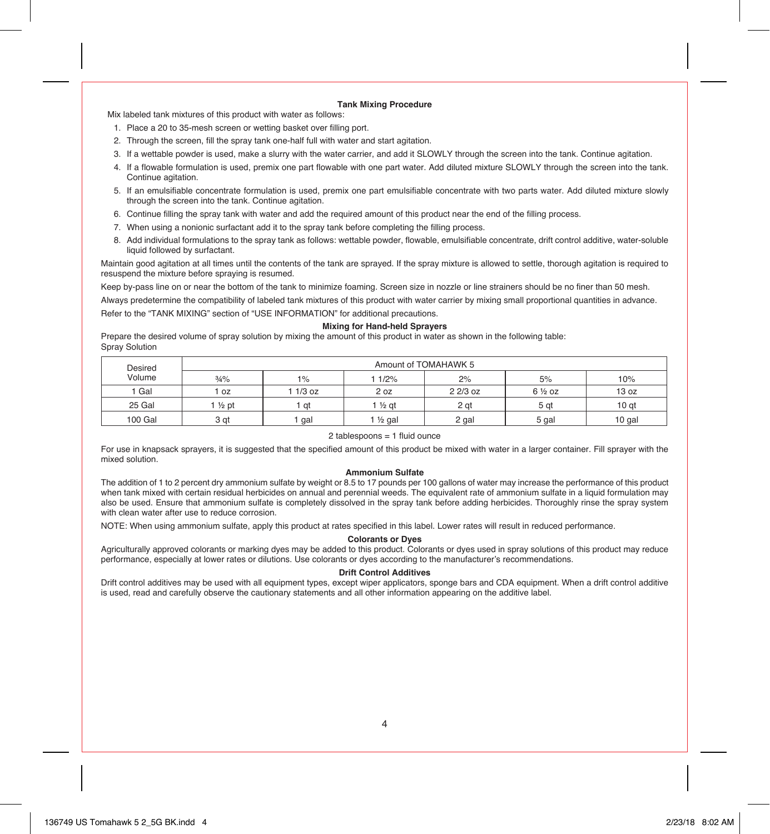### **Tank Mixing Procedure**

Mix labeled tank mixtures of this product with water as follows:

- 1. Place a 20 to 35-mesh screen or wetting basket over filling port.
- 2. Through the screen, fill the spray tank one-half full with water and start agitation.
- 3. If a wettable powder is used, make a slurry with the water carrier, and add it SLOWLY through the screen into the tank. Continue agitation.
- 4. If a flowable formulation is used, premix one part flowable with one part water. Add diluted mixture SLOWLY through the screen into the tank. Continue agitation.
- 5. If an emulsifiable concentrate formulation is used, premix one part emulsifiable concentrate with two parts water. Add diluted mixture slowly through the screen into the tank. Continue agitation.
- 6. Continue filling the spray tank with water and add the required amount of this product near the end of the filling process.
- 7. When using a nonionic surfactant add it to the spray tank before completing the filling process.
- 8. Add individual formulations to the spray tank as follows: wettable powder, flowable, emulsifiable concentrate, drift control additive, water-soluble liquid followed by surfactant.

Maintain good agitation at all times until the contents of the tank are sprayed. If the spray mixture is allowed to settle, thorough agitation is required to resuspend the mixture before spraying is resumed.

Keep by-pass line on or near the bottom of the tank to minimize foaming. Screen size in nozzle or line strainers should be no finer than 50 mesh.

Always predetermine the compatibility of labeled tank mixtures of this product with water carrier by mixing small proportional quantities in advance.

Refer to the "TANK MIXING" section of "USE INFORMATION" for additional precautions.

### **Mixing for Hand-held Sprayers**

Prepare the desired volume of spray solution by mixing the amount of this product in water as shown in the following table: Spray Solution

| Desired | Amount of TOMAHAWK 5 |           |                  |           |                   |                  |
|---------|----------------------|-----------|------------------|-----------|-------------------|------------------|
| Volume  | $\frac{3}{4}\%$      | $1\%$     | 11/2%            | 2%        | 5%                | 10%              |
| Gal     | l oz                 | $11/3$ oz | 2 oz             | $22/3$ oz | $6\frac{1}{2}$ oz | 13 oz            |
| 25 Gal  | $1/2$ pt             | - at      | $\frac{1}{2}$ at | 2 gt      | 5 at              | 10 <sub>at</sub> |
| 100 Gal | 3 at                 | gal       | 1 ½ gal          | 2 gal     | 5 gal             | 10 gal           |

### 2 tablespoons = 1 fluid ounce

For use in knapsack sprayers, it is suggested that the specified amount of this product be mixed with water in a larger container. Fill sprayer with the mixed solution.

### **Ammonium Sulfate**

The addition of 1 to 2 percent dry ammonium sulfate by weight or 8.5 to 17 pounds per 100 gallons of water may increase the performance of this product when tank mixed with certain residual herbicides on annual and perennial weeds. The equivalent rate of ammonium sulfate in a liquid formulation may also be used. Ensure that ammonium sulfate is completely dissolved in the spray tank before adding herbicides. Thoroughly rinse the spray system with clean water after use to reduce corrosion.

NOTE: When using ammonium sulfate, apply this product at rates specified in this label. Lower rates will result in reduced performance.

### **Colorants or Dyes**

Agriculturally approved colorants or marking dyes may be added to this product. Colorants or dyes used in spray solutions of this product may reduce performance, especially at lower rates or dilutions. Use colorants or dyes according to the manufacturer's recommendations.

### **Drift Control Additives**

Drift control additives may be used with all equipment types, except wiper applicators, sponge bars and CDA equipment. When a drift control additive is used, read and carefully observe the cautionary statements and all other information appearing on the additive label.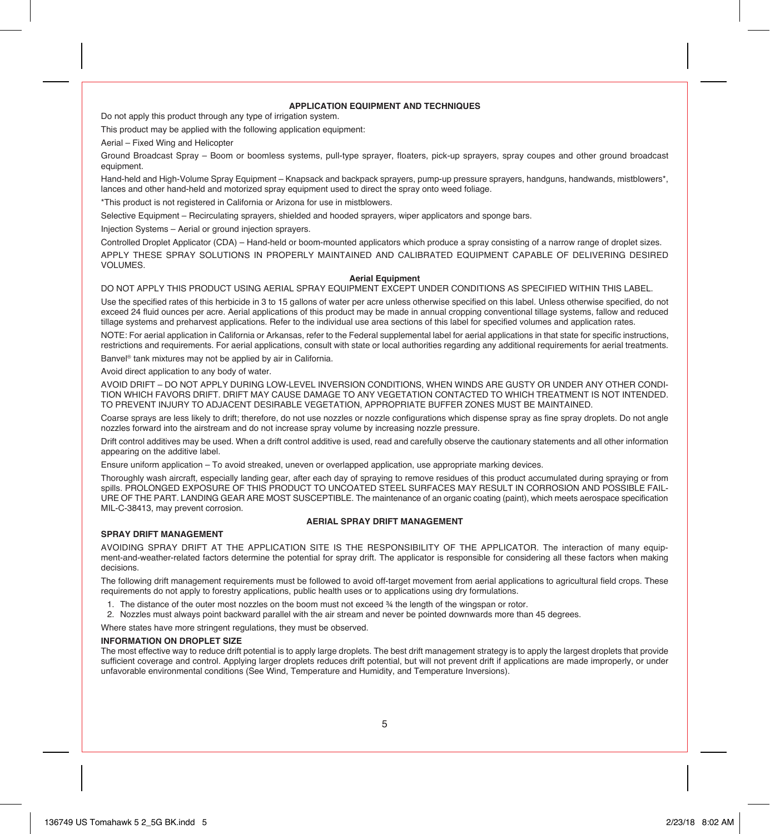### **APPLICATION EQUIPMENT AND TECHNIQUES**

Do not apply this product through any type of irrigation system.

This product may be applied with the following application equipment:

Aerial – Fixed Wing and Helicopter

Ground Broadcast Spray – Boom or boomless systems, pull-type sprayer, floaters, pick-up sprayers, spray coupes and other ground broadcast equipment.

Hand-held and High-Volume Spray Equipment – Knapsack and backpack sprayers, pump-up pressure sprayers, handguns, handwands, mistblowers\*, lances and other hand-held and motorized spray equipment used to direct the spray onto weed foliage.

\*This product is not registered in California or Arizona for use in mistblowers.

Selective Equipment – Recirculating sprayers, shielded and hooded sprayers, wiper applicators and sponge bars.

Injection Systems – Aerial or ground injection sprayers.

Controlled Droplet Applicator (CDA) – Hand-held or boom-mounted applicators which produce a spray consisting of a narrow range of droplet sizes. APPLY THESE SPRAY SOLUTIONS IN PROPERLY MAINTAINED AND CALIBRATED EQUIPMENT CAPABLE OF DELIVERING DESIRED VOLUMES.

### **Aerial Equipment**

### DO NOT APPLY THIS PRODUCT USING AERIAL SPRAY EQUIPMENT EXCEPT UNDER CONDITIONS AS SPECIFIED WITHIN THIS LABEL.

Use the specified rates of this herbicide in 3 to 15 gallons of water per acre unless otherwise specified on this label. Unless otherwise specified, do not exceed 24 fluid ounces per acre. Aerial applications of this product may be made in annual cropping conventional tillage systems, fallow and reduced tillage systems and preharvest applications. Refer to the individual use area sections of this label for specified volumes and application rates.

NOTE: For aerial application in California or Arkansas, refer to the Federal supplemental label for aerial applications in that state for specific instructions, restrictions and requirements. For aerial applications, consult with state or local authorities regarding any additional requirements for aerial treatments.

Banvel® tank mixtures may not be applied by air in California.

Avoid direct application to any body of water.

AVOID DRIFT – DO NOT APPLY DURING LOW-LEVEL INVERSION CONDITIONS, WHEN WINDS ARE GUSTY OR UNDER ANY OTHER CONDI-TION WHICH FAVORS DRIFT. DRIFT MAY CAUSE DAMAGE TO ANY VEGETATION CONTACTED TO WHICH TREATMENT IS NOT INTENDED. TO PREVENT INJURY TO ADJACENT DESIRABLE VEGETATION, APPROPRIATE BUFFER ZONES MUST BE MAINTAINED.

Coarse sprays are less likely to drift; therefore, do not use nozzles or nozzle configurations which dispense spray as fine spray droplets. Do not angle nozzles forward into the airstream and do not increase spray volume by increasing nozzle pressure.

Drift control additives may be used. When a drift control additive is used, read and carefully observe the cautionary statements and all other information appearing on the additive label.

Ensure uniform application – To avoid streaked, uneven or overlapped application, use appropriate marking devices.

Thoroughly wash aircraft, especially landing gear, after each day of spraying to remove residues of this product accumulated during spraying or from spills. PROLONGED EXPOSURE OF THIS PRODUCT TO UNCOATED STEEL SURFACES MAY RESULT IN CORROSION AND POSSIBLE FAIL-URE OF THE PART. LANDING GEAR ARE MOST SUSCEPTIBLE. The maintenance of an organic coating (paint), which meets aerospace specification MIL-C-38413, may prevent corrosion.

### **AERIAL SPRAY DRIFT MANAGEMENT**

### **SPRAY DRIFT MANAGEMENT**

AVOIDING SPRAY DRIFT AT THE APPLICATION SITE IS THE RESPONSIBILITY OF THE APPLICATOR. The interaction of many equipment-and-weather-related factors determine the potential for spray drift. The applicator is responsible for considering all these factors when making decisions.

The following drift management requirements must be followed to avoid off-target movement from aerial applications to agricultural field crops. These requirements do not apply to forestry applications, public health uses or to applications using dry formulations.

- 1. The distance of the outer most nozzles on the boom must not exceed ¾ the length of the wingspan or rotor.
- 2. Nozzles must always point backward parallel with the air stream and never be pointed downwards more than 45 degrees.

Where states have more stringent regulations, they must be observed.

### **INFORMATION ON DROPLET SIZE**

The most effective way to reduce drift potential is to apply large droplets. The best drift management strategy is to apply the largest droplets that provide sufficient coverage and control. Applying larger droplets reduces drift potential, but will not prevent drift if applications are made improperly, or under unfavorable environmental conditions (See Wind, Temperature and Humidity, and Temperature Inversions).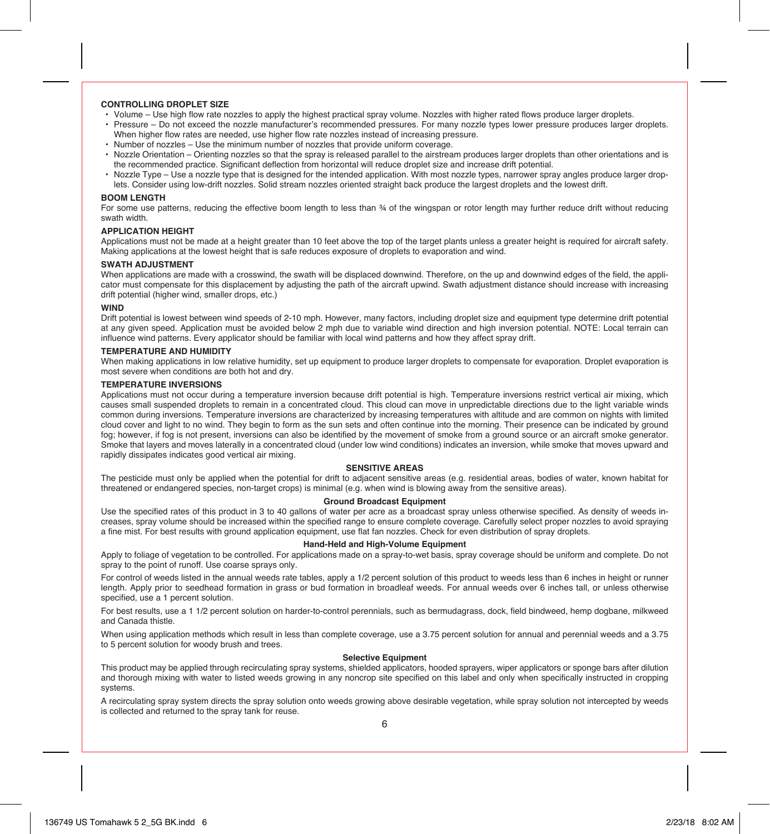### **CONTROLLING DROPLET SIZE**

- Volume Use high flow rate nozzles to apply the highest practical spray volume. Nozzles with higher rated flows produce larger droplets.
- Pressure Do not exceed the nozzle manufacturer's recommended pressures. For many nozzle types lower pressure produces larger droplets. When higher flow rates are needed, use higher flow rate nozzles instead of increasing pressure.
- Number of nozzles Use the minimum number of nozzles that provide uniform coverage.
- Nozzle Orientation Orienting nozzles so that the spray is released parallel to the airstream produces larger droplets than other orientations and is the recommended practice. Significant deflection from horizontal will reduce droplet size and increase drift potential.
- Nozzle Type Use a nozzle type that is designed for the intended application. With most nozzle types, narrower spray angles produce larger droplets. Consider using low-drift nozzles. Solid stream nozzles oriented straight back produce the largest droplets and the lowest drift.

### **BOOM LENGTH**

For some use patterns, reducing the effective boom length to less than ¾ of the wingspan or rotor length may further reduce drift without reducing swath width.

### **APPLICATION HEIGHT**

Applications must not be made at a height greater than 10 feet above the top of the target plants unless a greater height is required for aircraft safety. Making applications at the lowest height that is safe reduces exposure of droplets to evaporation and wind.

### **SWATH ADJUSTMENT**

When applications are made with a crosswind, the swath will be displaced downwind. Therefore, on the up and downwind edges of the field, the applicator must compensate for this displacement by adjusting the path of the aircraft upwind. Swath adjustment distance should increase with increasing drift potential (higher wind, smaller drops, etc.)

### **WIND**

Drift potential is lowest between wind speeds of 2-10 mph. However, many factors, including droplet size and equipment type determine drift potential at any given speed. Application must be avoided below 2 mph due to variable wind direction and high inversion potential. NOTE: Local terrain can influence wind patterns. Every applicator should be familiar with local wind patterns and how they affect spray drift.

### **TEMPERATURE AND HUMIDITY**

When making applications in low relative humidity, set up equipment to produce larger droplets to compensate for evaporation. Droplet evaporation is most severe when conditions are both hot and dry.

### **TEMPERATURE INVERSIONS**

Applications must not occur during a temperature inversion because drift potential is high. Temperature inversions restrict vertical air mixing, which causes small suspended droplets to remain in a concentrated cloud. This cloud can move in unpredictable directions due to the light variable winds common during inversions. Temperature inversions are characterized by increasing temperatures with altitude and are common on nights with limited cloud cover and light to no wind. They begin to form as the sun sets and often continue into the morning. Their presence can be indicated by ground fog; however, if fog is not present, inversions can also be identified by the movement of smoke from a ground source or an aircraft smoke generator. Smoke that layers and moves laterally in a concentrated cloud (under low wind conditions) indicates an inversion, while smoke that moves upward and rapidly dissipates indicates good vertical air mixing.

### **SENSITIVE AREAS**

The pesticide must only be applied when the potential for drift to adjacent sensitive areas (e.g. residential areas, bodies of water, known habitat for threatened or endangered species, non-target crops) is minimal (e.g. when wind is blowing away from the sensitive areas).

### **Ground Broadcast Equipment**

Use the specified rates of this product in 3 to 40 gallons of water per acre as a broadcast spray unless otherwise specified. As density of weeds increases, spray volume should be increased within the specified range to ensure complete coverage. Carefully select proper nozzles to avoid spraying a fine mist. For best results with ground application equipment, use flat fan nozzles. Check for even distribution of spray droplets.

### **Hand-Held and High-Volume Equipment**

Apply to foliage of vegetation to be controlled. For applications made on a spray-to-wet basis, spray coverage should be uniform and complete. Do not spray to the point of runoff. Use coarse sprays only.

For control of weeds listed in the annual weeds rate tables, apply a 1/2 percent solution of this product to weeds less than 6 inches in height or runner length. Apply prior to seedhead formation in grass or bud formation in broadleaf weeds. For annual weeds over 6 inches tall, or unless otherwise specified, use a 1 percent solution.

For best results, use a 1 1/2 percent solution on harder-to-control perennials, such as bermudagrass, dock, field bindweed, hemp dogbane, milkweed and Canada thistle.

When using application methods which result in less than complete coverage, use a 3.75 percent solution for annual and perennial weeds and a 3.75 to 5 percent solution for woody brush and trees.

### **Selective Equipment**

This product may be applied through recirculating spray systems, shielded applicators, hooded sprayers, wiper applicators or sponge bars after dilution and thorough mixing with water to listed weeds growing in any noncrop site specified on this label and only when specifically instructed in cropping systems.

A recirculating spray system directs the spray solution onto weeds growing above desirable vegetation, while spray solution not intercepted by weeds is collected and returned to the spray tank for reuse.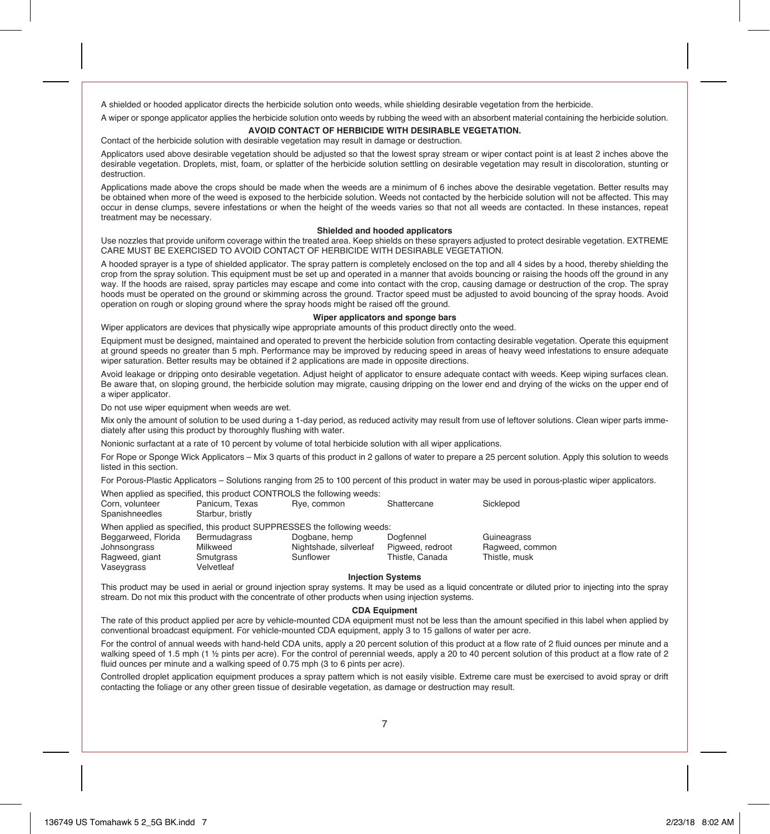A shielded or hooded applicator directs the herbicide solution onto weeds, while shielding desirable vegetation from the herbicide.

A wiper or sponge applicator applies the herbicide solution onto weeds by rubbing the weed with an absorbent material containing the herbicide solution.

### **AVOID CONTACT OF HERBICIDE WITH DESIRABLE VEGETATION.**

Contact of the herbicide solution with desirable vegetation may result in damage or destruction.

Applicators used above desirable vegetation should be adjusted so that the lowest spray stream or wiper contact point is at least 2 inches above the desirable vegetation. Droplets, mist, foam, or splatter of the herbicide solution settling on desirable vegetation may result in discoloration, stunting or destruction.

Applications made above the crops should be made when the weeds are a minimum of 6 inches above the desirable vegetation. Better results may be obtained when more of the weed is exposed to the herbicide solution. Weeds not contacted by the herbicide solution will not be affected. This may occur in dense clumps, severe infestations or when the height of the weeds varies so that not all weeds are contacted. In these instances, repeat treatment may be necessary.

### **Shielded and hooded applicators**

Use nozzles that provide uniform coverage within the treated area. Keep shields on these sprayers adjusted to protect desirable vegetation. EXTREME CARE MUST BE EXERCISED TO AVOID CONTACT OF HERBICIDE WITH DESIRABLE VEGETATION.

A hooded sprayer is a type of shielded applicator. The spray pattern is completely enclosed on the top and all 4 sides by a hood, thereby shielding the crop from the spray solution. This equipment must be set up and operated in a manner that avoids bouncing or raising the hoods off the ground in any way. If the hoods are raised, spray particles may escape and come into contact with the crop, causing damage or destruction of the crop. The spray hoods must be operated on the ground or skimming across the ground. Tractor speed must be adjusted to avoid bouncing of the spray hoods. Avoid operation on rough or sloping ground where the spray hoods might be raised off the ground.

### **Wiper applicators and sponge bars**

Wiper applicators are devices that physically wipe appropriate amounts of this product directly onto the weed.

Equipment must be designed, maintained and operated to prevent the herbicide solution from contacting desirable vegetation. Operate this equipment at ground speeds no greater than 5 mph. Performance may be improved by reducing speed in areas of heavy weed infestations to ensure adequate wiper saturation. Better results may be obtained if 2 applications are made in opposite directions.

Avoid leakage or dripping onto desirable vegetation. Adjust height of applicator to ensure adequate contact with weeds. Keep wiping surfaces clean. Be aware that, on sloping ground, the herbicide solution may migrate, causing dripping on the lower end and drying of the wicks on the upper end of a wiper applicator.

Do not use wiper equipment when weeds are wet.

Mix only the amount of solution to be used during a 1-day period, as reduced activity may result from use of leftover solutions. Clean wiper parts immediately after using this product by thoroughly flushing with water.

Nonionic surfactant at a rate of 10 percent by volume of total herbicide solution with all wiper applications.

For Rope or Sponge Wick Applicators – Mix 3 quarts of this product in 2 gallons of water to prepare a 25 percent solution. Apply this solution to weeds listed in this section.

For Porous-Plastic Applicators – Solutions ranging from 25 to 100 percent of this product in water may be used in porous-plastic wiper applicators.

When applied as specified, this product CONTROLS the following weeds:

| Corn, volunteer<br>Spanishneedles | Panicum, Texas<br>Starbur, bristly                                      | Rye, common            | Shattercane      | Sicklepod       |
|-----------------------------------|-------------------------------------------------------------------------|------------------------|------------------|-----------------|
|                                   | When applied as specified, this product SUPPRESSES the following weeds: |                        |                  |                 |
| Beggarweed, Florida               | Bermudagrass                                                            | Dogbane, hemp          | Doafennel        | Guineagrass     |
| Johnsongrass                      | Milkweed                                                                | Nightshade, silverleaf | Pigweed, redroot | Ragweed, common |
| Ragweed, giant                    | Smutgrass                                                               | Sunflower              | Thistle, Canada  | Thistle, musk   |
| Vaseygrass                        | Velvetleaf                                                              |                        |                  |                 |

### **Injection Systems**

This product may be used in aerial or ground injection spray systems. It may be used as a liquid concentrate or diluted prior to injecting into the spray stream. Do not mix this product with the concentrate of other products when using injection systems.

### **CDA Equipment**

The rate of this product applied per acre by vehicle-mounted CDA equipment must not be less than the amount specified in this label when applied by conventional broadcast equipment. For vehicle-mounted CDA equipment, apply 3 to 15 gallons of water per acre.

For the control of annual weeds with hand-held CDA units, apply a 20 percent solution of this product at a flow rate of 2 fluid ounces per minute and a walking speed of 1.5 mph (1 ½ pints per acre). For the control of perennial weeds, apply a 20 to 40 percent solution of this product at a flow rate of 2 fluid ounces per minute and a walking speed of 0.75 mph (3 to 6 pints per acre).

Controlled droplet application equipment produces a spray pattern which is not easily visible. Extreme care must be exercised to avoid spray or drift contacting the foliage or any other green tissue of desirable vegetation, as damage or destruction may result.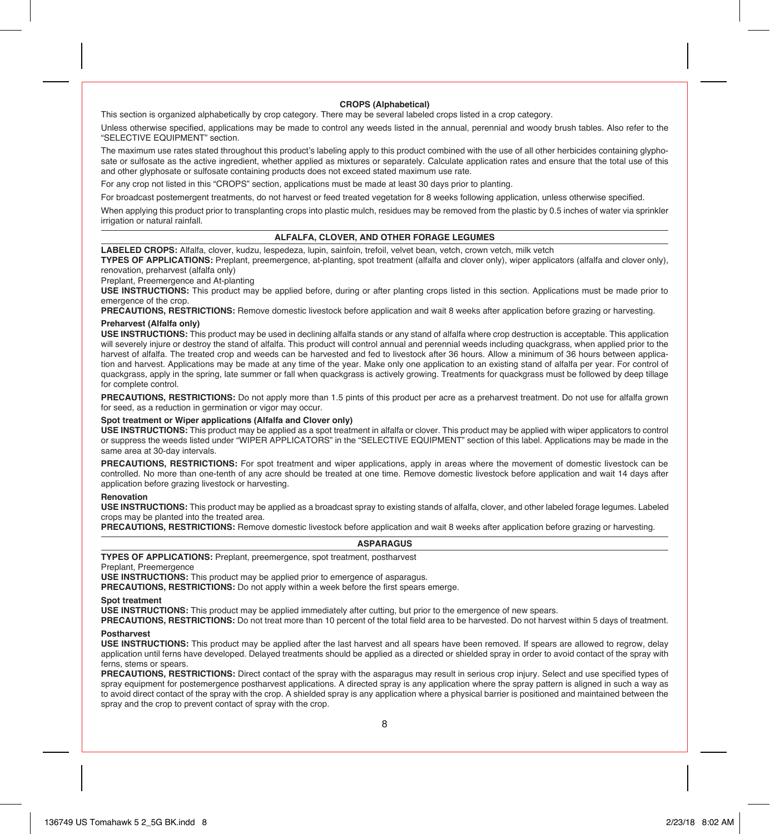### **CROPS (Alphabetical)**

This section is organized alphabetically by crop category. There may be several labeled crops listed in a crop category.

Unless otherwise specified, applications may be made to control any weeds listed in the annual, perennial and woody brush tables. Also refer to the "SELECTIVE EQUIPMENT" section.

The maximum use rates stated throughout this product's labeling apply to this product combined with the use of all other herbicides containing glyphosate or sulfosate as the active ingredient, whether applied as mixtures or separately. Calculate application rates and ensure that the total use of this and other glyphosate or sulfosate containing products does not exceed stated maximum use rate.

For any crop not listed in this "CROPS" section, applications must be made at least 30 days prior to planting.

For broadcast postemergent treatments, do not harvest or feed treated vegetation for 8 weeks following application, unless otherwise specified.

When applying this product prior to transplanting crops into plastic mulch, residues may be removed from the plastic by 0.5 inches of water via sprinkler irrigation or natural rainfall.

### **ALFALFA, CLOVER, AND OTHER FORAGE LEGUMES**

**LABELED CROPS:** Alfalfa, clover, kudzu, lespedeza, lupin, sainfoin, trefoil, velvet bean, vetch, crown vetch, milk vetch

**TYPES OF APPLICATIONS:** Preplant, preemergence, at-planting, spot treatment (alfalfa and clover only), wiper applicators (alfalfa and clover only), renovation, preharvest (alfalfa only)

Preplant, Preemergence and At-planting

**USE INSTRUCTIONS:** This product may be applied before, during or after planting crops listed in this section. Applications must be made prior to emergence of the crop.

**PRECAUTIONS, RESTRICTIONS:** Remove domestic livestock before application and wait 8 weeks after application before grazing or harvesting.

### **Preharvest (Alfalfa only)**

**USE INSTRUCTIONS:** This product may be used in declining alfalfa stands or any stand of alfalfa where crop destruction is acceptable. This application will severely injure or destroy the stand of alfalfa. This product will control annual and perennial weeds including quackgrass, when applied prior to the harvest of alfalfa. The treated crop and weeds can be harvested and fed to livestock after 36 hours. Allow a minimum of 36 hours between application and harvest. Applications may be made at any time of the year. Make only one application to an existing stand of alfalfa per year. For control of quackgrass, apply in the spring, late summer or fall when quackgrass is actively growing. Treatments for quackgrass must be followed by deep tillage for complete control.

**PRECAUTIONS, RESTRICTIONS:** Do not apply more than 1.5 pints of this product per acre as a preharvest treatment. Do not use for alfalfa grown for seed, as a reduction in germination or vigor may occur.

### **Spot treatment or Wiper applications (Alfalfa and Clover only)**

**USE INSTRUCTIONS:** This product may be applied as a spot treatment in alfalfa or clover. This product may be applied with wiper applicators to control or suppress the weeds listed under "WIPER APPLICATORS" in the "SELECTIVE EQUIPMENT" section of this label. Applications may be made in the same area at 30-day intervals.

**PRECAUTIONS, RESTRICTIONS:** For spot treatment and wiper applications, apply in areas where the movement of domestic livestock can be controlled. No more than one-tenth of any acre should be treated at one time. Remove domestic livestock before application and wait 14 days after application before grazing livestock or harvesting.

### **Renovation**

**USE INSTRUCTIONS:** This product may be applied as a broadcast spray to existing stands of alfalfa, clover, and other labeled forage legumes. Labeled crops may be planted into the treated area.

**PRECAUTIONS, RESTRICTIONS:** Remove domestic livestock before application and wait 8 weeks after application before grazing or harvesting.

### **ASPARAGUS**

**TYPES OF APPLICATIONS:** Preplant, preemergence, spot treatment, postharvest

Preplant, Preemergence

**USE INSTRUCTIONS:** This product may be applied prior to emergence of asparagus.

**PRECAUTIONS, RESTRICTIONS:** Do not apply within a week before the first spears emerge.

### **Spot treatment**

**USE INSTRUCTIONS:** This product may be applied immediately after cutting, but prior to the emergence of new spears.

PRECAUTIONS, RESTRICTIONS: Do not treat more than 10 percent of the total field area to be harvested. Do not harvest within 5 days of treatment. **Postharvest**

**USE INSTRUCTIONS:** This product may be applied after the last harvest and all spears have been removed. If spears are allowed to regrow, delay application until ferns have developed. Delayed treatments should be applied as a directed or shielded spray in order to avoid contact of the spray with ferns, stems or spears.

PRECAUTIONS, RESTRICTIONS: Direct contact of the spray with the asparagus may result in serious crop injury. Select and use specified types of spray equipment for postemergence postharvest applications. A directed spray is any application where the spray pattern is aligned in such a way as to avoid direct contact of the spray with the crop. A shielded spray is any application where a physical barrier is positioned and maintained between the spray and the crop to prevent contact of spray with the crop.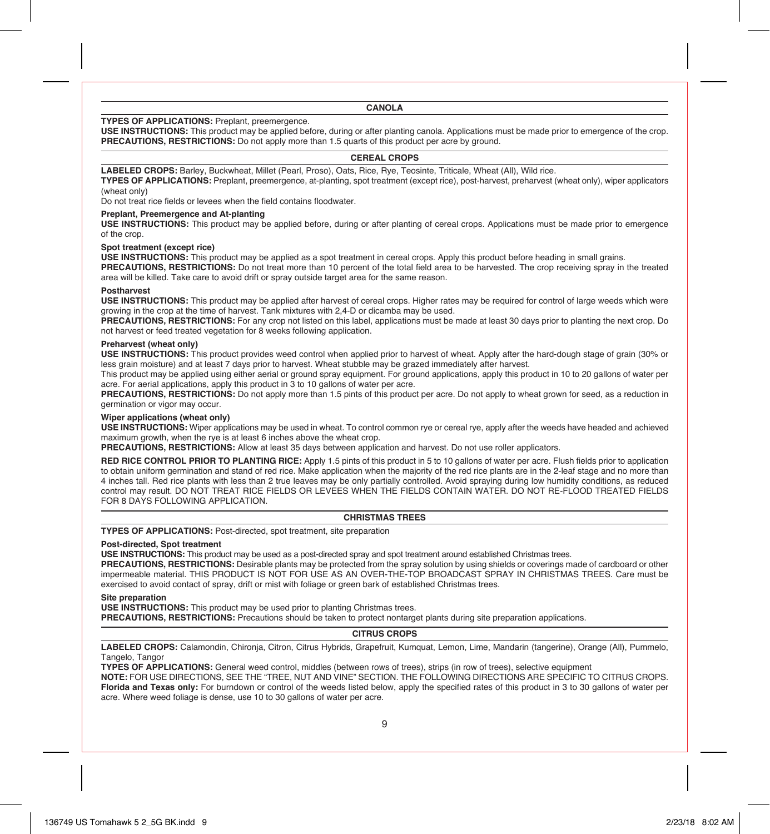### **CANOLA**

### **TYPES OF APPLICATIONS:** Preplant, preemergence.

**USE INSTRUCTIONS:** This product may be applied before, during or after planting canola. Applications must be made prior to emergence of the crop. **PRECAUTIONS, RESTRICTIONS:** Do not apply more than 1.5 quarts of this product per acre by ground.

### **CEREAL CROPS**

**LABELED CROPS:** Barley, Buckwheat, Millet (Pearl, Proso), Oats, Rice, Rye, Teosinte, Triticale, Wheat (All), Wild rice.

**TYPES OF APPLICATIONS:** Preplant, preemergence, at-planting, spot treatment (except rice), post-harvest, preharvest (wheat only), wiper applicators (wheat only)

Do not treat rice fields or levees when the field contains floodwater.

### **Preplant, Preemergence and At-planting**

**USE INSTRUCTIONS:** This product may be applied before, during or after planting of cereal crops. Applications must be made prior to emergence of the crop.

### **Spot treatment (except rice)**

**USE INSTRUCTIONS:** This product may be applied as a spot treatment in cereal crops. Apply this product before heading in small grains.

**PRECAUTIONS, RESTRICTIONS:** Do not treat more than 10 percent of the total field area to be harvested. The crop receiving spray in the treated area will be killed. Take care to avoid drift or spray outside target area for the same reason.

### **Postharvest**

**USE INSTRUCTIONS:** This product may be applied after harvest of cereal crops. Higher rates may be required for control of large weeds which were growing in the crop at the time of harvest. Tank mixtures with 2,4-D or dicamba may be used.

**PRECAUTIONS, RESTRICTIONS:** For any crop not listed on this label, applications must be made at least 30 days prior to planting the next crop. Do not harvest or feed treated vegetation for 8 weeks following application.

### **Preharvest (wheat only)**

**USE INSTRUCTIONS:** This product provides weed control when applied prior to harvest of wheat. Apply after the hard-dough stage of grain (30% or less grain moisture) and at least 7 days prior to harvest. Wheat stubble may be grazed immediately after harvest.

This product may be applied using either aerial or ground spray equipment. For ground applications, apply this product in 10 to 20 gallons of water per acre. For aerial applications, apply this product in 3 to 10 gallons of water per acre.

**PRECAUTIONS, RESTRICTIONS:** Do not apply more than 1.5 pints of this product per acre. Do not apply to wheat grown for seed, as a reduction in germination or vigor may occur.

### **Wiper applications (wheat only)**

**USE INSTRUCTIONS:** Wiper applications may be used in wheat. To control common rye or cereal rye, apply after the weeds have headed and achieved maximum growth, when the rye is at least 6 inches above the wheat crop.

**PRECAUTIONS, RESTRICTIONS:** Allow at least 35 days between application and harvest. Do not use roller applicators.

**RED RICE CONTROL PRIOR TO PLANTING RICE:** Apply 1.5 pints of this product in 5 to 10 gallons of water per acre. Flush fields prior to application to obtain uniform germination and stand of red rice. Make application when the majority of the red rice plants are in the 2-leaf stage and no more than 4 inches tall. Red rice plants with less than 2 true leaves may be only partially controlled. Avoid spraying during low humidity conditions, as reduced control may result. DO NOT TREAT RICE FIELDS OR LEVEES WHEN THE FIELDS CONTAIN WATER. DO NOT RE-FLOOD TREATED FIELDS FOR 8 DAYS FOLLOWING APPLICATION.

### **CHRISTMAS TREES**

**TYPES OF APPLICATIONS:** Post-directed, spot treatment, site preparation

### **Post-directed, Spot treatment**

**USE INSTRUCTIONS:** This product may be used as a post-directed spray and spot treatment around established Christmas trees.

**PRECAUTIONS, RESTRICTIONS:** Desirable plants may be protected from the spray solution by using shields or coverings made of cardboard or other impermeable material. THIS PRODUCT IS NOT FOR USE AS AN OVER-THE-TOP BROADCAST SPRAY IN CHRISTMAS TREES. Care must be exercised to avoid contact of spray, drift or mist with foliage or green bark of established Christmas trees.

### **Site preparation**

**USE INSTRUCTIONS:** This product may be used prior to planting Christmas trees.

**PRECAUTIONS, RESTRICTIONS:** Precautions should be taken to protect nontarget plants during site preparation applications.

### **CITRUS CROPS**

**LABELED CROPS:** Calamondin, Chironja, Citron, Citrus Hybrids, Grapefruit, Kumquat, Lemon, Lime, Mandarin (tangerine), Orange (All), Pummelo, Tangelo, Tangor

**TYPES OF APPLICATIONS:** General weed control, middles (between rows of trees), strips (in row of trees), selective equipment **NOTE:** FOR USE DIRECTIONS, SEE THE "TREE, NUT AND VINE" SECTION. THE FOLLOWING DIRECTIONS ARE SPECIFIC TO CITRUS CROPS. **Florida and Texas only:** For burndown or control of the weeds listed below, apply the specified rates of this product in 3 to 30 gallons of water per acre. Where weed foliage is dense, use 10 to 30 gallons of water per acre.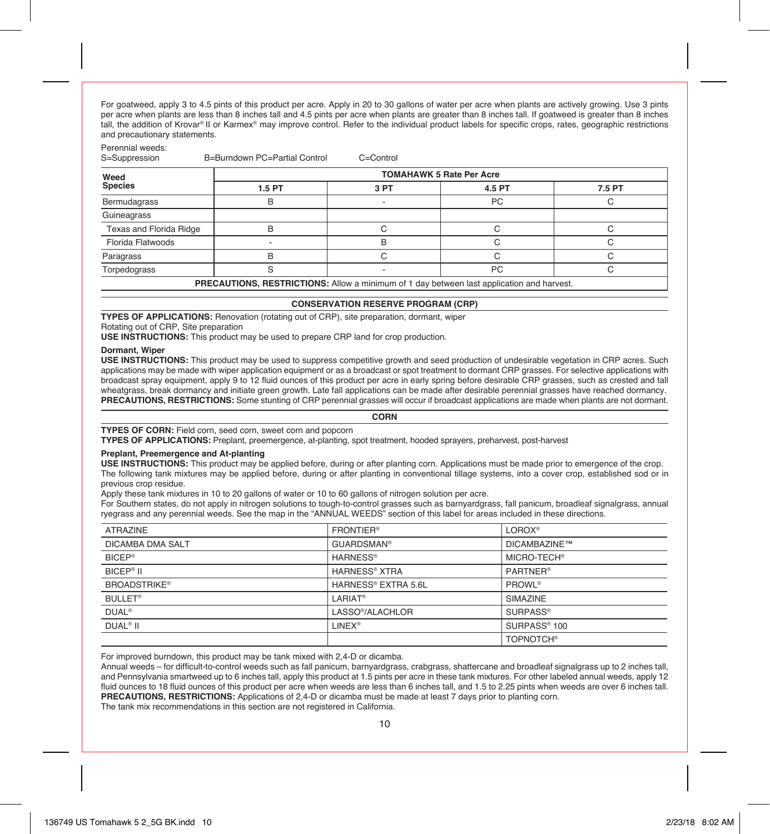For goatweed, apply 3 to 4.5 pints of this product per acre. Apply in 20 to 30 gallons of water per acre when plants are actively growing. Use 3 pints per acre when plants are less than 8 inches tall and 4.5 pints per acre when plants are greater than 8 inches tall. If goatweed is greater than 8 inches tall, the addition of Krovar® II or Karmex® may improve control. Refer to the individual product labels for specific crops, rates, geographic restrictions and precautionary statements.

### Perennial weeds:

| S=Suppression | B=Burndown PC=Partial Control | C=Control |
|---------------|-------------------------------|-----------|
|---------------|-------------------------------|-----------|

| Weed                                                                                             | <b>TOMAHAWK 5 Rate Per Acre</b> |      |           |        |
|--------------------------------------------------------------------------------------------------|---------------------------------|------|-----------|--------|
| <b>Species</b>                                                                                   | 1.5 PT                          | 3 PT | 4.5 PT    | 7.5 PT |
| Bermudagrass                                                                                     | в                               |      | <b>PC</b> |        |
| Guineagrass                                                                                      |                                 |      |           |        |
| Texas and Florida Ridge                                                                          |                                 |      |           |        |
| Florida Flatwoods                                                                                |                                 |      |           |        |
| Paragrass                                                                                        |                                 |      |           |        |
| Torpedograss                                                                                     |                                 |      | PC        |        |
| <b>PRECAUTIONS, RESTRICTIONS:</b> Allow a minimum of 1 day between last application and harvest. |                                 |      |           |        |

### **CONSERVATION RESERVE PROGRAM (CRP)**

**TYPES OF APPLICATIONS:** Renovation (rotating out of CRP), site preparation, dormant, wiper

Rotating out of CRP, Site preparation

**USE INSTRUCTIONS:** This product may be used to prepare CRP land for crop production.

### **Dormant, Wiper**

**USE INSTRUCTIONS:** This product may be used to suppress competitive growth and seed production of undesirable vegetation in CRP acres. Such applications may be made with wiper application equipment or as a broadcast or spot treatment to dormant CRP grasses. For selective applications with broadcast spray equipment, apply 9 to 12 fluid ounces of this product per acre in early spring before desirable CRP grasses, such as crested and tall wheatgrass, break dormancy and initiate green growth. Late fall applications can be made after desirable perennial grasses have reached dormancy. **PRECAUTIONS, RESTRICTIONS:** Some stunting of CRP perennial grasses will occur if broadcast applications are made when plants are not dormant.

**CORN**

**TYPES OF CORN:** Field corn, seed corn, sweet corn and popcorn

**TYPES OF APPLICATIONS:** Preplant, preemergence, at-planting, spot treatment, hooded sprayers, preharvest, post-harvest

### **Preplant, Preemergence and At-planting**

**USE INSTRUCTIONS:** This product may be applied before, during or after planting corn. Applications must be made prior to emergence of the crop. The following tank mixtures may be applied before, during or after planting in conventional tillage systems, into a cover crop, established sod or in previous crop residue.

Apply these tank mixtures in 10 to 20 gallons of water or 10 to 60 gallons of nitrogen solution per acre.

For Southern states, do not apply in nitrogen solutions to tough-to-control grasses such as barnyardgrass, fall panicum, broadleaf signalgrass, annual ryegrass and any perennial weeds. See the map in the "ANNUAL WEEDS" section of this label for areas included in these directions.

| ATRAZINE              | <b>FRONTIER®</b>                | LOROX <sup>®</sup>       |
|-----------------------|---------------------------------|--------------------------|
| DICAMBA DMA SALT      | <b>GUARDSMAN®</b>               | <b>DICAMBAZINE™</b>      |
| BICEP <sup>®</sup>    | <b>HARNESS®</b>                 | MICRO-TECH <sup>®</sup>  |
| BICEP <sup>®</sup> II | <b>HARNESS<sup>®</sup> XTRA</b> | <b>PARTNER®</b>          |
| <b>BROADSTRIKE®</b>   | HARNESS <sup>®</sup> EXTRA 5.6L | PROWL <sup>®</sup>       |
| <b>BULLET®</b>        | <b>LARIAT®</b>                  | SIMAZINE                 |
| DUAL <sup>®</sup>     | LASSO <sup>®</sup> /ALACHLOR    | <b>SURPASS®</b>          |
| DUAL <sup>®</sup> II  | <b>LINEX<sup>®</sup></b>        | SURPASS <sup>®</sup> 100 |
|                       |                                 | <b>TOPNOTCH®</b>         |

For improved burndown, this product may be tank mixed with 2,4-D or dicamba.

Annual weeds – for difficult-to-control weeds such as fall panicum, barnyardgrass, crabgrass, shattercane and broadleaf signalgrass up to 2 inches tall, and Pennsylvania smartweed up to 6 inches tall, apply this product at 1.5 pints per acre in these tank mixtures. For other labeled annual weeds, apply 12 fluid ounces to 18 fluid ounces of this product per acre when weeds are less than 6 inches tall, and 1.5 to 2.25 pints when weeds are over 6 inches tall. **PRECAUTIONS, RESTRICTIONS:** Applications of 2,4-D or dicamba must be made at least 7 days prior to planting corn.

The tank mix recommendations in this section are not registered in California.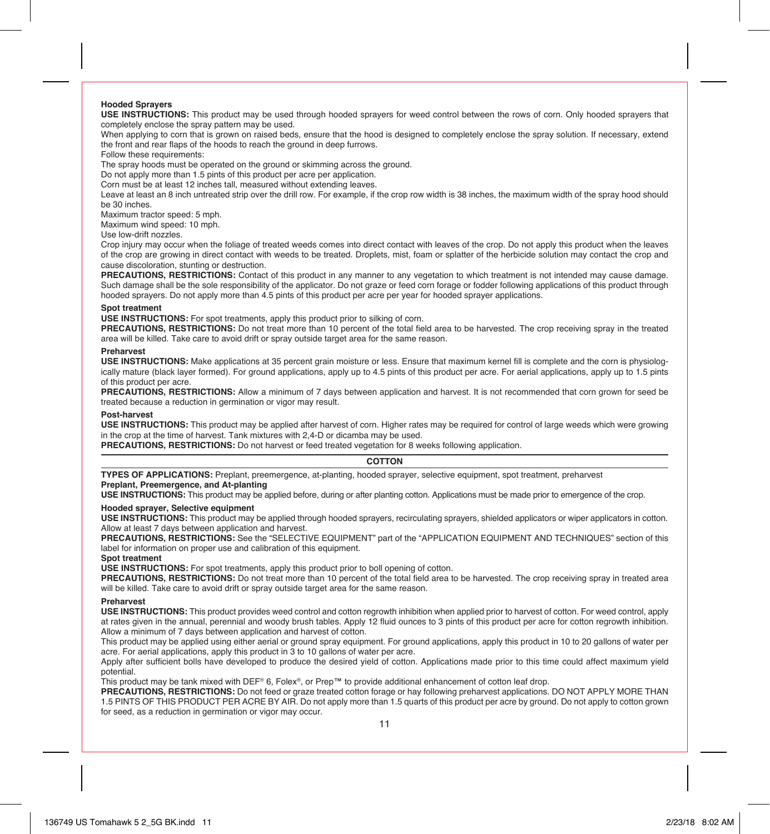### **Hooded Sprayers**

**USE INSTRUCTIONS:** This product may be used through hooded sprayers for weed control between the rows of corn. Only hooded sprayers that completely enclose the spray pattern may be used.

When applying to corn that is grown on raised beds, ensure that the hood is designed to completely enclose the spray solution. If necessary, extend the front and rear flaps of the hoods to reach the ground in deep furrows.

Follow these requirements:

The spray hoods must be operated on the ground or skimming across the ground.

Do not apply more than 1.5 pints of this product per acre per application.

Corn must be at least 12 inches tall, measured without extending leaves.

Leave at least an 8 inch untreated strip over the drill row. For example, if the crop row width is 38 inches, the maximum width of the spray hood should be 30 inches.

Maximum tractor speed: 5 mph.

Maximum wind speed: 10 mph.

Use low-drift nozzles.

Crop injury may occur when the foliage of treated weeds comes into direct contact with leaves of the crop. Do not apply this product when the leaves of the crop are growing in direct contact with weeds to be treated. Droplets, mist, foam or splatter of the herbicide solution may contact the crop and cause discoloration, stunting or destruction.

**PRECAUTIONS, RESTRICTIONS:** Contact of this product in any manner to any vegetation to which treatment is not intended may cause damage. Such damage shall be the sole responsibility of the applicator. Do not graze or feed corn forage or fodder following applications of this product through hooded sprayers. Do not apply more than 4.5 pints of this product per acre per year for hooded sprayer applications.

### **Spot treatment**

**USE INSTRUCTIONS:** For spot treatments, apply this product prior to silking of corn.

**PRECAUTIONS, RESTRICTIONS:** Do not treat more than 10 percent of the total field area to be harvested. The crop receiving spray in the treated area will be killed. Take care to avoid drift or spray outside target area for the same reason.

### **Preharvest**

**USE INSTRUCTIONS:** Make applications at 35 percent grain moisture or less. Ensure that maximum kernel fill is complete and the corn is physiologically mature (black layer formed). For ground applications, apply up to 4.5 pints of this product per acre. For aerial applications, apply up to 1.5 pints of this product per acre.

**PRECAUTIONS, RESTRICTIONS:** Allow a minimum of 7 days between application and harvest. It is not recommended that corn grown for seed be treated because a reduction in germination or vigor may result.

### **Post-harvest**

**USE INSTRUCTIONS:** This product may be applied after harvest of corn. Higher rates may be required for control of large weeds which were growing in the crop at the time of harvest. Tank mixtures with 2,4-D or dicamba may be used.

**PRECAUTIONS, RESTRICTIONS:** Do not harvest or feed treated vegetation for 8 weeks following application.

### **COTTON**

**TYPES OF APPLICATIONS:** Preplant, preemergence, at-planting, hooded sprayer, selective equipment, spot treatment, preharvest **Preplant, Preemergence, and At-planting**

**USE INSTRUCTIONS:** This product may be applied before, during or after planting cotton. Applications must be made prior to emergence of the crop.

### **Hooded sprayer, Selective equipment**

**USE INSTRUCTIONS:** This product may be applied through hooded sprayers, recirculating sprayers, shielded applicators or wiper applicators in cotton. Allow at least 7 days between application and harvest.

**PRECAUTIONS, RESTRICTIONS:** See the "SELECTIVE EQUIPMENT" part of the "APPLICATION EQUIPMENT AND TECHNIQUES" section of this label for information on proper use and calibration of this equipment.

### **Spot treatment**

**USE INSTRUCTIONS:** For spot treatments, apply this product prior to boll opening of cotton.

PRECAUTIONS, RESTRICTIONS: Do not treat more than 10 percent of the total field area to be harvested. The crop receiving spray in treated area will be killed. Take care to avoid drift or spray outside target area for the same reason.

### **Preharvest**

**USE INSTRUCTIONS:** This product provides weed control and cotton regrowth inhibition when applied prior to harvest of cotton. For weed control, apply at rates given in the annual, perennial and woody brush tables. Apply 12 fluid ounces to 3 pints of this product per acre for cotton regrowth inhibition. Allow a minimum of 7 days between application and harvest of cotton.

This product may be applied using either aerial or ground spray equipment. For ground applications, apply this product in 10 to 20 gallons of water per acre. For aerial applications, apply this product in 3 to 10 gallons of water per acre.

Apply after sufficient bolls have developed to produce the desired yield of cotton. Applications made prior to this time could affect maximum yield potential.

This product may be tank mixed with DEF® 6, Folex®, or Prep™ to provide additional enhancement of cotton leaf drop.

**PRECAUTIONS, RESTRICTIONS:** Do not feed or graze treated cotton forage or hay following preharvest applications. DO NOT APPLY MORE THAN 1.5 PINTS OF THIS PRODUCT PER ACRE BY AIR. Do not apply more than 1.5 quarts of this product per acre by ground. Do not apply to cotton grown for seed, as a reduction in germination or vigor may occur.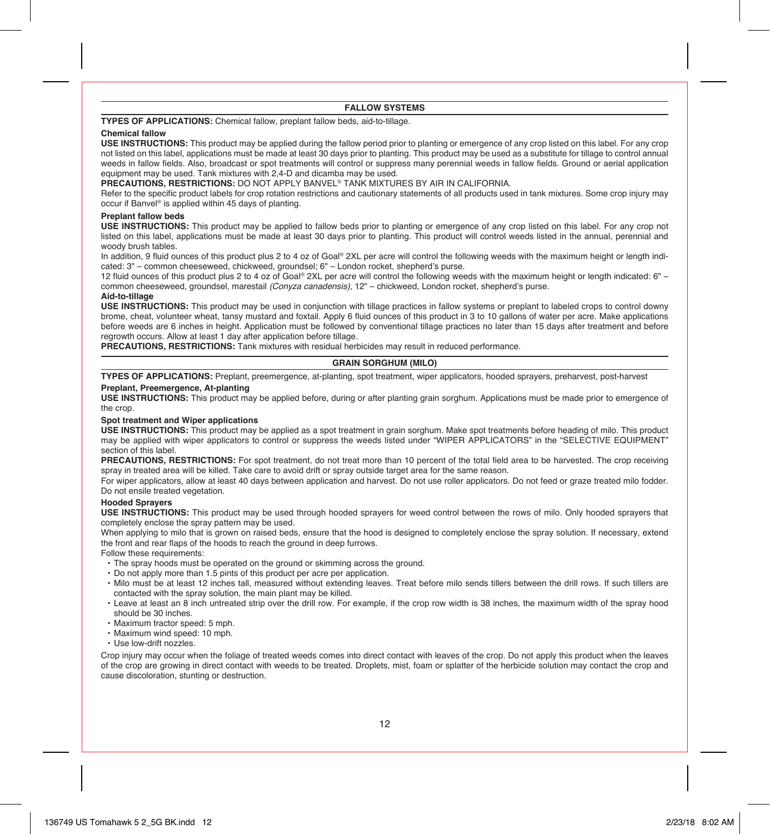### **FALLOW SYSTEMS**

**TYPES OF APPLICATIONS:** Chemical fallow, preplant fallow beds, aid-to-tillage.

### **Chemical fallow**

**USE INSTRUCTIONS:** This product may be applied during the fallow period prior to planting or emergence of any crop listed on this label. For any crop not listed on this label, applications must be made at least 30 days prior to planting. This product may be used as a substitute for tillage to control annual weeds in fallow fields. Also, broadcast or spot treatments will control or suppress many perennial weeds in fallow fields. Ground or aerial application equipment may be used. Tank mixtures with 2,4-D and dicamba may be used.

**PRECAUTIONS, RESTRICTIONS:** DO NOT APPLY BANVEL® TANK MIXTURES BY AIR IN CALIFORNIA.

Refer to the specific product labels for crop rotation restrictions and cautionary statements of all products used in tank mixtures. Some crop injury may occur if Banvel® is applied within 45 days of planting.

### **Preplant fallow beds**

**USE INSTRUCTIONS:** This product may be applied to fallow beds prior to planting or emergence of any crop listed on this label. For any crop not listed on this label, applications must be made at least 30 days prior to planting. This product will control weeds listed in the annual, perennial and woody brush tables.

In addition, 9 fluid ounces of this product plus 2 to 4 oz of Goal® 2XL per acre will control the following weeds with the maximum height or length indicated: 3" – common cheeseweed, chickweed, groundsel; 6" – London rocket, shepherd's purse.

12 fluid ounces of this product plus 2 to 4 oz of Goal® 2XL per acre will control the following weeds with the maximum height or length indicated: 6" – common cheeseweed, groundsel, marestail *(Conyza canadensis)*, 12" – chickweed, London rocket, shepherd's purse.

### **Aid-to-tillage**

**USE INSTRUCTIONS:** This product may be used in conjunction with tillage practices in fallow systems or preplant to labeled crops to control downy brome, cheat, volunteer wheat, tansy mustard and foxtail. Apply 6 fluid ounces of this product in 3 to 10 gallons of water per acre. Make applications before weeds are 6 inches in height. Application must be followed by conventional tillage practices no later than 15 days after treatment and before regrowth occurs. Allow at least 1 day after application before tillage.

**PRECAUTIONS, RESTRICTIONS:** Tank mixtures with residual herbicides may result in reduced performance.

### **GRAIN SORGHUM (MILO)**

**TYPES OF APPLICATIONS:** Preplant, preemergence, at-planting, spot treatment, wiper applicators, hooded sprayers, preharvest, post-harvest

### **Preplant, Preemergence, At-planting**

**USE INSTRUCTIONS:** This product may be applied before, during or after planting grain sorghum. Applications must be made prior to emergence of the crop.

### **Spot treatment and Wiper applications**

**USE INSTRUCTIONS:** This product may be applied as a spot treatment in grain sorghum. Make spot treatments before heading of milo. This product may be applied with wiper applicators to control or suppress the weeds listed under "WIPER APPLICATORS" in the "SELECTIVE EQUIPMENT" section of this label.

**PRECAUTIONS, RESTRICTIONS:** For spot treatment, do not treat more than 10 percent of the total field area to be harvested. The crop receiving spray in treated area will be killed. Take care to avoid drift or spray outside target area for the same reason.

For wiper applicators, allow at least 40 days between application and harvest. Do not use roller applicators. Do not feed or graze treated milo fodder. Do not ensile treated vegetation.

### **Hooded Sprayers**

**USE INSTRUCTIONS:** This product may be used through hooded sprayers for weed control between the rows of milo. Only hooded sprayers that completely enclose the spray pattern may be used.

When applying to milo that is grown on raised beds, ensure that the hood is designed to completely enclose the spray solution. If necessary, extend the front and rear flaps of the hoods to reach the ground in deep furrows.

Follow these requirements:

- The spray hoods must be operated on the ground or skimming across the ground.
- Do not apply more than 1.5 pints of this product per acre per application.
- Milo must be at least 12 inches tall, measured without extending leaves. Treat before milo sends tillers between the drill rows. If such tillers are contacted with the spray solution, the main plant may be killed.
- Leave at least an 8 inch untreated strip over the drill row. For example, if the crop row width is 38 inches, the maximum width of the spray hood should be 30 inches.
- Maximum tractor speed: 5 mph.
- Maximum wind speed: 10 mph.
- Use low-drift nozzles.

Crop injury may occur when the foliage of treated weeds comes into direct contact with leaves of the crop. Do not apply this product when the leaves of the crop are growing in direct contact with weeds to be treated. Droplets, mist, foam or splatter of the herbicide solution may contact the crop and cause discoloration, stunting or destruction.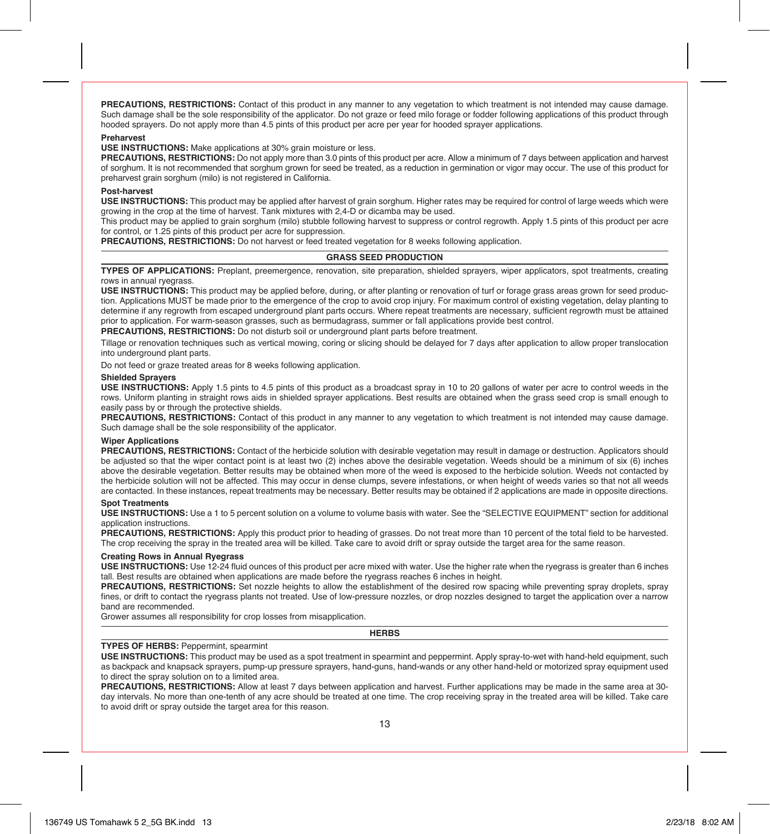**PRECAUTIONS, RESTRICTIONS:** Contact of this product in any manner to any vegetation to which treatment is not intended may cause damage. Such damage shall be the sole responsibility of the applicator. Do not graze or feed milo forage or fodder following applications of this product through hooded sprayers. Do not apply more than 4.5 pints of this product per acre per year for hooded sprayer applications.

### **Preharvest**

**USE INSTRUCTIONS:** Make applications at 30% grain moisture or less.

**PRECAUTIONS, RESTRICTIONS:** Do not apply more than 3.0 pints of this product per acre. Allow a minimum of 7 days between application and harvest of sorghum. It is not recommended that sorghum grown for seed be treated, as a reduction in germination or vigor may occur. The use of this product for preharvest grain sorghum (milo) is not registered in California.

### **Post-harvest**

**USE INSTRUCTIONS:** This product may be applied after harvest of grain sorghum. Higher rates may be required for control of large weeds which were growing in the crop at the time of harvest. Tank mixtures with 2,4-D or dicamba may be used.

This product may be applied to grain sorghum (milo) stubble following harvest to suppress or control regrowth. Apply 1.5 pints of this product per acre for control, or 1.25 pints of this product per acre for suppression.

**PRECAUTIONS, RESTRICTIONS:** Do not harvest or feed treated vegetation for 8 weeks following application.

### **GRASS SEED PRODUCTION**

**TYPES OF APPLICATIONS:** Preplant, preemergence, renovation, site preparation, shielded sprayers, wiper applicators, spot treatments, creating rows in annual ryegrass.

**USE INSTRUCTIONS:** This product may be applied before, during, or after planting or renovation of turf or forage grass areas grown for seed production. Applications MUST be made prior to the emergence of the crop to avoid crop injury. For maximum control of existing vegetation, delay planting to determine if any regrowth from escaped underground plant parts occurs. Where repeat treatments are necessary, sufficient regrowth must be attained prior to application. For warm-season grasses, such as bermudagrass, summer or fall applications provide best control.

**PRECAUTIONS, RESTRICTIONS:** Do not disturb soil or underground plant parts before treatment.

Tillage or renovation techniques such as vertical mowing, coring or slicing should be delayed for 7 days after application to allow proper translocation into underground plant parts.

Do not feed or graze treated areas for 8 weeks following application.

### **Shielded Sprayers**

**USE INSTRUCTIONS:** Apply 1.5 pints to 4.5 pints of this product as a broadcast spray in 10 to 20 gallons of water per acre to control weeds in the rows. Uniform planting in straight rows aids in shielded sprayer applications. Best results are obtained when the grass seed crop is small enough to easily pass by or through the protective shields.

**PRECAUTIONS, RESTRICTIONS:** Contact of this product in any manner to any vegetation to which treatment is not intended may cause damage. Such damage shall be the sole responsibility of the applicator.

### **Wiper Applications**

**PRECAUTIONS, RESTRICTIONS:** Contact of the herbicide solution with desirable vegetation may result in damage or destruction. Applicators should be adjusted so that the wiper contact point is at least two (2) inches above the desirable vegetation. Weeds should be a minimum of six (6) inches above the desirable vegetation. Better results may be obtained when more of the weed is exposed to the herbicide solution. Weeds not contacted by the herbicide solution will not be affected. This may occur in dense clumps, severe infestations, or when height of weeds varies so that not all weeds are contacted. In these instances, repeat treatments may be necessary. Better results may be obtained if 2 applications are made in opposite directions.

### **Spot Treatments**

**USE INSTRUCTIONS:** Use a 1 to 5 percent solution on a volume to volume basis with water. See the "SELECTIVE EQUIPMENT" section for additional application instructions.

**PRECAUTIONS, RESTRICTIONS:** Apply this product prior to heading of grasses. Do not treat more than 10 percent of the total field to be harvested. The crop receiving the spray in the treated area will be killed. Take care to avoid drift or spray outside the target area for the same reason.

### **Creating Rows in Annual Ryegrass**

**USE INSTRUCTIONS:** Use 12-24 fluid ounces of this product per acre mixed with water. Use the higher rate when the ryegrass is greater than 6 inches tall. Best results are obtained when applications are made before the ryegrass reaches 6 inches in height.

**PRECAUTIONS, RESTRICTIONS:** Set nozzle heights to allow the establishment of the desired row spacing while preventing spray droplets, spray fines, or drift to contact the ryegrass plants not treated. Use of low-pressure nozzles, or drop nozzles designed to target the application over a narrow band are recommended.

Grower assumes all responsibility for crop losses from misapplication.

**HERBS**

### **TYPES OF HERBS:** Peppermint, spearmint

**USE INSTRUCTIONS:** This product may be used as a spot treatment in spearmint and peppermint. Apply spray-to-wet with hand-held equipment, such as backpack and knapsack sprayers, pump-up pressure sprayers, hand-guns, hand-wands or any other hand-held or motorized spray equipment used to direct the spray solution on to a limited area.

**PRECAUTIONS, RESTRICTIONS:** Allow at least 7 days between application and harvest. Further applications may be made in the same area at 30 day intervals. No more than one-tenth of any acre should be treated at one time. The crop receiving spray in the treated area will be killed. Take care to avoid drift or spray outside the target area for this reason.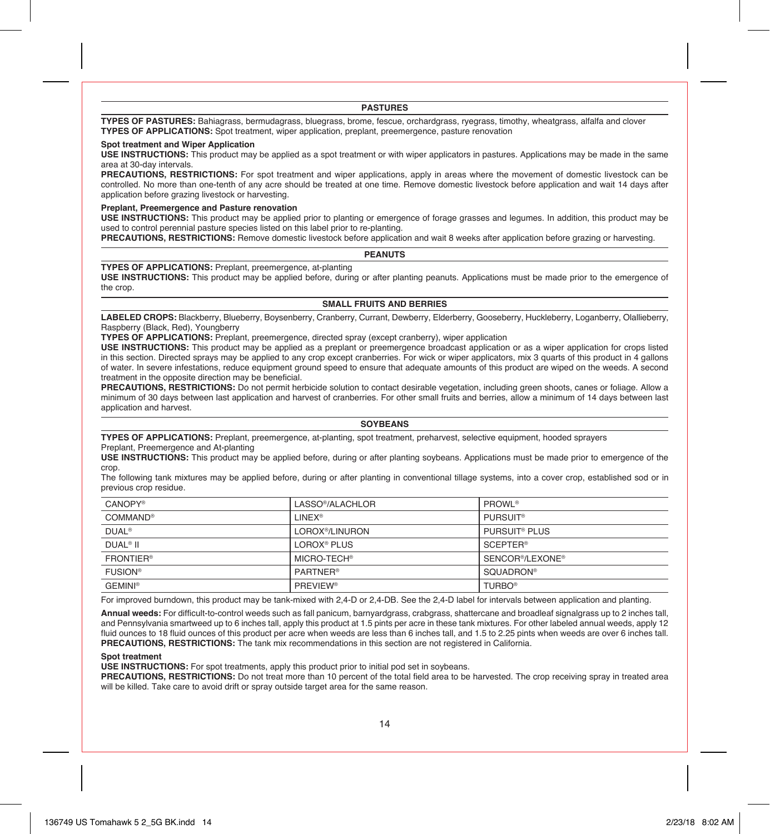### **PASTURES**

**TYPES OF PASTURES:** Bahiagrass, bermudagrass, bluegrass, brome, fescue, orchardgrass, ryegrass, timothy, wheatgrass, alfalfa and clover **TYPES OF APPLICATIONS:** Spot treatment, wiper application, preplant, preemergence, pasture renovation

### **Spot treatment and Wiper Application**

**USE INSTRUCTIONS:** This product may be applied as a spot treatment or with wiper applicators in pastures. Applications may be made in the same area at 30-day intervals.

**PRECAUTIONS, RESTRICTIONS:** For spot treatment and wiper applications, apply in areas where the movement of domestic livestock can be controlled. No more than one-tenth of any acre should be treated at one time. Remove domestic livestock before application and wait 14 days after application before grazing livestock or harvesting.

### **Preplant, Preemergence and Pasture renovation**

**USE INSTRUCTIONS:** This product may be applied prior to planting or emergence of forage grasses and legumes. In addition, this product may be used to control perennial pasture species listed on this label prior to re-planting.

**PRECAUTIONS, RESTRICTIONS:** Remove domestic livestock before application and wait 8 weeks after application before grazing or harvesting.

### **PEANUTS**

### **TYPES OF APPLICATIONS:** Preplant, preemergence, at-planting

**USE INSTRUCTIONS:** This product may be applied before, during or after planting peanuts. Applications must be made prior to the emergence of the crop.

### **SMALL FRUITS AND BERRIES**

**LABELED CROPS:** Blackberry, Blueberry, Boysenberry, Cranberry, Currant, Dewberry, Elderberry, Gooseberry, Huckleberry, Loganberry, Olallieberry, Raspberry (Black, Red), Youngberry

**TYPES OF APPLICATIONS:** Preplant, preemergence, directed spray (except cranberry), wiper application

**USE INSTRUCTIONS:** This product may be applied as a preplant or preemergence broadcast application or as a wiper application for crops listed in this section. Directed sprays may be applied to any crop except cranberries. For wick or wiper applicators, mix 3 quarts of this product in 4 gallons of water. In severe infestations, reduce equipment ground speed to ensure that adequate amounts of this product are wiped on the weeds. A second treatment in the opposite direction may be beneficial.

PRECAUTIONS, RESTRICTIONS: Do not permit herbicide solution to contact desirable vegetation, including green shoots, canes or foliage. Allow a minimum of 30 days between last application and harvest of cranberries. For other small fruits and berries, allow a minimum of 14 days between last application and harvest.

### **SOYBEANS**

**TYPES OF APPLICATIONS:** Preplant, preemergence, at-planting, spot treatment, preharvest, selective equipment, hooded sprayers Preplant, Preemergence and At-planting

**USE INSTRUCTIONS:** This product may be applied before, during or after planting soybeans. Applications must be made prior to emergence of the crop.

The following tank mixtures may be applied before, during or after planting in conventional tillage systems, into a cover crop, established sod or in previous crop residue.

| <b>CANOPY®</b>       | LASSO <sup>®</sup> /ALACHLOR | PROWL <sup>®</sup>                       |
|----------------------|------------------------------|------------------------------------------|
| <b>COMMAND®</b>      | LINEX <sup>®</sup>           | <b>PURSUIT®</b>                          |
| $DUAL^{\otimes}$     | LOROX <sup>®</sup> /LINURON  | PURSUIT <sup>®</sup> PLUS                |
| DUAL <sup>®</sup> II | LOROX <sup>®</sup> PLUS      | <b>SCEPTER®</b>                          |
| <b>FRONTIER®</b>     | MICRO-TECH <sup>®</sup>      | SENCOR <sup>®</sup> /LEXONE <sup>®</sup> |
| <b>FUSION®</b>       | <b>PARTNER®</b>              | <b>SOUADRON®</b>                         |
| <b>GEMINI®</b>       | <b>PREVIEW®</b>              | TURBO <sup>®</sup>                       |

For improved burndown, this product may be tank-mixed with 2,4-D or 2,4-DB. See the 2,4-D label for intervals between application and planting.

**Annual weeds:** For difficult-to-control weeds such as fall panicum, barnyardgrass, crabgrass, shattercane and broadleaf signalgrass up to 2 inches tall, and Pennsylvania smartweed up to 6 inches tall, apply this product at 1.5 pints per acre in these tank mixtures. For other labeled annual weeds, apply 12 fluid ounces to 18 fluid ounces of this product per acre when weeds are less than 6 inches tall, and 1.5 to 2.25 pints when weeds are over 6 inches tall. **PRECAUTIONS, RESTRICTIONS:** The tank mix recommendations in this section are not registered in California.

### **Spot treatment**

**USE INSTRUCTIONS:** For spot treatments, apply this product prior to initial pod set in soybeans.

**PRECAUTIONS, RESTRICTIONS:** Do not treat more than 10 percent of the total field area to be harvested. The crop receiving spray in treated area will be killed. Take care to avoid drift or spray outside target area for the same reason.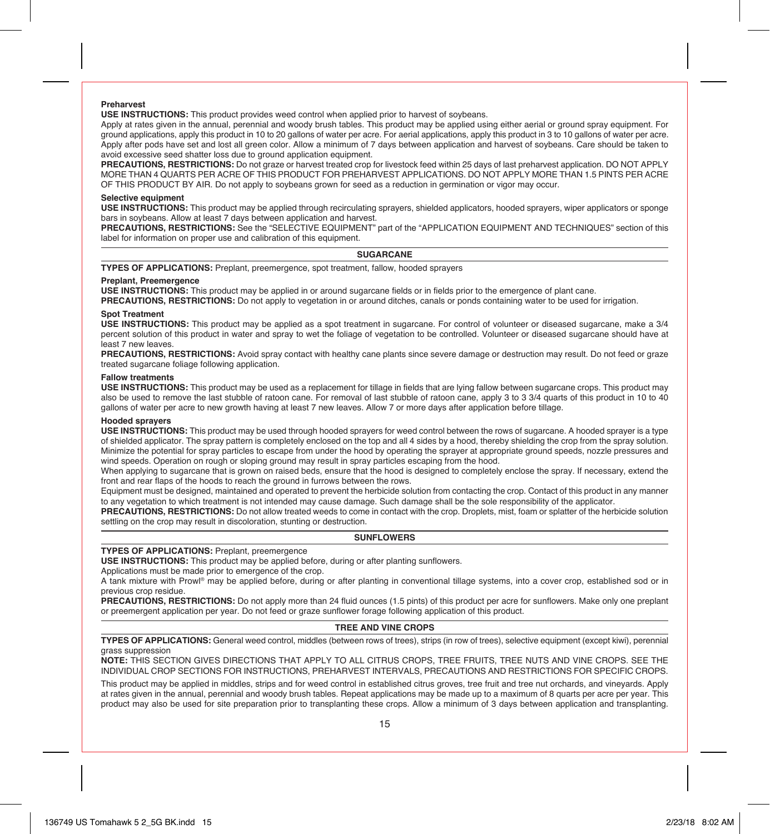### **Preharvest**

**USE INSTRUCTIONS:** This product provides weed control when applied prior to harvest of soybeans.

Apply at rates given in the annual, perennial and woody brush tables. This product may be applied using either aerial or ground spray equipment. For ground applications, apply this product in 10 to 20 gallons of water per acre. For aerial applications, apply this product in 3 to 10 gallons of water per acre. Apply after pods have set and lost all green color. Allow a minimum of 7 days between application and harvest of soybeans. Care should be taken to avoid excessive seed shatter loss due to ground application equipment.

**PRECAUTIONS, RESTRICTIONS:** Do not graze or harvest treated crop for livestock feed within 25 days of last preharvest application. DO NOT APPLY MORE THAN 4 QUARTS PER ACRE OF THIS PRODUCT FOR PREHARVEST APPLICATIONS. DO NOT APPLY MORE THAN 1.5 PINTS PER ACRE OF THIS PRODUCT BY AIR. Do not apply to soybeans grown for seed as a reduction in germination or vigor may occur.

### **Selective equipment**

**USE INSTRUCTIONS:** This product may be applied through recirculating sprayers, shielded applicators, hooded sprayers, wiper applicators or sponge bars in soybeans. Allow at least 7 days between application and harvest.

**PRECAUTIONS, RESTRICTIONS:** See the "SELECTIVE EQUIPMENT" part of the "APPLICATION EQUIPMENT AND TECHNIQUES" section of this label for information on proper use and calibration of this equipment.

### **SUGARCANE**

**TYPES OF APPLICATIONS:** Preplant, preemergence, spot treatment, fallow, hooded sprayers

### **Preplant, Preemergence**

**USE INSTRUCTIONS:** This product may be applied in or around sugarcane fields or in fields prior to the emergence of plant cane.

**PRECAUTIONS, RESTRICTIONS:** Do not apply to vegetation in or around ditches, canals or ponds containing water to be used for irrigation.

### **Spot Treatment**

**USE INSTRUCTIONS:** This product may be applied as a spot treatment in sugarcane. For control of volunteer or diseased sugarcane, make a 3/4 percent solution of this product in water and spray to wet the foliage of vegetation to be controlled. Volunteer or diseased sugarcane should have at least 7 new leaves.

**PRECAUTIONS, RESTRICTIONS:** Avoid spray contact with healthy cane plants since severe damage or destruction may result. Do not feed or graze treated sugarcane foliage following application.

### **Fallow treatments**

**USE INSTRUCTIONS:** This product may be used as a replacement for tillage in fields that are lying fallow between sugarcane crops. This product may also be used to remove the last stubble of ratoon cane. For removal of last stubble of ratoon cane, apply 3 to 3 3/4 quarts of this product in 10 to 40 gallons of water per acre to new growth having at least 7 new leaves. Allow 7 or more days after application before tillage.

### **Hooded sprayers**

**USE INSTRUCTIONS:** This product may be used through hooded sprayers for weed control between the rows of sugarcane. A hooded sprayer is a type of shielded applicator. The spray pattern is completely enclosed on the top and all 4 sides by a hood, thereby shielding the crop from the spray solution. Minimize the potential for spray particles to escape from under the hood by operating the sprayer at appropriate ground speeds, nozzle pressures and wind speeds. Operation on rough or sloping ground may result in spray particles escaping from the hood.

When applying to sugarcane that is grown on raised beds, ensure that the hood is designed to completely enclose the spray. If necessary, extend the front and rear flaps of the hoods to reach the ground in furrows between the rows.

Equipment must be designed, maintained and operated to prevent the herbicide solution from contacting the crop. Contact of this product in any manner to any vegetation to which treatment is not intended may cause damage. Such damage shall be the sole responsibility of the applicator.

**PRECAUTIONS, RESTRICTIONS:** Do not allow treated weeds to come in contact with the crop. Droplets, mist, foam or splatter of the herbicide solution settling on the crop may result in discoloration, stunting or destruction.

### **SUNFLOWERS**

### **TYPES OF APPLICATIONS:** Preplant, preemergence

**USE INSTRUCTIONS:** This product may be applied before, during or after planting sunflowers.

Applications must be made prior to emergence of the crop.

A tank mixture with Prowl® may be applied before, during or after planting in conventional tillage systems, into a cover crop, established sod or in previous crop residue.

**PRECAUTIONS, RESTRICTIONS:** Do not apply more than 24 fluid ounces (1.5 pints) of this product per acre for sunflowers. Make only one preplant or preemergent application per year. Do not feed or graze sunflower forage following application of this product.

### **TREE AND VINE CROPS**

**TYPES OF APPLICATIONS:** General weed control, middles (between rows of trees), strips (in row of trees), selective equipment (except kiwi), perennial grass suppression

**NOTE:** THIS SECTION GIVES DIRECTIONS THAT APPLY TO ALL CITRUS CROPS, TREE FRUITS, TREE NUTS AND VINE CROPS. SEE THE INDIVIDUAL CROP SECTIONS FOR INSTRUCTIONS, PREHARVEST INTERVALS, PRECAUTIONS AND RESTRICTIONS FOR SPECIFIC CROPS.

This product may be applied in middles, strips and for weed control in established citrus groves, tree fruit and tree nut orchards, and vineyards. Apply at rates given in the annual, perennial and woody brush tables. Repeat applications may be made up to a maximum of 8 quarts per acre per year. This product may also be used for site preparation prior to transplanting these crops. Allow a minimum of 3 days between application and transplanting.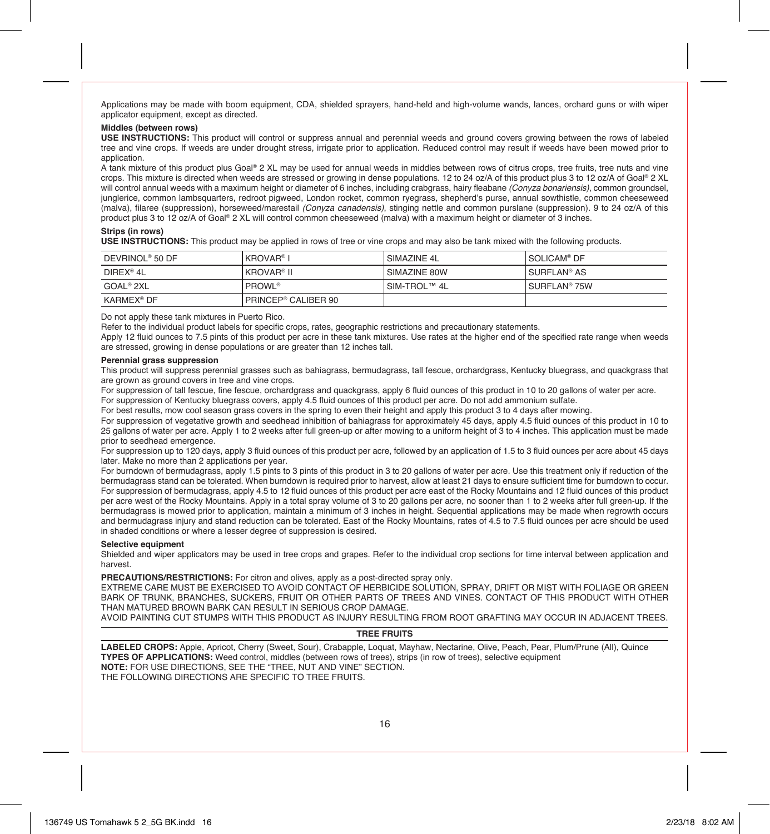Applications may be made with boom equipment, CDA, shielded sprayers, hand-held and high-volume wands, lances, orchard guns or with wiper applicator equipment, except as directed.

### **Middles (between rows)**

**USE INSTRUCTIONS:** This product will control or suppress annual and perennial weeds and ground covers growing between the rows of labeled tree and vine crops. If weeds are under drought stress, irrigate prior to application. Reduced control may result if weeds have been mowed prior to application.

A tank mixture of this product plus Goal® 2 XL may be used for annual weeds in middles between rows of citrus crops, tree fruits, tree nuts and vine crops. This mixture is directed when weeds are stressed or growing in dense populations. 12 to 24 oz/A of this product plus 3 to 12 oz/A of Goal® 2 XL will control annual weeds with a maximum height or diameter of 6 inches, including crabgrass, hairy fleabane *(Conyza bonariensis)*, common groundsel, junglerice, common lambsquarters, redroot pigweed, London rocket, common ryegrass, shepherd's purse, annual sowthistle, common cheeseweed (malva), filaree (suppression), horseweed/marestail *(Conyza canadensis)*, stinging nettle and common purslane (suppression). 9 to 24 oz/A of this product plus 3 to 12 oz/A of Goal® 2 XL will control common cheeseweed (malva) with a maximum height or diameter of 3 inches.

### **Strips (in rows)**

**USE INSTRUCTIONS:** This product may be applied in rows of tree or vine crops and may also be tank mixed with the following products.

| DEVRINOL <sup>®</sup> 50 DF  | KROVAR® I              | <b>SIMAZINE 4L</b> | l SOLICAM® DF            |
|------------------------------|------------------------|--------------------|--------------------------|
| $DIREX^{\circledcirc}$ 4L    | KROVAR <sup>®</sup> II | SIMAZINE 80W       | I SURFLAN® AS            |
| GOAL <sup>®</sup> 2XL        | PROWL <sup>®</sup>     | I SIM-TROL™ 4L     | SURFLAN <sup>®</sup> 75W |
| <b>KARMEX<sup>®</sup> DF</b> | PRINCEP® CALIBER 90    |                    |                          |

Do not apply these tank mixtures in Puerto Rico.

Refer to the individual product labels for specific crops, rates, geographic restrictions and precautionary statements.

Apply 12 fluid ounces to 7.5 pints of this product per acre in these tank mixtures. Use rates at the higher end of the specified rate range when weeds are stressed, growing in dense populations or are greater than 12 inches tall.

### **Perennial grass suppression**

This product will suppress perennial grasses such as bahiagrass, bermudagrass, tall fescue, orchardgrass, Kentucky bluegrass, and quackgrass that are grown as ground covers in tree and vine crops.

For suppression of tall fescue, fine fescue, orchardgrass and quackgrass, apply 6 fluid ounces of this product in 10 to 20 gallons of water per acre. For suppression of Kentucky bluegrass covers, apply 4.5 fluid ounces of this product per acre. Do not add ammonium sulfate.

For best results, mow cool season grass covers in the spring to even their height and apply this product 3 to 4 days after mowing.

For suppression of vegetative growth and seedhead inhibition of bahiagrass for approximately 45 days, apply 4.5 fluid ounces of this product in 10 to 25 gallons of water per acre. Apply 1 to 2 weeks after full green-up or after mowing to a uniform height of 3 to 4 inches. This application must be made prior to seedhead emergence.

For suppression up to 120 days, apply 3 fluid ounces of this product per acre, followed by an application of 1.5 to 3 fluid ounces per acre about 45 days later. Make no more than 2 applications per year.

For burndown of bermudagrass, apply 1.5 pints to 3 pints of this product in 3 to 20 gallons of water per acre. Use this treatment only if reduction of the bermudagrass stand can be tolerated. When burndown is required prior to harvest, allow at least 21 days to ensure sufficient time for burndown to occur. For suppression of bermudagrass, apply 4.5 to 12 fluid ounces of this product per acre east of the Rocky Mountains and 12 fluid ounces of this product per acre west of the Rocky Mountains. Apply in a total spray volume of 3 to 20 gallons per acre, no sooner than 1 to 2 weeks after full green-up. If the bermudagrass is mowed prior to application, maintain a minimum of 3 inches in height. Sequential applications may be made when regrowth occurs and bermudagrass injury and stand reduction can be tolerated. East of the Rocky Mountains, rates of 4.5 to 7.5 fluid ounces per acre should be used in shaded conditions or where a lesser degree of suppression is desired.

### **Selective equipment**

Shielded and wiper applicators may be used in tree crops and grapes. Refer to the individual crop sections for time interval between application and harvest.

**PRECAUTIONS/RESTRICTIONS:** For citron and olives, apply as a post-directed spray only.

EXTREME CARE MUST BE EXERCISED TO AVOID CONTACT OF HERBICIDE SOLUTION, SPRAY, DRIFT OR MIST WITH FOLIAGE OR GREEN BARK OF TRUNK, BRANCHES, SUCKERS, FRUIT OR OTHER PARTS OF TREES AND VINES. CONTACT OF THIS PRODUCT WITH OTHER THAN MATURED BROWN BARK CAN RESULT IN SERIOUS CROP DAMAGE.

AVOID PAINTING CUT STUMPS WITH THIS PRODUCT AS INJURY RESULTING FROM ROOT GRAFTING MAY OCCUR IN ADJACENT TREES.

### **TREE FRUITS**

LABELED CROPS: Apple, Apricot, Cherry (Sweet, Sour), Crabapple, Loquat, Mayhaw, Nectarine, Olive, Peach, Pear, Plum/Prune (All), Quince **TYPES OF APPLICATIONS:** Weed control, middles (between rows of trees), strips (in row of trees), selective equipment **NOTE:** FOR USE DIRECTIONS, SEE THE "TREE, NUT AND VINE" SECTION. THE FOLLOWING DIRECTIONS ARE SPECIFIC TO TREE FRUITS.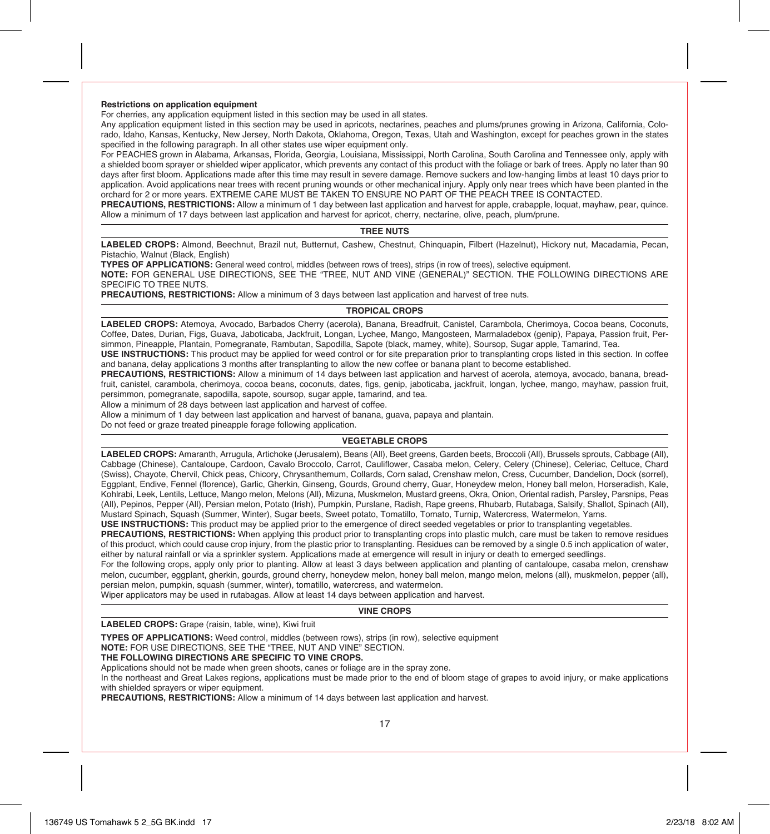### **Restrictions on application equipment**

For cherries, any application equipment listed in this section may be used in all states.

Any application equipment listed in this section may be used in apricots, nectarines, peaches and plums/prunes growing in Arizona, California, Colorado, Idaho, Kansas, Kentucky, New Jersey, North Dakota, Oklahoma, Oregon, Texas, Utah and Washington, except for peaches grown in the states specified in the following paragraph. In all other states use wiper equipment only.

For PEACHES grown in Alabama, Arkansas, Florida, Georgia, Louisiana, Mississippi, North Carolina, South Carolina and Tennessee only, apply with a shielded boom sprayer or shielded wiper applicator, which prevents any contact of this product with the foliage or bark of trees. Apply no later than 90 days after first bloom. Applications made after this time may result in severe damage. Remove suckers and low-hanging limbs at least 10 days prior to application. Avoid applications near trees with recent pruning wounds or other mechanical injury. Apply only near trees which have been planted in the orchard for 2 or more years. EXTREME CARE MUST BE TAKEN TO ENSURE NO PART OF THE PEACH TREE IS CONTACTED.

**PRECAUTIONS, RESTRICTIONS:** Allow a minimum of 1 day between last application and harvest for apple, crabapple, loquat, mayhaw, pear, quince. Allow a minimum of 17 days between last application and harvest for apricot, cherry, nectarine, olive, peach, plum/prune.

### **TREE NUTS**

**LABELED CROPS:** Almond, Beechnut, Brazil nut, Butternut, Cashew, Chestnut, Chinquapin, Filbert (Hazelnut), Hickory nut, Macadamia, Pecan, Pistachio, Walnut (Black, English)

**TYPES OF APPLICATIONS:** General weed control, middles (between rows of trees), strips (in row of trees), selective equipment.

**NOTE:** FOR GENERAL USE DIRECTIONS, SEE THE "TREE, NUT AND VINE (GENERAL)" SECTION. THE FOLLOWING DIRECTIONS ARE SPECIFIC TO TREE NUTS.

**PRECAUTIONS, RESTRICTIONS:** Allow a minimum of 3 days between last application and harvest of tree nuts.

### **TROPICAL CROPS**

**LABELED CROPS:** Atemoya, Avocado, Barbados Cherry (acerola), Banana, Breadfruit, Canistel, Carambola, Cherimoya, Cocoa beans, Coconuts, Coffee, Dates, Durian, Figs, Guava, Jaboticaba, Jackfruit, Longan, Lychee, Mango, Mangosteen, Marmaladebox (genip), Papaya, Passion fruit, Persimmon, Pineapple, Plantain, Pomegranate, Rambutan, Sapodilla, Sapote (black, mamey, white), Soursop, Sugar apple, Tamarind, Tea.

**USE INSTRUCTIONS:** This product may be applied for weed control or for site preparation prior to transplanting crops listed in this section. In coffee and banana, delay applications 3 months after transplanting to allow the new coffee or banana plant to become established.

**PRECAUTIONS, RESTRICTIONS:** Allow a minimum of 14 days between last application and harvest of acerola, atemoya, avocado, banana, breadfruit, canistel, carambola, cherimoya, cocoa beans, coconuts, dates, figs, genip, jaboticaba, jackfruit, longan, lychee, mango, mayhaw, passion fruit, persimmon, pomegranate, sapodilla, sapote, soursop, sugar apple, tamarind, and tea.

Allow a minimum of 28 days between last application and harvest of coffee.

Allow a minimum of 1 day between last application and harvest of banana, guava, papaya and plantain.

Do not feed or graze treated pineapple forage following application.

### **VEGETABLE CROPS**

**LABELED CROPS:** Amaranth, Arrugula, Artichoke (Jerusalem), Beans (All), Beet greens, Garden beets, Broccoli (All), Brussels sprouts, Cabbage (All), Cabbage (Chinese), Cantaloupe, Cardoon, Cavalo Broccolo, Carrot, Cauliflower, Casaba melon, Celery, Celery (Chinese), Celeriac, Celtuce, Chard (Swiss), Chayote, Chervil, Chick peas, Chicory, Chrysanthemum, Collards, Corn salad, Crenshaw melon, Cress, Cucumber, Dandelion, Dock (sorrel), Eggplant, Endive, Fennel (florence), Garlic, Gherkin, Ginseng, Gourds, Ground cherry, Guar, Honeydew melon, Honey ball melon, Horseradish, Kale, Kohlrabi, Leek, Lentils, Lettuce, Mango melon, Melons (All), Mizuna, Muskmelon, Mustard greens, Okra, Onion, Oriental radish, Parsley, Parsnips, Peas (All), Pepinos, Pepper (All), Persian melon, Potato (Irish), Pumpkin, Purslane, Radish, Rape greens, Rhubarb, Rutabaga, Salsify, Shallot, Spinach (All), Mustard Spinach, Squash (Summer, Winter), Sugar beets, Sweet potato, Tomatillo, Tomato, Turnip, Watercress, Watermelon, Yams.

**USE INSTRUCTIONS:** This product may be applied prior to the emergence of direct seeded vegetables or prior to transplanting vegetables.

**PRECAUTIONS, RESTRICTIONS:** When applying this product prior to transplanting crops into plastic mulch, care must be taken to remove residues of this product, which could cause crop injury, from the plastic prior to transplanting. Residues can be removed by a single 0.5 inch application of water, either by natural rainfall or via a sprinkler system. Applications made at emergence will result in injury or death to emerged seedlings.

For the following crops, apply only prior to planting. Allow at least 3 days between application and planting of cantaloupe, casaba melon, crenshaw melon, cucumber, eggplant, gherkin, gourds, ground cherry, honeydew melon, honey ball melon, mango melon, melons (all), muskmelon, pepper (all), persian melon, pumpkin, squash (summer, winter), tomatillo, watercress, and watermelon.

Wiper applicators may be used in rutabagas. Allow at least 14 days between application and harvest.

### **VINE CROPS**

**LABELED CROPS:** Grape (raisin, table, wine), Kiwi fruit

**TYPES OF APPLICATIONS:** Weed control, middles (between rows), strips (in row), selective equipment

**NOTE:** FOR USE DIRECTIONS, SEE THE "TREE, NUT AND VINE" SECTION.

### **THE FOLLOWING DIRECTIONS ARE SPECIFIC TO VINE CROPS.**

Applications should not be made when green shoots, canes or foliage are in the spray zone.

In the northeast and Great Lakes regions, applications must be made prior to the end of bloom stage of grapes to avoid injury, or make applications with shielded sprayers or wiper equipment.

**PRECAUTIONS, RESTRICTIONS:** Allow a minimum of 14 days between last application and harvest.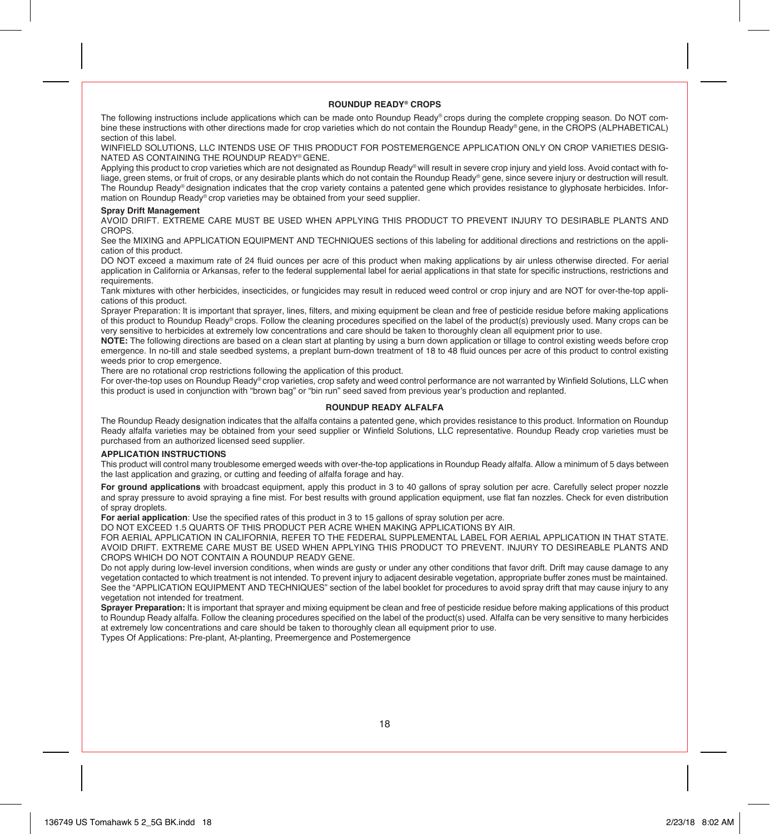### **ROUNDUP READY® CROPS**

The following instructions include applications which can be made onto Roundup Ready® crops during the complete cropping season. Do NOT combine these instructions with other directions made for crop varieties which do not contain the Roundup Ready® gene, in the CROPS (ALPHABETICAL) section of this label.

WINFIELD SOLUTIONS, LLC INTENDS USE OF THIS PRODUCT FOR POSTEMERGENCE APPLICATION ONLY ON CROP VARIETIES DESIG-NATED AS CONTAINING THE ROUNDUP READY® GENE.

Applying this product to crop varieties which are not designated as Roundup Ready® will result in severe crop injury and yield loss. Avoid contact with foliage, green stems, or fruit of crops, or any desirable plants which do not contain the Roundup Ready® gene, since severe injury or destruction will result. The Roundup Ready® designation indicates that the crop variety contains a patented gene which provides resistance to glyphosate herbicides. Information on Roundup Ready® crop varieties may be obtained from your seed supplier.

### **Spray Drift Management**

AVOID DRIFT. EXTREME CARE MUST BE USED WHEN APPLYING THIS PRODUCT TO PREVENT INJURY TO DESIRABLE PLANTS AND CROPS.

See the MIXING and APPLICATION EQUIPMENT AND TECHNIQUES sections of this labeling for additional directions and restrictions on the application of this product.

DO NOT exceed a maximum rate of 24 fluid ounces per acre of this product when making applications by air unless otherwise directed. For aerial application in California or Arkansas, refer to the federal supplemental label for aerial applications in that state for specific instructions, restrictions and requirements.

Tank mixtures with other herbicides, insecticides, or fungicides may result in reduced weed control or crop injury and are NOT for over-the-top applications of this product.

Sprayer Preparation: It is important that sprayer, lines, filters, and mixing equipment be clean and free of pesticide residue before making applications of this product to Roundup Ready® crops. Follow the cleaning procedures specified on the label of the product(s) previously used. Many crops can be very sensitive to herbicides at extremely low concentrations and care should be taken to thoroughly clean all equipment prior to use.

**NOTE:** The following directions are based on a clean start at planting by using a burn down application or tillage to control existing weeds before crop emergence. In no-till and stale seedbed systems, a preplant burn-down treatment of 18 to 48 fluid ounces per acre of this product to control existing weeds prior to crop emergence.

There are no rotational crop restrictions following the application of this product.

For over-the-top uses on Roundup Ready® crop varieties, crop safety and weed control performance are not warranted by Winfield Solutions, LLC when this product is used in conjunction with "brown bag" or "bin run" seed saved from previous year's production and replanted.

### **ROUNDUP READY ALFALFA**

The Roundup Ready designation indicates that the alfalfa contains a patented gene, which provides resistance to this product. Information on Roundup Ready alfalfa varieties may be obtained from your seed supplier or Winfield Solutions, LLC representative. Roundup Ready crop varieties must be purchased from an authorized licensed seed supplier.

### **APPLICATION INSTRUCTIONS**

This product will control many troublesome emerged weeds with over-the-top applications in Roundup Ready alfalfa. Allow a minimum of 5 days between the last application and grazing, or cutting and feeding of alfalfa forage and hay.

**For ground applications** with broadcast equipment, apply this product in 3 to 40 gallons of spray solution per acre. Carefully select proper nozzle and spray pressure to avoid spraying a fine mist. For best results with ground application equipment, use flat fan nozzles. Check for even distribution of spray droplets.

**For aerial application:** Use the specified rates of this product in 3 to 15 gallons of spray solution per acre.

DO NOT EXCEED 1.5 QUARTS OF THIS PRODUCT PER ACRE WHEN MAKING APPLICATIONS BY AIR.

FOR AERIAL APPLICATION IN CALIFORNIA, REFER TO THE FEDERAL SUPPLEMENTAL LABEL FOR AERIAL APPLICATION IN THAT STATE. AVOID DRIFT. EXTREME CARE MUST BE USED WHEN APPLYING THIS PRODUCT TO PREVENT. INJURY TO DESIREABLE PLANTS AND CROPS WHICH DO NOT CONTAIN A ROUNDUP READY GENE.

Do not apply during low-level inversion conditions, when winds are gusty or under any other conditions that favor drift. Drift may cause damage to any vegetation contacted to which treatment is not intended. To prevent injury to adjacent desirable vegetation, appropriate buffer zones must be maintained. See the "APPLICATION EQUIPMENT AND TECHNIQUES" section of the label booklet for procedures to avoid spray drift that may cause injury to any vegetation not intended for treatment.

**Sprayer Preparation:** It is important that sprayer and mixing equipment be clean and free of pesticide residue before making applications of this product to Roundup Ready alfalfa. Follow the cleaning procedures specified on the label of the product(s) used. Alfalfa can be very sensitive to many herbicides at extremely low concentrations and care should be taken to thoroughly clean all equipment prior to use.

Types Of Applications: Pre-plant, At-planting, Preemergence and Postemergence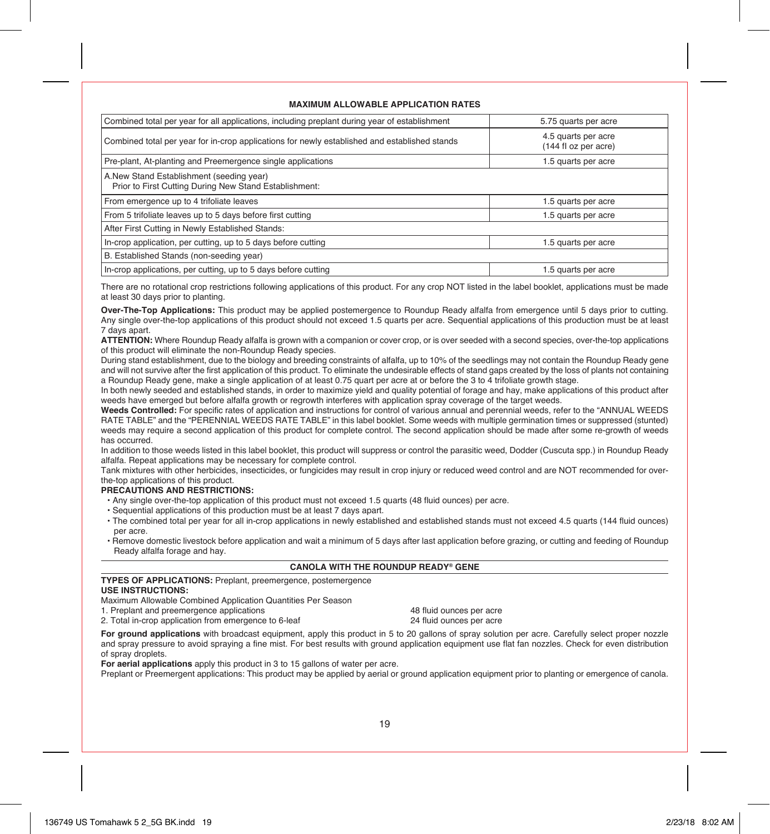### **MAXIMUM ALLOWABLE APPLICATION RATES**

| Combined total per year for all applications, including preplant during year of establishment      | 5.75 quarts per acre                        |  |  |
|----------------------------------------------------------------------------------------------------|---------------------------------------------|--|--|
| Combined total per year for in-crop applications for newly established and established stands      | 4.5 quarts per acre<br>(144 fl oz per acre) |  |  |
| Pre-plant, At-planting and Preemergence single applications                                        | 1.5 quarts per acre                         |  |  |
| A.New Stand Establishment (seeding year)<br>Prior to First Cutting During New Stand Establishment: |                                             |  |  |
| From emergence up to 4 trifoliate leaves                                                           | 1.5 quarts per acre                         |  |  |
| From 5 trifoliate leaves up to 5 days before first cutting                                         | 1.5 quarts per acre                         |  |  |
| After First Cutting in Newly Established Stands:                                                   |                                             |  |  |
| In-crop application, per cutting, up to 5 days before cutting<br>1.5 quarts per acre               |                                             |  |  |
| B. Established Stands (non-seeding year)                                                           |                                             |  |  |
| In-crop applications, per cutting, up to 5 days before cutting                                     | 1.5 quarts per acre                         |  |  |

There are no rotational crop restrictions following applications of this product. For any crop NOT listed in the label booklet, applications must be made at least 30 days prior to planting.

**Over-The-Top Applications:** This product may be applied postemergence to Roundup Ready alfalfa from emergence until 5 days prior to cutting. Any single over-the-top applications of this product should not exceed 1.5 quarts per acre. Sequential applications of this production must be at least 7 days apart.

**ATTENTION:** Where Roundup Ready alfalfa is grown with a companion or cover crop, or is over seeded with a second species, over-the-top applications of this product will eliminate the non-Roundup Ready species.

During stand establishment, due to the biology and breeding constraints of alfalfa, up to 10% of the seedlings may not contain the Roundup Ready gene and will not survive after the first application of this product. To eliminate the undesirable effects of stand gaps created by the loss of plants not containing a Roundup Ready gene, make a single application of at least 0.75 quart per acre at or before the 3 to 4 trifoliate growth stage.

In both newly seeded and established stands, in order to maximize yield and quality potential of forage and hay, make applications of this product after weeds have emerged but before alfalfa growth or regrowth interferes with application spray coverage of the target weeds.

**Weeds Controlled:** For specific rates of application and instructions for control of various annual and perennial weeds, refer to the "ANNUAL WEEDS RATE TABLE" and the "PERENNIAL WEEDS RATE TABLE" in this label booklet. Some weeds with multiple germination times or suppressed (stunted) weeds may require a second application of this product for complete control. The second application should be made after some re-growth of weeds has occurred.

In addition to those weeds listed in this label booklet, this product will suppress or control the parasitic weed, Dodder (Cuscuta spp.) in Roundup Ready alfalfa. Repeat applications may be necessary for complete control.

Tank mixtures with other herbicides, insecticides, or fungicides may result in crop injury or reduced weed control and are NOT recommended for overthe-top applications of this product.

### **PRECAUTIONS AND RESTRICTIONS:**

- Any single over-the-top application of this product must not exceed 1.5 quarts (48 fluid ounces) per acre.
- Sequential applications of this production must be at least 7 days apart.
- The combined total per year for all in-crop applications in newly established and established stands must not exceed 4.5 quarts (144 fluid ounces) per acre.
- Remove domestic livestock before application and wait a minimum of 5 days after last application before grazing, or cutting and feeding of Roundup Ready alfalfa forage and hay.

### **CANOLA WITH THE ROUNDUP READY® GENE**

### **TYPES OF APPLICATIONS:** Preplant, preemergence, postemergence

### **USE INSTRUCTIONS:**

Maximum Allowable Combined Application Quantities Per Season

- 1. Preplant and preemergence applications and the state of the 48 fluid ounces per acre<br>1. Total in-crop application from emergence to 6-leaf and the state of the 24 fluid ounces per acre
- 2. Total in-crop application from emergence to 6-leaf

**For ground applications** with broadcast equipment, apply this product in 5 to 20 gallons of spray solution per acre. Carefully select proper nozzle and spray pressure to avoid spraying a fine mist. For best results with ground application equipment use flat fan nozzles. Check for even distribution of spray droplets.

**For aerial applications** apply this product in 3 to 15 gallons of water per acre.

Preplant or Preemergent applications: This product may be applied by aerial or ground application equipment prior to planting or emergence of canola.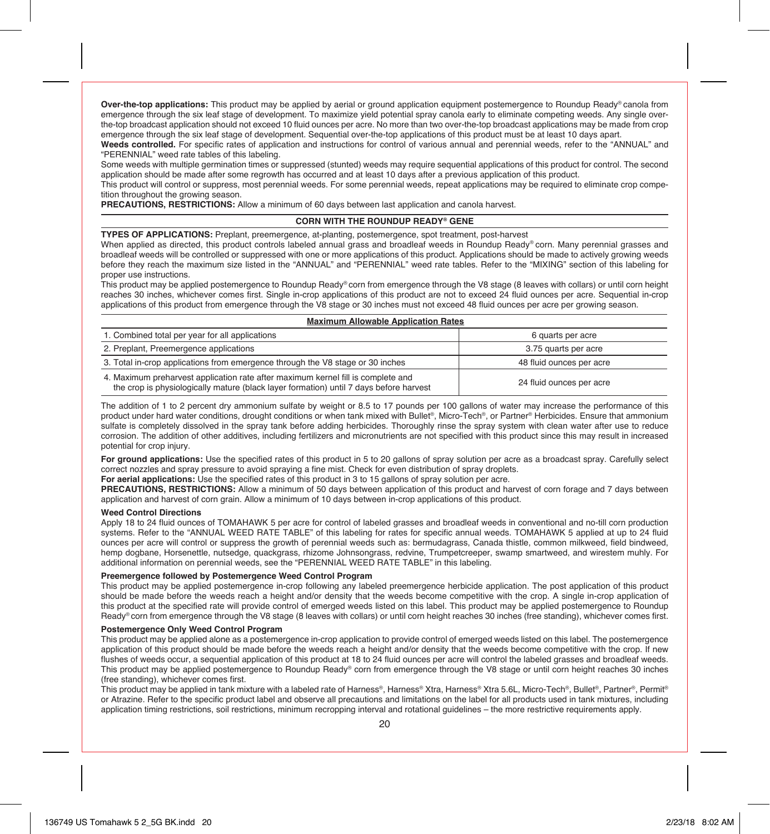**Over-the-top applications:** This product may be applied by aerial or ground application equipment postemergence to Roundup Ready® canola from emergence through the six leaf stage of development. To maximize yield potential spray canola early to eliminate competing weeds. Any single overthe-top broadcast application should not exceed 10 fluid ounces per acre. No more than two over-the-top broadcast applications may be made from crop emergence through the six leaf stage of development. Sequential over-the-top applications of this product must be at least 10 days apart.

**Weeds controlled.** For specific rates of application and instructions for control of various annual and perennial weeds, refer to the "ANNUAL" and "PERENNIAL" weed rate tables of this labeling.

Some weeds with multiple germination times or suppressed (stunted) weeds may require sequential applications of this product for control. The second application should be made after some regrowth has occurred and at least 10 days after a previous application of this product.

This product will control or suppress, most perennial weeds. For some perennial weeds, repeat applications may be required to eliminate crop competition throughout the growing season.

**PRECAUTIONS, RESTRICTIONS:** Allow a minimum of 60 days between last application and canola harvest.

### **CORN WITH THE ROUNDUP READY® GENE**

**TYPES OF APPLICATIONS:** Preplant, preemergence, at-planting, postemergence, spot treatment, post-harvest

When applied as directed, this product controls labeled annual grass and broadleaf weeds in Roundup Ready® corn. Many perennial grasses and broadleaf weeds will be controlled or suppressed with one or more applications of this product. Applications should be made to actively growing weeds before they reach the maximum size listed in the "ANNUAL" and "PERENNIAL" weed rate tables. Refer to the "MIXING" section of this labeling for proper use instructions.

This product may be applied postemergence to Roundup Ready® corn from emergence through the V8 stage (8 leaves with collars) or until corn height reaches 30 inches, whichever comes first. Single in-crop applications of this product are not to exceed 24 fluid ounces per acre. Sequential in-crop applications of this product from emergence through the V8 stage or 30 inches must not exceed 48 fluid ounces per acre per growing season.

| <b>Maximum Allowable Application Rates</b>                                                                                                                                 |                          |
|----------------------------------------------------------------------------------------------------------------------------------------------------------------------------|--------------------------|
| 1. Combined total per year for all applications                                                                                                                            | 6 quarts per acre        |
| 2. Preplant, Preemergence applications                                                                                                                                     | 3.75 quarts per acre     |
| 3. Total in-crop applications from emergence through the V8 stage or 30 inches                                                                                             | 48 fluid ounces per acre |
| 4. Maximum preharvest application rate after maximum kernel fill is complete and<br>the crop is physiologically mature (black layer formation) until 7 days before harvest | 24 fluid ounces per acre |

The addition of 1 to 2 percent dry ammonium sulfate by weight or 8.5 to 17 pounds per 100 gallons of water may increase the performance of this product under hard water conditions, drought conditions or when tank mixed with Bullet®, Micro-Tech®, or Partner® Herbicides. Ensure that ammonium sulfate is completely dissolved in the spray tank before adding herbicides. Thoroughly rinse the spray system with clean water after use to reduce corrosion. The addition of other additives, including fertilizers and micronutrients are not specified with this product since this may result in increased potential for crop injury.

For ground applications: Use the specified rates of this product in 5 to 20 gallons of spray solution per acre as a broadcast spray. Carefully select correct nozzles and spray pressure to avoid spraying a fine mist. Check for even distribution of spray droplets.

**For aerial applications:** Use the specified rates of this product in 3 to 15 gallons of spray solution per acre.

**PRECAUTIONS, RESTRICTIONS:** Allow a minimum of 50 days between application of this product and harvest of corn forage and 7 days between application and harvest of corn grain. Allow a minimum of 10 days between in-crop applications of this product.

### **Weed Control Directions**

Apply 18 to 24 fluid ounces of TOMAHAWK 5 per acre for control of labeled grasses and broadleaf weeds in conventional and no-till corn production systems. Refer to the "ANNUAL WEED RATE TABLE" of this labeling for rates for specific annual weeds. TOMAHAWK 5 applied at up to 24 fluid ounces per acre will control or suppress the growth of perennial weeds such as: bermudagrass, Canada thistle, common milkweed, field bindweed, hemp dogbane, Horsenettle, nutsedge, quackgrass, rhizome Johnsongrass, redvine, Trumpetcreeper, swamp smartweed, and wirestem muhly. For additional information on perennial weeds, see the "PERENNIAL WEED RATE TABLE" in this labeling.

### **Preemergence followed by Postemergence Weed Control Program**

This product may be applied postemergence in-crop following any labeled preemergence herbicide application. The post application of this product should be made before the weeds reach a height and/or density that the weeds become competitive with the crop. A single in-crop application of this product at the specified rate will provide control of emerged weeds listed on this label. This product may be applied postemergence to Roundup Ready® corn from emergence through the V8 stage (8 leaves with collars) or until corn height reaches 30 inches (free standing), whichever comes first.

### **Postemergence Only Weed Control Program**

This product may be applied alone as a postemergence in-crop application to provide control of emerged weeds listed on this label. The postemergence application of this product should be made before the weeds reach a height and/or density that the weeds become competitive with the crop. If new flushes of weeds occur, a sequential application of this product at 18 to 24 fluid ounces per acre will control the labeled grasses and broadleaf weeds. This product may be applied postemergence to Roundup Ready® corn from emergence through the V8 stage or until corn height reaches 30 inches (free standing), whichever comes first.

This product may be applied in tank mixture with a labeled rate of Harness®, Harness® Xtra, Harness® Xtra 5.6L, Micro-Tech®, Bullet®, Partner®, Permit® or Atrazine. Refer to the specific product label and observe all precautions and limitations on the label for all products used in tank mixtures, including application timing restrictions, soil restrictions, minimum recropping interval and rotational guidelines – the more restrictive requirements apply.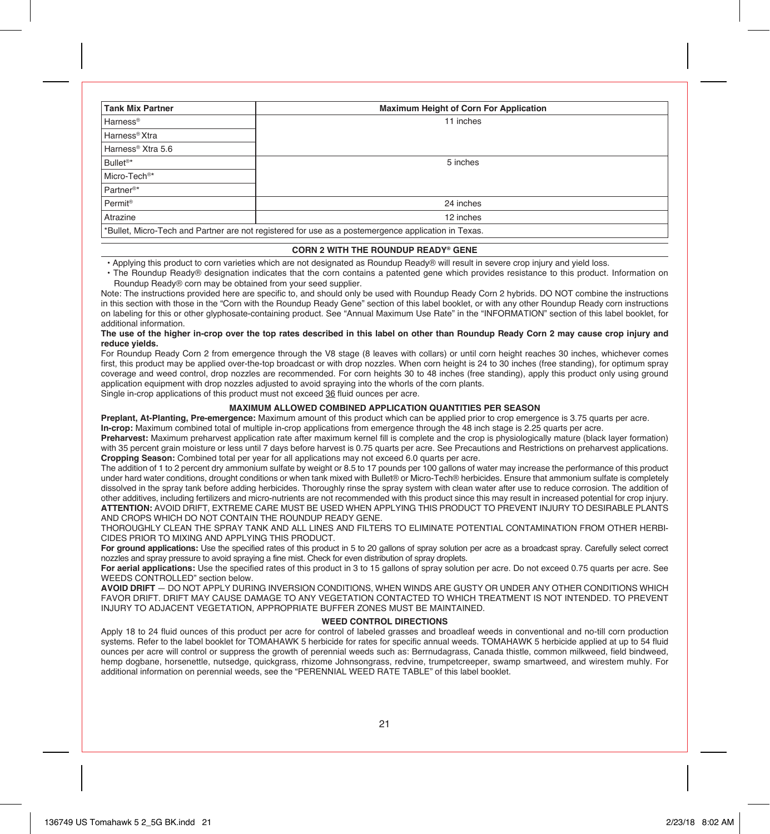| <b>Tank Mix Partner</b>                                                                             | Maximum Height of Corn For Application |
|-----------------------------------------------------------------------------------------------------|----------------------------------------|
| Harness <sup>®</sup>                                                                                | 11 inches                              |
| Harness <sup>®</sup> Xtra                                                                           |                                        |
| Harness <sup>®</sup> Xtra 5.6                                                                       |                                        |
| Bullet®*                                                                                            | 5 inches                               |
| Micro-Tech <sup>®*</sup>                                                                            |                                        |
| Partner®*                                                                                           |                                        |
| Permit <sup>®</sup>                                                                                 | 24 inches                              |
| Atrazine                                                                                            | 12 inches                              |
| *Bullet, Micro-Tech and Partner are not registered for use as a postemergence application in Texas. |                                        |

### **CORN 2 WITH THE ROUNDUP READY® GENE**

• Applying this product to corn varieties which are not designated as Roundup Ready® will result in severe crop injury and yield loss.

• The Roundup Ready® designation indicates that the corn contains a patented gene which provides resistance to this product. Information on Roundup Ready® corn may be obtained from your seed supplier.

Note: The instructions provided here are specific to, and should only be used with Roundup Ready Corn 2 hybrids. DO NOT combine the instructions in this section with those in the "Corn with the Roundup Ready Gene" section of this label booklet, or with any other Roundup Ready corn instructions on labeling for this or other glyphosate-containing product. See "Annual Maximum Use Rate" in the "INFORMATION" section of this label booklet, for additional information.

### **The use of the higher in-crop over the top rates described in this label on other than Roundup Ready Corn 2 may cause crop injury and reduce yields.**

For Roundup Ready Corn 2 from emergence through the V8 stage (8 leaves with collars) or until corn height reaches 30 inches, whichever comes first, this product may be applied over-the-top broadcast or with drop nozzles. When corn height is 24 to 30 inches (free standing), for optimum spray coverage and weed control, drop nozzles are recommended. For corn heights 30 to 48 inches (free standing), apply this product only using ground application equipment with drop nozzles adjusted to avoid spraying into the whorls of the corn plants.

Single in-crop applications of this product must not exceed 36 fluid ounces per acre.

### **MAXIMUM ALLOWED COMBINED APPLICATION QUANTITIES PER SEASON**

**Preplant, At-Planting, Pre-emergence:** Maximum amount of this product which can be applied prior to crop emergence is 3.75 quarts per acre.

**In-crop:** Maximum combined total of multiple in-crop applications from emergence through the 48 inch stage is 2.25 quarts per acre.

**Preharvest:** Maximum preharvest application rate after maximum kernel fill is complete and the crop is physiologically mature (black layer formation) with 35 percent grain moisture or less until 7 days before harvest is 0.75 quarts per acre. See Precautions and Restrictions on preharvest applications. **Cropping Season:** Combined total per year for all applications may not exceed 6.0 quarts per acre.

The addition of 1 to 2 percent dry ammonium sulfate by weight or 8.5 to 17 pounds per 100 gallons of water may increase the performance of this product under hard water conditions, drought conditions or when tank mixed with Bullet® or Micro-Tech® herbicides. Ensure that ammonium sulfate is completely dissolved in the spray tank before adding herbicides. Thoroughly rinse the spray system with clean water after use to reduce corrosion. The addition of other additives, including fertilizers and micro-nutrients are not recommended with this product since this may result in increased potential for crop injury. **ATTENTION:** AVOID DRIFT, EXTREME CARE MUST BE USED WHEN APPLYING THIS PRODUCT TO PREVENT INJURY TO DESIRABLE PLANTS AND CROPS WHICH DO NOT CONTAIN THE ROUNDUP READY GENE.

THOROUGHLY CLEAN THE SPRAY TANK AND ALL LINES AND FILTERS TO ELIMINATE POTENTIAL CONTAMINATION FROM OTHER HERBI-CIDES PRIOR TO MIXING AND APPLYING THIS PRODUCT.

For ground applications: Use the specified rates of this product in 5 to 20 gallons of spray solution per acre as a broadcast spray. Carefully select correct nozzles and spray pressure to avoid spraying a fine mist. Check for even distribution of spray droplets.

**For aerial applications:** Use the specified rates of this product in 3 to 15 gallons of spray solution per acre. Do not exceed 0.75 quarts per acre. See WEEDS CONTROLLED" section below.

**AVOID DRIFT** — DO NOT APPLY DURING INVERSION CONDITIONS, WHEN WINDS ARE GUSTY OR UNDER ANY OTHER CONDITIONS WHICH FAVOR DRIFT. DRIFT MAY CAUSE DAMAGE TO ANY VEGETATION CONTACTED TO WHICH TREATMENT IS NOT INTENDED. TO PREVENT INJURY TO ADJACENT VEGETATION, APPROPRIATE BUFFER ZONES MUST BE MAINTAINED.

### **WEED CONTROL DIRECTIONS**

Apply 18 to 24 fluid ounces of this product per acre for control of labeled grasses and broadleaf weeds in conventional and no-till corn production systems. Refer to the label booklet for TOMAHAWK 5 herbicide for rates for specific annual weeds. TOMAHAWK 5 herbicide applied at up to 54 fluid ounces per acre will control or suppress the growth of perennial weeds such as: Berrnudagrass, Canada thistle, common milkweed, field bindweed, hemp dogbane, horsenettle, nutsedge, quickgrass, rhizome Johnsongrass, redvine, trumpetcreeper, swamp smartweed, and wirestem muhly. For additional information on perennial weeds, see the "PERENNIAL WEED RATE TABLE" of this label booklet.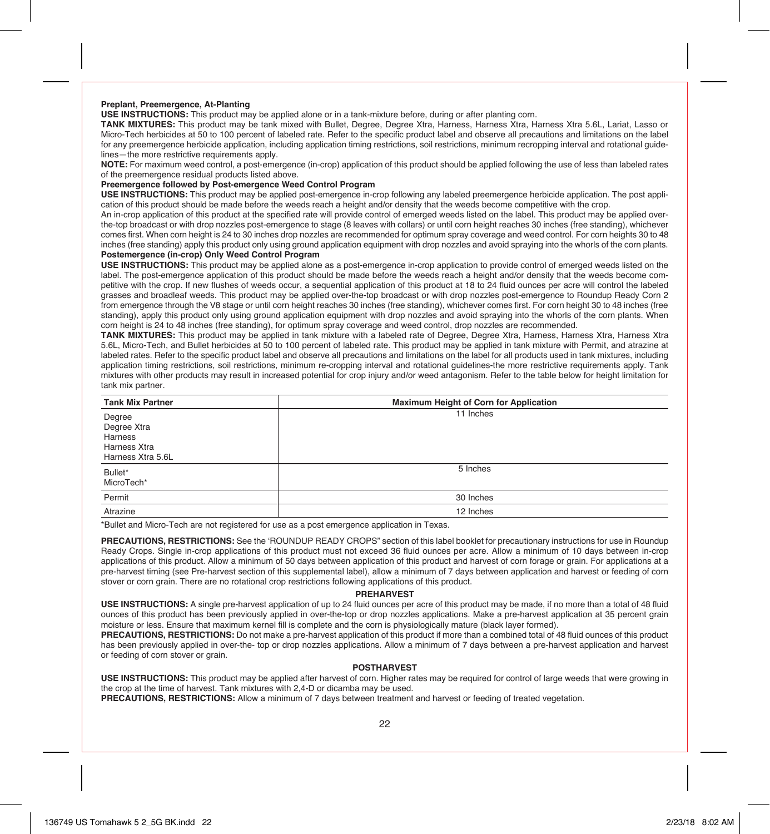### **Preplant, Preemergence, At-Planting**

**USE INSTRUCTIONS:** This product may be applied alone or in a tank-mixture before, during or after planting corn.

**TANK MIXTURES:** This product may be tank mixed with Bullet, Degree, Degree Xtra, Harness, Harness Xtra, Harness Xtra 5.6L, Lariat, Lasso or Micro-Tech herbicides at 50 to 100 percent of labeled rate. Refer to the specific product label and observe all precautions and limitations on the label for any preemergence herbicide application, including application timing restrictions, soil restrictions, minimum recropping interval and rotational quidelines—the more restrictive requirements apply.

**NOTE:** For maximum weed control, a post-emergence (in-crop) application of this product should be applied following the use of less than labeled rates of the preemergence residual products listed above.

### **Preemergence followed by Post-emergence Weed Control Program**

**USE INSTRUCTIONS:** This product may be applied post-emergence in-crop following any labeled preemergence herbicide application. The post application of this product should be made before the weeds reach a height and/or density that the weeds become competitive with the crop.

An in-crop application of this product at the specified rate will provide control of emerged weeds listed on the label. This product may be applied overthe-top broadcast or with drop nozzles post-emergence to stage (8 leaves with collars) or until corn height reaches 30 inches (free standing), whichever comes first. When corn height is 24 to 30 inches drop nozzles are recommended for optimum spray coverage and weed control. For corn heights 30 to 48 inches (free standing) apply this product only using ground application equipment with drop nozzles and avoid spraying into the whorls of the corn plants. **Postemergence (in-crop) Only Weed Control Program**

**USE INSTRUCTIONS:** This product may be applied alone as a post-emergence in-crop application to provide control of emerged weeds listed on the label. The post-emergence application of this product should be made before the weeds reach a height and/or density that the weeds become competitive with the crop. If new flushes of weeds occur, a sequential application of this product at 18 to 24 fluid ounces per acre will control the labeled grasses and broadleaf weeds. This product may be applied over-the-top broadcast or with drop nozzles post-emergence to Roundup Ready Corn 2 from emergence through the V8 stage or until corn height reaches 30 inches (free standing), whichever comes first. For corn height 30 to 48 inches (free standing), apply this product only using ground application equipment with drop nozzles and avoid spraying into the whorls of the corn plants. When corn height is 24 to 48 inches (free standing), for optimum spray coverage and weed control, drop nozzles are recommended.

**TANK MIXTURES:** This product may be applied in tank mixture with a labeled rate of Degree, Degree Xtra, Harness, Harness Xtra, Harness Xtra 5.6L, Micro-Tech, and Bullet herbicides at 50 to 100 percent of labeled rate. This product may be applied in tank mixture with Permit, and atrazine at labeled rates. Refer to the specific product label and observe all precautions and limitations on the label for all products used in tank mixtures, including application timing restrictions, soil restrictions, minimum re-cropping interval and rotational guidelines-the more restrictive requirements apply. Tank mixtures with other products may result in increased potential for crop injury and/or weed antagonism. Refer to the table below for height limitation for tank mix partner.

| <b>Tank Mix Partner</b> | Maximum Height of Corn for Application |
|-------------------------|----------------------------------------|
| Degree                  | 11 Inches                              |
| Degree Xtra             |                                        |
| Harness                 |                                        |
| Harness Xtra            |                                        |
| Harness Xtra 5.6L       |                                        |
| Bullet*                 | 5 Inches                               |
| MicroTech*              |                                        |
| Permit                  | 30 Inches                              |
| Atrazine                | 12 Inches                              |

\*Bullet and Micro-Tech are not registered for use as a post emergence application in Texas.

**PRECAUTIONS, RESTRICTIONS:** See the 'ROUNDUP READY CROPS" section of this label booklet for precautionary instructions for use in Roundup Ready Crops. Single in-crop applications of this product must not exceed 36 fluid ounces per acre. Allow a minimum of 10 days between in-crop applications of this product. Allow a minimum of 50 days between application of this product and harvest of corn forage or grain. For applications at a pre-harvest timing (see Pre-harvest section of this supplemental label), allow a minimum of 7 days between application and harvest or feeding of corn stover or corn grain. There are no rotational crop restrictions following applications of this product.

### **PREHARVEST**

**USE INSTRUCTIONS:** A single pre-harvest application of up to 24 fluid ounces per acre of this product may be made, if no more than a total of 48 fluid ounces of this product has been previously applied in over-the-top or drop nozzles applications. Make a pre-harvest application at 35 percent grain moisture or less. Ensure that maximum kernel fill is complete and the corn is physiologically mature (black layer formed).

**PRECAUTIONS, RESTRICTIONS:** Do not make a pre-harvest application of this product if more than a combined total of 48 fluid ounces of this product has been previously applied in over-the- top or drop nozzles applications. Allow a minimum of 7 days between a pre-harvest application and harvest or feeding of corn stover or grain.

### **POSTHARVEST**

**USE INSTRUCTIONS:** This product may be applied after harvest of corn. Higher rates may be required for control of large weeds that were growing in the crop at the time of harvest. Tank mixtures with 2,4-D or dicamba may be used.

**PRECAUTIONS, RESTRICTIONS:** Allow a minimum of 7 days between treatment and harvest or feeding of treated vegetation.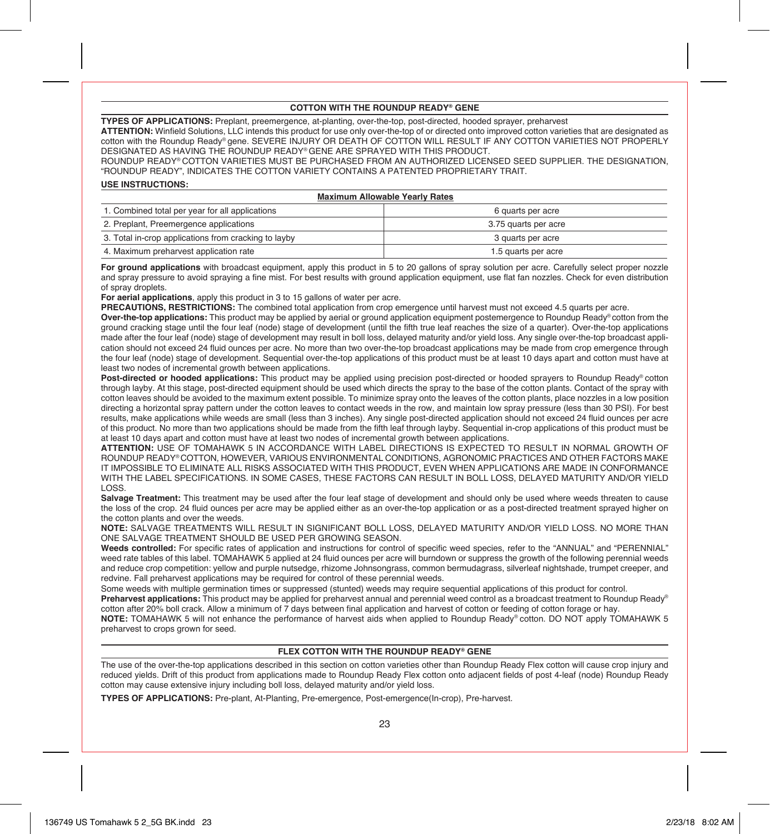### **COTTON WITH THE ROUNDUP READY® GENE**

**TYPES OF APPLICATIONS:** Preplant, preemergence, at-planting, over-the-top, post-directed, hooded sprayer, preharvest

**ATTENTION:** Winfield Solutions, LLC intends this product for use only over-the-top of or directed onto improved cotton varieties that are designated as cotton with the Roundup Ready® gene. SEVERE INJURY OR DEATH OF COTTON WILL RESULT IF ANY COTTON VARIETIES NOT PROPERLY DESIGNATED AS HAVING THE ROUNDUP READY® GENE ARE SPRAYED WITH THIS PRODUCT.

ROUNDUP READY® COTTON VARIETIES MUST BE PURCHASED FROM AN AUTHORIZED LICENSED SEED SUPPLIER. THE DESIGNATION, "ROUNDUP READY", INDICATES THE COTTON VARIETY CONTAINS A PATENTED PROPRIETARY TRAIT.

### **USE INSTRUCTIONS:**

| <b>Maximum Allowable Yearly Rates</b>                |                      |
|------------------------------------------------------|----------------------|
| 1. Combined total per year for all applications      | 6 quarts per acre    |
| 2. Preplant, Preemergence applications               | 3.75 quarts per acre |
| 3. Total in-crop applications from cracking to layby | 3 quarts per acre    |
| 4. Maximum preharvest application rate               | 1.5 quarts per acre  |

For ground applications with broadcast equipment, apply this product in 5 to 20 gallons of spray solution per acre. Carefully select proper nozzle and spray pressure to avoid spraying a fine mist. For best results with ground application equipment, use flat fan nozzles. Check for even distribution of spray droplets.

**For aerial applications**, apply this product in 3 to 15 gallons of water per acre.

**PRECAUTIONS, RESTRICTIONS:** The combined total application from crop emergence until harvest must not exceed 4.5 quarts per acre.

**Over-the-top applications:** This product may be applied by aerial or ground application equipment postemergence to Roundup Ready® cotton from the ground cracking stage until the four leaf (node) stage of development (until the fifth true leaf reaches the size of a quarter). Over-the-top applications made after the four leaf (node) stage of development may result in boll loss, delayed maturity and/or yield loss. Any single over-the-top broadcast application should not exceed 24 fluid ounces per acre. No more than two over-the-top broadcast applications may be made from crop emergence through the four leaf (node) stage of development. Sequential over-the-top applications of this product must be at least 10 days apart and cotton must have at least two nodes of incremental growth between applications.

**Post-directed or hooded applications:** This product may be applied using precision post-directed or hooded sprayers to Roundup Ready® cotton through layby. At this stage, post-directed equipment should be used which directs the spray to the base of the cotton plants. Contact of the spray with cotton leaves should be avoided to the maximum extent possible. To minimize spray onto the leaves of the cotton plants, place nozzles in a low position directing a horizontal spray pattern under the cotton leaves to contact weeds in the row, and maintain low spray pressure (less than 30 PSI). For best results, make applications while weeds are small (less than 3 inches). Any single post-directed application should not exceed 24 fluid ounces per acre of this product. No more than two applications should be made from the fifth leaf through layby. Sequential in-crop applications of this product must be at least 10 days apart and cotton must have at least two nodes of incremental growth between applications.

**ATTENTION:** USE OF TOMAHAWK 5 IN ACCORDANCE WITH LABEL DIRECTIONS IS EXPECTED TO RESULT IN NORMAL GROWTH OF ROUNDUP READY® COTTON, HOWEVER, VARIOUS ENVIRONMENTAL CONDITIONS, AGRONOMIC PRACTICES AND OTHER FACTORS MAKE IT IMPOSSIBLE TO ELIMINATE ALL RISKS ASSOCIATED WITH THIS PRODUCT, EVEN WHEN APPLICATIONS ARE MADE IN CONFORMANCE WITH THE LABEL SPECIFICATIONS. IN SOME CASES, THESE FACTORS CAN RESULT IN BOLL LOSS, DELAYED MATURITY AND/OR YIELD LOSS.

Salvage Treatment: This treatment may be used after the four leaf stage of development and should only be used where weeds threaten to cause the loss of the crop. 24 fluid ounces per acre may be applied either as an over-the-top application or as a post-directed treatment sprayed higher on the cotton plants and over the weeds.

**NOTE:** SALVAGE TREATMENTS WILL RESULT IN SIGNIFICANT BOLL LOSS, DELAYED MATURITY AND/OR YIELD LOSS. NO MORE THAN ONE SALVAGE TREATMENT SHOULD BE USED PER GROWING SEASON.

**Weeds controlled:** For specific rates of application and instructions for control of specific weed species, refer to the "ANNUAL" and "PERENNIAL" weed rate tables of this label. TOMAHAWK 5 applied at 24 fluid ounces per acre will burndown or suppress the growth of the following perennial weeds and reduce crop competition: yellow and purple nutsedge, rhizome Johnsongrass, common bermudagrass, silverleaf nightshade, trumpet creeper, and redvine. Fall preharvest applications may be required for control of these perennial weeds.

Some weeds with multiple germination times or suppressed (stunted) weeds may require sequential applications of this product for control.

**Preharvest applications:** This product may be applied for preharvest annual and perennial weed control as a broadcast treatment to Roundup Ready® cotton after 20% boll crack. Allow a minimum of 7 days between final application and harvest of cotton or feeding of cotton forage or hay.

**NOTE:** TOMAHAWK 5 will not enhance the performance of harvest aids when applied to Roundup Ready® cotton. DO NOT apply TOMAHAWK 5 preharvest to crops grown for seed.

### **FLEX COTTON WITH THE ROUNDUP READY® GENE**

The use of the over-the-top applications described in this section on cotton varieties other than Roundup Ready Flex cotton will cause crop injury and reduced yields. Drift of this product from applications made to Roundup Ready Flex cotton onto adjacent fields of post 4-leaf (node) Roundup Ready cotton may cause extensive injury including boll loss, delayed maturity and/or yield loss.

**TYPES OF APPLICATIONS:** Pre-plant, At-Planting, Pre-emergence, Post-emergence(In-crop), Pre-harvest.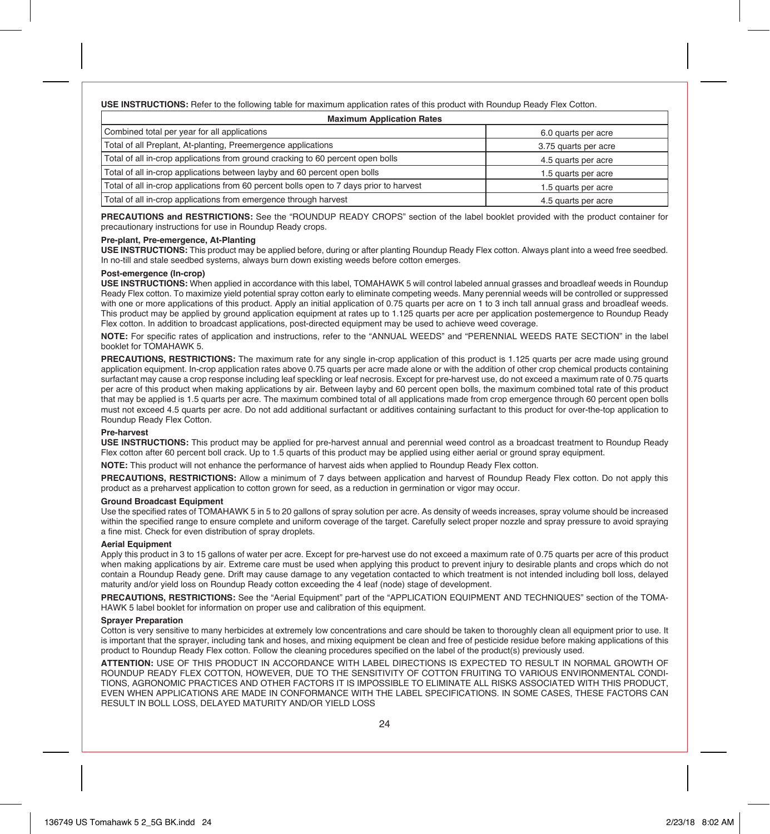**USE INSTRUCTIONS:** Refer to the following table for maximum application rates of this product with Roundup Ready Flex Cotton.

| <b>Maximum Application Rates</b>                                                        |                      |
|-----------------------------------------------------------------------------------------|----------------------|
| Combined total per year for all applications                                            | 6.0 quarts per acre  |
| Total of all Preplant, At-planting, Preemergence applications                           | 3.75 quarts per acre |
| Total of all in-crop applications from ground cracking to 60 percent open bolls         | 4.5 quarts per acre  |
| Total of all in-crop applications between layby and 60 percent open bolls               | 1.5 quarts per acre  |
| Total of all in-crop applications from 60 percent bolls open to 7 days prior to harvest | 1.5 quarts per acre  |
| Total of all in-crop applications from emergence through harvest                        | 4.5 quarts per acre  |

**PRECAUTIONS and RESTRICTIONS:** See the "ROUNDUP READY CROPS" section of the label booklet provided with the product container for precautionary instructions for use in Roundup Ready crops.

### **Pre-plant, Pre-emergence, At-Planting**

**USE INSTRUCTIONS:** This product may be applied before, during or after planting Roundup Ready Flex cotton. Always plant into a weed free seedbed. In no-till and stale seedbed systems, always burn down existing weeds before cotton emerges.

### **Post-emergence (In-crop)**

**USE INSTRUCTIONS:** When applied in accordance with this label, TOMAHAWK 5 will control labeled annual grasses and broadleaf weeds in Roundup Ready Flex cotton. To maximize yield potential spray cotton early to eliminate competing weeds. Many perennial weeds will be controlled or suppressed with one or more applications of this product. Apply an initial application of 0.75 quarts per acre on 1 to 3 inch tall annual grass and broadleaf weeds. This product may be applied by ground application equipment at rates up to 1.125 quarts per acre per application postemergence to Roundup Ready Flex cotton. In addition to broadcast applications, post-directed equipment may be used to achieve weed coverage.

**NOTE:** For specific rates of application and instructions, refer to the "ANNUAL WEEDS" and "PERENNIAL WEEDS RATE SECTION" in the label booklet for TOMAHAWK 5.

**PRECAUTIONS, RESTRICTIONS:** The maximum rate for any single in-crop application of this product is 1.125 quarts per acre made using ground application equipment. In-crop application rates above 0.75 quarts per acre made alone or with the addition of other crop chemical products containing surfactant may cause a crop response including leaf speckling or leaf necrosis. Except for pre-harvest use, do not exceed a maximum rate of 0.75 quarts per acre of this product when making applications by air. Between layby and 60 percent open bolls, the maximum combined total rate of this product that may be applied is 1.5 quarts per acre. The maximum combined total of all applications made from crop emergence through 60 percent open bolls must not exceed 4.5 quarts per acre. Do not add additional surfactant or additives containing surfactant to this product for over-the-top application to Roundup Ready Flex Cotton.

### **Pre-harvest**

**USE INSTRUCTIONS:** This product may be applied for pre-harvest annual and perennial weed control as a broadcast treatment to Roundup Ready Flex cotton after 60 percent boll crack. Up to 1.5 quarts of this product may be applied using either aerial or ground spray equipment.

**NOTE:** This product will not enhance the performance of harvest aids when applied to Roundup Ready Flex cotton.

**PRECAUTIONS, RESTRICTIONS:** Allow a minimum of 7 days between application and harvest of Roundup Ready Flex cotton. Do not apply this product as a preharvest application to cotton grown for seed, as a reduction in germination or vigor may occur.

### **Ground Broadcast Equipment**

Use the specified rates of TOMAHAWK 5 in 5 to 20 gallons of spray solution per acre. As density of weeds increases, spray volume should be increased within the specified range to ensure complete and uniform coverage of the target. Carefully select proper nozzle and spray pressure to avoid spraying a fine mist. Check for even distribution of spray droplets.

### **Aerial Equipment**

Apply this product in 3 to 15 gallons of water per acre. Except for pre-harvest use do not exceed a maximum rate of 0.75 quarts per acre of this product when making applications by air. Extreme care must be used when applying this product to prevent injury to desirable plants and crops which do not contain a Roundup Ready gene. Drift may cause damage to any vegetation contacted to which treatment is not intended including boll loss, delayed maturity and/or yield loss on Roundup Ready cotton exceeding the 4 leaf (node) stage of development.

**PRECAUTIONS, RESTRICTIONS:** See the "Aerial Equipment" part of the "APPLICATION EQUIPMENT AND TECHNIQUES" section of the TOMA-HAWK 5 label booklet for information on proper use and calibration of this equipment.

### **Sprayer Preparation**

Cotton is very sensitive to many herbicides at extremely low concentrations and care should be taken to thoroughly clean all equipment prior to use. It is important that the sprayer, including tank and hoses, and mixing equipment be clean and free of pesticide residue before making applications of this product to Roundup Ready Flex cotton. Follow the cleaning procedures specified on the label of the product(s) previously used.

**ATTENTION:** USE OF THIS PRODUCT IN ACCORDANCE WITH LABEL DIRECTIONS IS EXPECTED TO RESULT IN NORMAL GROWTH OF ROUNDUP READY FLEX COTTON, HOWEVER, DUE TO THE SENSITIVITY OF COTTON FRUITING TO VARIOUS ENVIRONMENTAL CONDI-TIONS, AGRONOMIC PRACTICES AND OTHER FACTORS IT IS IMPOSSIBLE TO ELIMINATE ALL RISKS ASSOCIATED WITH THIS PRODUCT, EVEN WHEN APPLICATIONS ARE MADE IN CONFORMANCE WITH THE LABEL SPECIFICATIONS. IN SOME CASES, THESE FACTORS CAN RESULT IN BOLL LOSS, DELAYED MATURITY AND/OR YIELD LOSS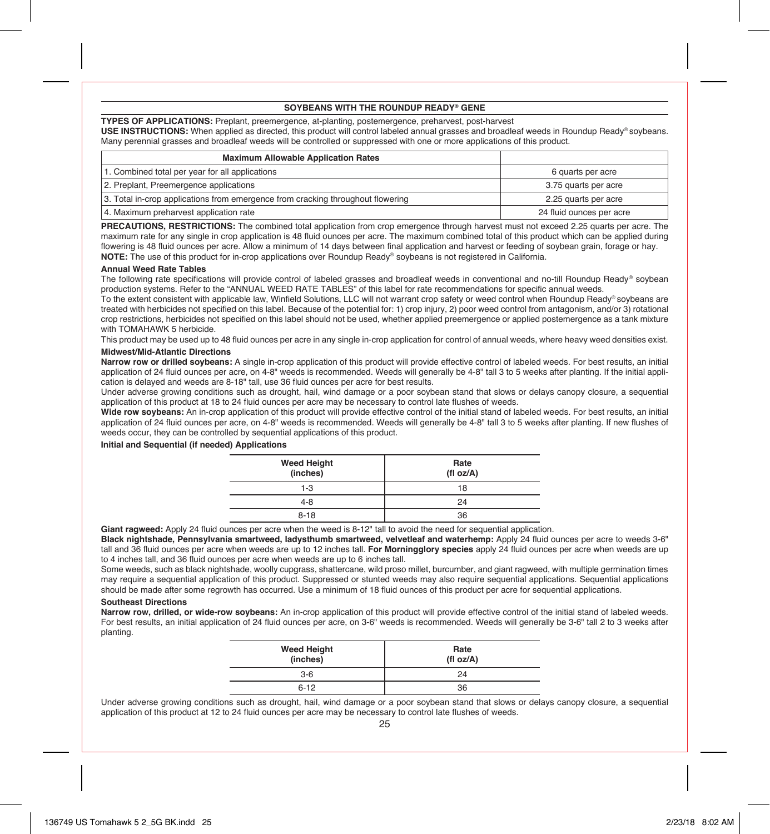### **SOYBEANS WITH THE ROUNDUP READY® GENE**

**TYPES OF APPLICATIONS:** Preplant, preemergence, at-planting, postemergence, preharvest, post-harvest **USE INSTRUCTIONS:** When applied as directed, this product will control labeled annual grasses and broadleaf weeds in Roundup Ready® soybeans. Many perennial grasses and broadleaf weeds will be controlled or suppressed with one or more applications of this product.

| <b>Maximum Allowable Application Rates</b>                                      |                          |
|---------------------------------------------------------------------------------|--------------------------|
| 1. Combined total per year for all applications                                 | 6 quarts per acre        |
| 2. Preplant, Preemergence applications                                          | 3.75 quarts per acre     |
| 3. Total in-crop applications from emergence from cracking throughout flowering | 2.25 quarts per acre     |
| 4. Maximum preharvest application rate                                          | 24 fluid ounces per acre |

**PRECAUTIONS, RESTRICTIONS:** The combined total application from crop emergence through harvest must not exceed 2.25 quarts per acre. The maximum rate for any single in crop application is 48 fluid ounces per acre. The maximum combined total of this product which can be applied during flowering is 48 fluid ounces per acre. Allow a minimum of 14 days between final application and harvest or feeding of soybean grain, forage or hay. **NOTE:** The use of this product for in-crop applications over Roundup Ready® soybeans is not registered in California.

### **Annual Weed Rate Tables**

The following rate specifications will provide control of labeled grasses and broadleaf weeds in conventional and no-till Roundup Ready® soybean production systems. Refer to the "ANNUAL WEED RATE TABLES" of this label for rate recommendations for specific annual weeds.

To the extent consistent with applicable law, Winfield Solutions, LLC will not warrant crop safety or weed control when Roundup Ready® soybeans are treated with herbicides not specified on this label. Because of the potential for: 1) crop injury, 2) poor weed control from antagonism, and/or 3) rotational crop restrictions, herbicides not specified on this label should not be used, whether applied preemergence or applied postemergence as a tank mixture with TOMAHAWK 5 herbicide.

This product may be used up to 48 fluid ounces per acre in any single in-crop application for control of annual weeds, where heavy weed densities exist.

### **Midwest/Mid-Atlantic Directions**

**Narrow row or drilled soybeans:** A single in-crop application of this product will provide effective control of labeled weeds. For best results, an initial application of 24 fluid ounces per acre, on 4-8" weeds is recommended. Weeds will generally be 4-8" tall 3 to 5 weeks after planting. If the initial application is delayed and weeds are 8-18" tall, use 36 fluid ounces per acre for best results.

Under adverse growing conditions such as drought, hail, wind damage or a poor soybean stand that slows or delays canopy closure, a sequential application of this product at 18 to 24 fluid ounces per acre may be necessary to control late flushes of weeds.

**Wide row soybeans:** An in-crop application of this product will provide effective control of the initial stand of labeled weeds. For best results, an initial application of 24 fluid ounces per acre, on 4-8" weeds is recommended. Weeds will generally be 4-8" tall 3 to 5 weeks after planting. If new flushes of weeds occur, they can be controlled by sequential applications of this product.

### **Initial and Sequential (if needed) Applications**

| <b>Weed Height</b><br>(inches) | Rate<br>(fI oz/A) |
|--------------------------------|-------------------|
| $1-3$                          | 18                |
| $4 - 8$                        | 24                |
| $8 - 18$                       | 36                |

**Giant ragweed:** Apply 24 fluid ounces per acre when the weed is 8-12" tall to avoid the need for sequential application.

**Black nightshade, Pennsylvania smartweed, ladysthumb smartweed, velvetleaf and waterhemp:** Apply 24 fluid ounces per acre to weeds 3-6" tall and 36 fluid ounces per acre when weeds are up to 12 inches tall. **For Morningglory species** apply 24 fluid ounces per acre when weeds are up to 4 inches tall, and 36 fluid ounces per acre when weeds are up to 6 inches tall.

Some weeds, such as black nightshade, woolly cupgrass, shattercane, wild proso millet, burcumber, and giant ragweed, with multiple germination times may require a sequential application of this product. Suppressed or stunted weeds may also require sequential applications. Sequential applications should be made after some regrowth has occurred. Use a minimum of 18 fluid ounces of this product per acre for sequential applications.

### **Southeast Directions**

**Narrow row, drilled, or wide-row soybeans:** An in-crop application of this product will provide effective control of the initial stand of labeled weeds. For best results, an initial application of 24 fluid ounces per acre, on 3-6" weeds is recommended. Weeds will generally be 3-6" tall 2 to 3 weeks after planting.

| Weed Height<br>(inches) | Rate<br>(fI oz/A) |
|-------------------------|-------------------|
| $3-6$                   | 24                |
| $6 - 12$                | 36                |

Under adverse growing conditions such as drought, hail, wind damage or a poor soybean stand that slows or delays canopy closure, a sequential application of this product at 12 to 24 fluid ounces per acre may be necessary to control late flushes of weeds.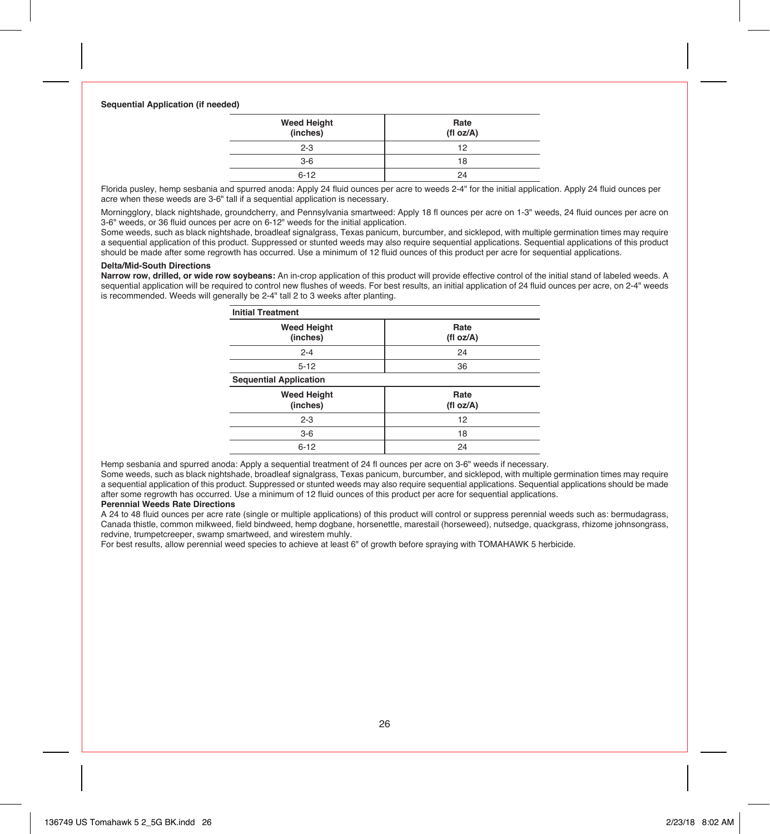### **Sequential Application (if needed)**

| Weed Height<br>(inches) | Rate<br>(fl oz/A) |
|-------------------------|-------------------|
| $2 - 3$                 | 12                |
| $3-6$                   | 18                |
| $6 - 12$                | 24                |

Florida pusley, hemp sesbania and spurred anoda: Apply 24 fluid ounces per acre to weeds 2-4" for the initial application. Apply 24 fluid ounces per acre when these weeds are 3-6" tall if a sequential application is necessary.

Morningglory, black nightshade, groundcherry, and Pennsylvania smartweed: Apply 18 fl ounces per acre on 1-3" weeds, 24 fluid ounces per acre on 3-6" weeds, or 36 fluid ounces per acre on 6-12" weeds for the initial application.

Some weeds, such as black nightshade, broadleaf signalgrass, Texas panicum, burcumber, and sicklepod, with multiple germination times may require a sequential application of this product. Suppressed or stunted weeds may also require sequential applications. Sequential applications of this product should be made after some regrowth has occurred. Use a minimum of 12 fluid ounces of this product per acre for sequential applications.

### **Delta/Mid-South Directions**

**Narrow row, drilled, or wide row soybeans:** An in-crop application of this product will provide effective control of the initial stand of labeled weeds. A sequential application will be required to control new flushes of weeds. For best results, an initial application of 24 fluid ounces per acre, on 2-4" weeds is recommended. Weeds will generally be 2-4" tall 2 to 3 weeks after planting.

| Rate<br>(fl oz/A) |
|-------------------|
| 24                |
| 36                |
|                   |
| Rate<br>(fl oz/A) |
| 12                |
| 18                |
| 24                |
|                   |

Hemp sesbania and spurred anoda: Apply a sequential treatment of 24 fl ounces per acre on 3-6" weeds if necessary.

Some weeds, such as black nightshade, broadleaf signalgrass, Texas panicum, burcumber, and sicklepod, with multiple germination times may require a sequential application of this product. Suppressed or stunted weeds may also require sequential applications. Sequential applications should be made after some regrowth has occurred. Use a minimum of 12 fluid ounces of this product per acre for sequential applications.

### **Perennial Weeds Rate Directions**

A 24 to 48 fluid ounces per acre rate (single or multiple applications) of this product will control or suppress perennial weeds such as: bermudagrass, Canada thistle, common milkweed, field bindweed, hemp dogbane, horsenettle, marestail (horseweed), nutsedge, quackgrass, rhizome johnsongrass, redvine, trumpetcreeper, swamp smartweed, and wirestem muhly.

For best results, allow perennial weed species to achieve at least 6" of growth before spraying with TOMAHAWK 5 herbicide.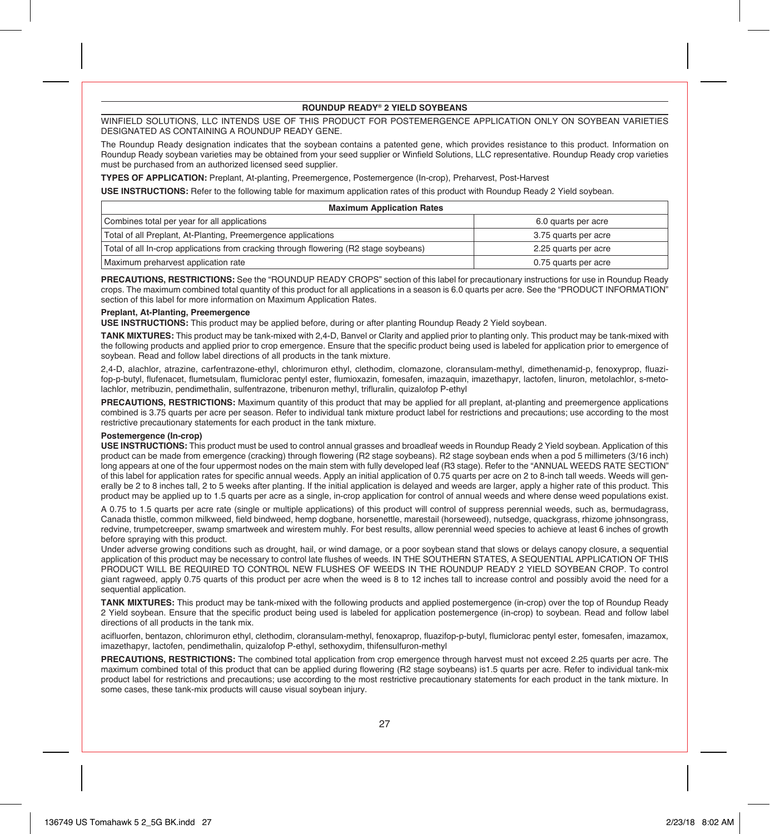### **ROUNDUP READY® 2 YIELD SOYBEANS**

WINFIELD SOLUTIONS, LLC INTENDS USE OF THIS PRODUCT FOR POSTEMERGENCE APPLICATION ONLY ON SOYBEAN VARIETIES DESIGNATED AS CONTAINING A ROUNDUP READY GENE.

The Roundup Ready designation indicates that the soybean contains a patented gene, which provides resistance to this product. Information on Roundup Ready soybean varieties may be obtained from your seed supplier or Winfield Solutions, LLC representative. Roundup Ready crop varieties must be purchased from an authorized licensed seed supplier.

**TYPES OF APPLICATION:** Preplant, At-planting, Preemergence, Postemergence (In-crop), Preharvest, Post-Harvest

**USE INSTRUCTIONS:** Refer to the following table for maximum application rates of this product with Roundup Ready 2 Yield soybean.

| <b>Maximum Application Rates</b>                                                      |                      |
|---------------------------------------------------------------------------------------|----------------------|
| Combines total per year for all applications                                          | 6.0 quarts per acre  |
| Total of all Preplant, At-Planting, Preemergence applications                         | 3.75 quarts per acre |
| Total of all In-crop applications from cracking through flowering (R2 stage soybeans) | 2.25 quarts per acre |
| Maximum preharvest application rate                                                   | 0.75 quarts per acre |

**PRECAUTIONS, RESTRICTIONS:** See the "ROUNDUP READY CROPS" section of this label for precautionary instructions for use in Roundup Ready crops. The maximum combined total quantity of this product for all applications in a season is 6.0 quarts per acre. See the "PRODUCT INFORMATION" section of this label for more information on Maximum Application Rates.

### **Preplant, At-Planting, Preemergence**

**USE INSTRUCTIONS:** This product may be applied before, during or after planting Roundup Ready 2 Yield soybean.

**TANK MIXTURES:** This product may be tank-mixed with 2,4-D, Banvel or Clarity and applied prior to planting only. This product may be tank-mixed with the following products and applied prior to crop emergence. Ensure that the specific product being used is labeled for application prior to emergence of soybean. Read and follow label directions of all products in the tank mixture.

2,4-D, alachlor, atrazine, carfentrazone-ethyl, chlorimuron ethyl, clethodim, clomazone, cloransulam-methyl, dimethenamid-p, fenoxyprop, fluazifop-p-butyl, flufenacet, flumetsulam, flumiclorac pentyl ester, flumioxazin, fomesafen, imazaquin, imazethapyr, lactofen, linuron, metolachlor, s-metolachlor, metribuzin, pendimethalin, sulfentrazone, tribenuron methyl, trifluralin, quizalofop P-ethyl

**PRECAUTIONS, RESTRICTIONS:** Maximum quantity of this product that may be applied for all preplant, at-planting and preemergence applications combined is 3.75 quarts per acre per season. Refer to individual tank mixture product label for restrictions and precautions; use according to the most restrictive precautionary statements for each product in the tank mixture.

### **Postemergence (In-crop)**

**USE INSTRUCTIONS:** This product must be used to control annual grasses and broadleaf weeds in Roundup Ready 2 Yield soybean. Application of this product can be made from emergence (cracking) through flowering (R2 stage soybeans). R2 stage soybean ends when a pod 5 millimeters (3/16 inch) long appears at one of the four uppermost nodes on the main stem with fully developed leaf (R3 stage). Refer to the "ANNUAL WEEDS RATE SECTION" of this label for application rates for specific annual weeds. Apply an initial application of 0.75 quarts per acre on 2 to 8-inch tall weeds. Weeds will generally be 2 to 8 inches tall, 2 to 5 weeks after planting. If the initial application is delayed and weeds are larger, apply a higher rate of this product. This product may be applied up to 1.5 quarts per acre as a single, in-crop application for control of annual weeds and where dense weed populations exist.

A 0.75 to 1.5 quarts per acre rate (single or multiple applications) of this product will control of suppress perennial weeds, such as, bermudagrass, Canada thistle, common milkweed, field bindweed, hemp dogbane, horsenettle, marestail (horseweed), nutsedge, quackgrass, rhizome johnsongrass, redvine, trumpetcreeper, swamp smartweek and wirestem muhly. For best results, allow perennial weed species to achieve at least 6 inches of growth before spraying with this product.

Under adverse growing conditions such as drought, hail, or wind damage, or a poor soybean stand that slows or delays canopy closure, a sequential application of this product may be necessary to control late flushes of weeds. IN THE SOUTHERN STATES, A SEQUENTIAL APPLICATION OF THIS PRODUCT WILL BE REQUIRED TO CONTROL NEW FLUSHES OF WEEDS IN THE ROUNDUP READY 2 YIELD SOYBEAN CROP. To control giant ragweed, apply 0.75 quarts of this product per acre when the weed is 8 to 12 inches tall to increase control and possibly avoid the need for a sequential application.

**TANK MIXTURES:** This product may be tank-mixed with the following products and applied postemergence (in-crop) over the top of Roundup Ready 2 Yield soybean. Ensure that the specific product being used is labeled for application postemergence (in-crop) to soybean. Read and follow label directions of all products in the tank mix.

acifluorfen, bentazon, chlorimuron ethyl, clethodim, cloransulam-methyl, fenoxaprop, fluazifop-p-butyl, flumiclorac pentyl ester, fomesafen, imazamox, imazethapyr, lactofen, pendimethalin, quizalofop P-ethyl, sethoxydim, thifensulfuron-methyl

**PRECAUTIONS, RESTRICTIONS:** The combined total application from crop emergence through harvest must not exceed 2.25 quarts per acre. The maximum combined total of this product that can be applied during flowering (R2 stage soybeans) is1.5 quarts per acre. Refer to individual tank-mix product label for restrictions and precautions; use according to the most restrictive precautionary statements for each product in the tank mixture. In some cases, these tank-mix products will cause visual soybean injury.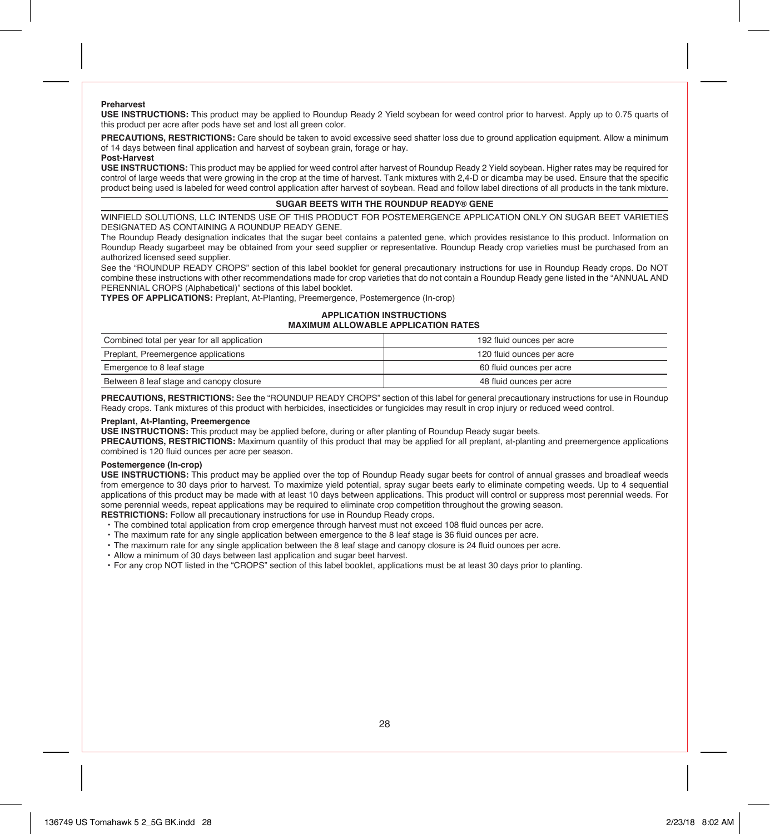### **Preharvest**

**USE INSTRUCTIONS:** This product may be applied to Roundup Ready 2 Yield soybean for weed control prior to harvest. Apply up to 0.75 quarts of this product per acre after pods have set and lost all green color.

**PRECAUTIONS, RESTRICTIONS:** Care should be taken to avoid excessive seed shatter loss due to ground application equipment. Allow a minimum of 14 days between final application and harvest of soybean grain, forage or hay.

### **Post-Harvest**

**USE INSTRUCTIONS:** This product may be applied for weed control after harvest of Roundup Ready 2 Yield soybean. Higher rates may be required for control of large weeds that were growing in the crop at the time of harvest. Tank mixtures with 2,4-D or dicamba may be used. Ensure that the specific product being used is labeled for weed control application after harvest of soybean. Read and follow label directions of all products in the tank mixture.

### **SUGAR BEETS WITH THE ROUNDUP READY® GENE**

WINFIELD SOLUTIONS, LLC INTENDS USE OF THIS PRODUCT FOR POSTEMERGENCE APPLICATION ONLY ON SUGAR BEET VARIETIES DESIGNATED AS CONTAINING A ROUNDUP READY GENE.

The Roundup Ready designation indicates that the sugar beet contains a patented gene, which provides resistance to this product. Information on Roundup Ready sugarbeet may be obtained from your seed supplier or representative. Roundup Ready crop varieties must be purchased from an authorized licensed seed supplier.

See the "ROUNDUP READY CROPS" section of this label booklet for general precautionary instructions for use in Roundup Ready crops. Do NOT combine these instructions with other recommendations made for crop varieties that do not contain a Roundup Ready gene listed in the "ANNUAL AND PERENNIAL CROPS (Alphabetical)" sections of this label booklet.

**TYPES OF APPLICATIONS:** Preplant, At-Planting, Preemergence, Postemergence (In-crop)

### **APPLICATION INSTRUCTIONS MAXIMUM ALLOWABLE APPLICATION RATES**

| Combined total per year for all application | 192 fluid ounces per acre |
|---------------------------------------------|---------------------------|
| Preplant, Preemergence applications         | 120 fluid ounces per acre |
| Emergence to 8 leaf stage                   | 60 fluid ounces per acre  |
| Between 8 leaf stage and canopy closure     | 48 fluid ounces per acre  |

**PRECAUTIONS, RESTRICTIONS:** See the "ROUNDUP READY CROPS" section of this label for general precautionary instructions for use in Roundup Ready crops. Tank mixtures of this product with herbicides, insecticides or fungicides may result in crop injury or reduced weed control.

### **Preplant, At-Planting, Preemergence**

**USE INSTRUCTIONS:** This product may be applied before, during or after planting of Roundup Ready sugar beets.

**PRECAUTIONS, RESTRICTIONS:** Maximum quantity of this product that may be applied for all preplant, at-planting and preemergence applications combined is 120 fluid ounces per acre per season.

### **Postemergence (In-crop)**

**USE INSTRUCTIONS:** This product may be applied over the top of Roundup Ready sugar beets for control of annual grasses and broadleaf weeds from emergence to 30 days prior to harvest. To maximize yield potential, spray sugar beets early to eliminate competing weeds. Up to 4 sequential applications of this product may be made with at least 10 days between applications. This product will control or suppress most perennial weeds. For some perennial weeds, repeat applications may be required to eliminate crop competition throughout the growing season.

**RESTRICTIONS:** Follow all precautionary instructions for use in Roundup Ready crops.

- The combined total application from crop emergence through harvest must not exceed 108 fluid ounces per acre.
- The maximum rate for any single application between emergence to the 8 leaf stage is 36 fluid ounces per acre.
- The maximum rate for any single application between the 8 leaf stage and canopy closure is 24 fluid ounces per acre.
- Allow a minimum of 30 days between last application and sugar beet harvest.
- For any crop NOT listed in the "CROPS" section of this label booklet, applications must be at least 30 days prior to planting.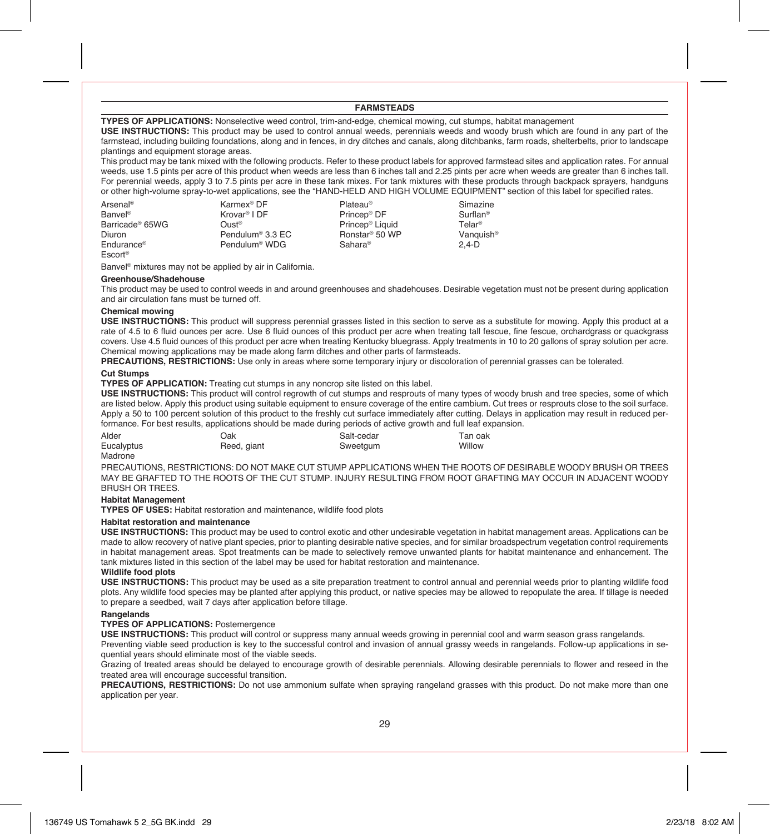### **FARMSTEADS**

**TYPES OF APPLICATIONS:** Nonselective weed control, trim-and-edge, chemical mowing, cut stumps, habitat management

**USE INSTRUCTIONS:** This product may be used to control annual weeds, perennials weeds and woody brush which are found in any part of the farmstead, including building foundations, along and in fences, in dry ditches and canals, along ditchbanks, farm roads, shelterbelts, prior to landscape plantings and equipment storage areas.

This product may be tank mixed with the following products. Refer to these product labels for approved farmstead sites and application rates. For annual weeds, use 1.5 pints per acre of this product when weeds are less than 6 inches tall and 2.25 pints per acre when weeds are greater than 6 inches tall. For perennial weeds, apply 3 to 7.5 pints per acre in these tank mixes. For tank mixtures with these products through backpack sprayers, handguns or other high-volume spray-to-wet applications, see the "HAND-HELD AND HIGH VOLUME EQUIPMENT" section of this label for specified rates.

Arsenal® Karmex® DF Plateau® Simazine Banvel® **Manuel Surflan**® I DF Reprincep® DF Surflan®  $\text{Barricade}^{\circ}$  65WG  $\text{Out}^{\circ}$   $\text{Dust}^{\circ}$  Princep® Liquid  $\text{Pendulum}^{\circ}$  3.3 EC  $\text{Ronstar}^{\circ}$  50 WP  $\text{Vanquish}^{\circ}$ Diuron Pendulum® 3.3 EC Ronstar® 50 WP Vanquish® Escort®

Pendulum<sup>®</sup> WDG

Banvel® mixtures may not be applied by air in California.

### **Greenhouse/Shadehouse**

This product may be used to control weeds in and around greenhouses and shadehouses. Desirable vegetation must not be present during application and air circulation fans must be turned off.

### **Chemical mowing**

**USE INSTRUCTIONS:** This product will suppress perennial grasses listed in this section to serve as a substitute for mowing. Apply this product at a rate of 4.5 to 6 fluid ounces per acre. Use 6 fluid ounces of this product per acre when treating tall fescue, fine fescue, orchardgrass or quackgrass covers. Use 4.5 fluid ounces of this product per acre when treating Kentucky bluegrass. Apply treatments in 10 to 20 gallons of spray solution per acre. Chemical mowing applications may be made along farm ditches and other parts of farmsteads.

**PRECAUTIONS, RESTRICTIONS:** Use only in areas where some temporary injury or discoloration of perennial grasses can be tolerated.

### **Cut Stumps**

**TYPES OF APPLICATION:** Treating cut stumps in any noncrop site listed on this label.

**USE INSTRUCTIONS:** This product will control regrowth of cut stumps and resprouts of many types of woody brush and tree species, some of which are listed below. Apply this product using suitable equipment to ensure coverage of the entire cambium. Cut trees or resprouts close to the soil surface. Apply a 50 to 100 percent solution of this product to the freshly cut surface immediately after cutting. Delays in application may result in reduced performance. For best results, applications should be made during periods of active growth and full leaf expansion.

| Alder           | Oak         | Salt-cedar | Tan oak |
|-----------------|-------------|------------|---------|
| Eucalyptus<br>. | Reed, giant | Sweetgum   | Willow  |

Madrone

PRECAUTIONS, RESTRICTIONS: DO NOT MAKE CUT STUMP APPLICATIONS WHEN THE ROOTS OF DESIRABLE WOODY BRUSH OR TREES MAY BE GRAFTED TO THE ROOTS OF THE CUT STUMP. INJURY RESULTING FROM ROOT GRAFTING MAY OCCUR IN ADJACENT WOODY BRUSH OR TREES.

### **Habitat Management**

**TYPES OF USES:** Habitat restoration and maintenance, wildlife food plots

### **Habitat restoration and maintenance**

**USE INSTRUCTIONS:** This product may be used to control exotic and other undesirable vegetation in habitat management areas. Applications can be made to allow recovery of native plant species, prior to planting desirable native species, and for similar broadspectrum vegetation control requirements in habitat management areas. Spot treatments can be made to selectively remove unwanted plants for habitat maintenance and enhancement. The tank mixtures listed in this section of the label may be used for habitat restoration and maintenance.

### **Wildlife food plots**

**USE INSTRUCTIONS:** This product may be used as a site preparation treatment to control annual and perennial weeds prior to planting wildlife food plots. Any wildlife food species may be planted after applying this product, or native species may be allowed to repopulate the area. If tillage is needed to prepare a seedbed, wait 7 days after application before tillage.

### **Rangelands**

### **TYPES OF APPLICATIONS:** Postemergence

**USE INSTRUCTIONS:** This product will control or suppress many annual weeds growing in perennial cool and warm season grass rangelands.

Preventing viable seed production is key to the successful control and invasion of annual grassy weeds in rangelands. Follow-up applications in sequential years should eliminate most of the viable seeds.

Grazing of treated areas should be delayed to encourage growth of desirable perennials. Allowing desirable perennials to flower and reseed in the treated area will encourage successful transition.

**PRECAUTIONS, RESTRICTIONS:** Do not use ammonium sulfate when spraying rangeland grasses with this product. Do not make more than one application per year.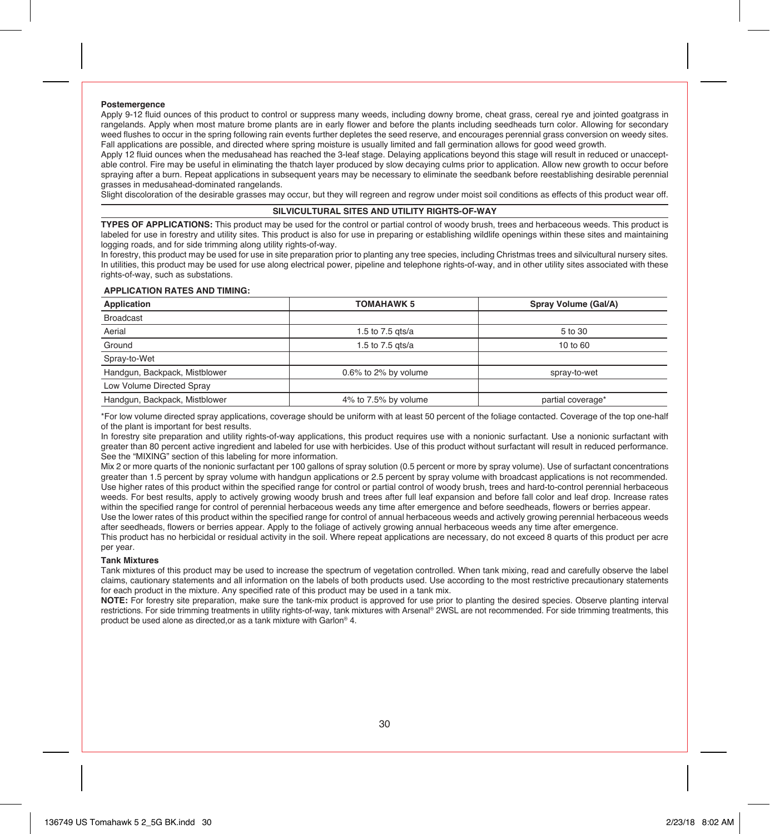### **Postemergence**

Apply 9-12 fluid ounces of this product to control or suppress many weeds, including downy brome, cheat grass, cereal rye and jointed goatgrass in rangelands. Apply when most mature brome plants are in early flower and before the plants including seedheads turn color. Allowing for secondary weed flushes to occur in the spring following rain events further depletes the seed reserve, and encourages perennial grass conversion on weedy sites. Fall applications are possible, and directed where spring moisture is usually limited and fall germination allows for good weed growth.

Apply 12 fluid ounces when the medusahead has reached the 3-leaf stage. Delaying applications beyond this stage will result in reduced or unacceptable control. Fire may be useful in eliminating the thatch layer produced by slow decaying culms prior to application. Allow new growth to occur before spraying after a burn. Repeat applications in subsequent years may be necessary to eliminate the seedbank before reestablishing desirable perennial grasses in medusahead-dominated rangelands.

Slight discoloration of the desirable grasses may occur, but they will regreen and regrow under moist soil conditions as effects of this product wear off.

### **SILVICULTURAL SITES AND UTILITY RIGHTS-OF-WAY**

**TYPES OF APPLICATIONS:** This product may be used for the control or partial control of woody brush, trees and herbaceous weeds. This product is labeled for use in forestry and utility sites. This product is also for use in preparing or establishing wildlife openings within these sites and maintaining logging roads, and for side trimming along utility rights-of-way.

In forestry, this product may be used for use in site preparation prior to planting any tree species, including Christmas trees and silvicultural nursery sites. In utilities, this product may be used for use along electrical power, pipeline and telephone rights-of-way, and in other utility sites associated with these rights-of-way, such as substations.

### **APPLICATION RATES AND TIMING:**

| Application                   | <b>TOMAHAWK 5</b>    | Spray Volume (Gal/A) |  |  |
|-------------------------------|----------------------|----------------------|--|--|
| <b>Broadcast</b>              |                      |                      |  |  |
| Aerial                        | 1.5 to $7.5$ gts/a   | 5 to 30              |  |  |
| Ground                        | 1.5 to $7.5$ ats/a   | $10$ to $60$         |  |  |
| Spray-to-Wet                  |                      |                      |  |  |
| Handqun, Backpack, Mistblower | 0.6% to 2% by volume | spray-to-wet         |  |  |
| Low Volume Directed Spray     |                      |                      |  |  |
| Handqun, Backpack, Mistblower | 4% to 7.5% by volume | partial coverage*    |  |  |

\*For low volume directed spray applications, coverage should be uniform with at least 50 percent of the foliage contacted. Coverage of the top one-half of the plant is important for best results.

In forestry site preparation and utility rights-of-way applications, this product requires use with a nonionic surfactant. Use a nonionic surfactant with greater than 80 percent active ingredient and labeled for use with herbicides. Use of this product without surfactant will result in reduced performance. See the "MIXING" section of this labeling for more information.

Mix 2 or more quarts of the nonionic surfactant per 100 gallons of spray solution (0.5 percent or more by spray volume). Use of surfactant concentrations greater than 1.5 percent by spray volume with handgun applications or 2.5 percent by spray volume with broadcast applications is not recommended. Use higher rates of this product within the specified range for control or partial control of woody brush, trees and hard-to-control perennial herbaceous weeds. For best results, apply to actively growing woody brush and trees after full leaf expansion and before fall color and leaf drop. Increase rates within the specified range for control of perennial herbaceous weeds any time after emergence and before seedheads, flowers or berries appear.

Use the lower rates of this product within the specified range for control of annual herbaceous weeds and actively growing perennial herbaceous weeds after seedheads, flowers or berries appear. Apply to the foliage of actively growing annual herbaceous weeds any time after emergence.

This product has no herbicidal or residual activity in the soil. Where repeat applications are necessary, do not exceed 8 quarts of this product per acre per year.

### **Tank Mixtures**

Tank mixtures of this product may be used to increase the spectrum of vegetation controlled. When tank mixing, read and carefully observe the label claims, cautionary statements and all information on the labels of both products used. Use according to the most restrictive precautionary statements for each product in the mixture. Any specified rate of this product may be used in a tank mix.

**NOTE:** For forestry site preparation, make sure the tank-mix product is approved for use prior to planting the desired species. Observe planting interval restrictions. For side trimming treatments in utility rights-of-way, tank mixtures with Arsenal® 2WSL are not recommended. For side trimming treatments, this product be used alone as directed,or as a tank mixture with Garlon® 4.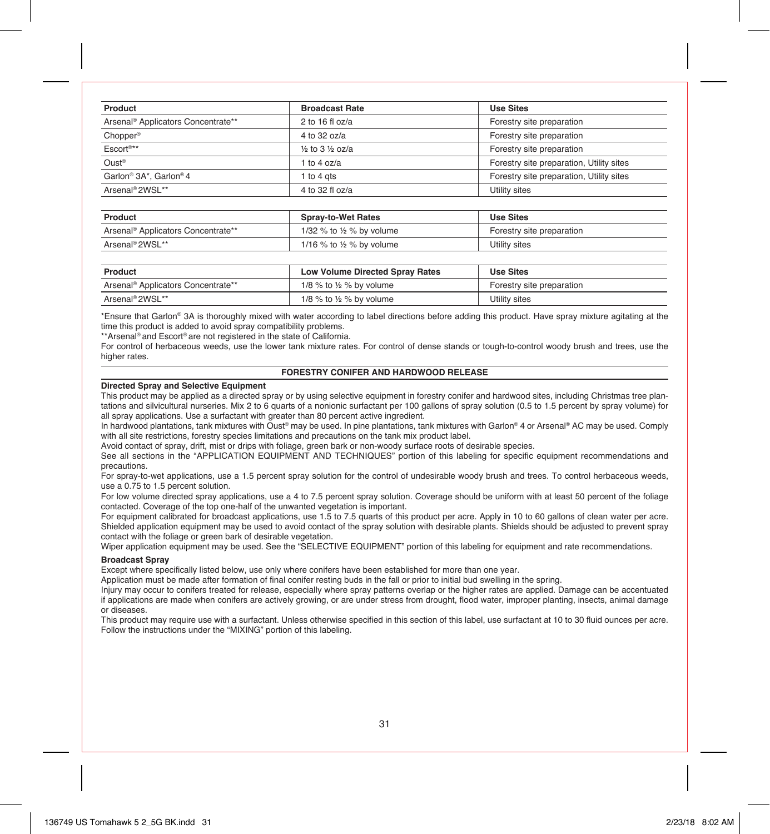| Product                                                     | <b>Broadcast Rate</b>                 | <b>Use Sites</b>                         |
|-------------------------------------------------------------|---------------------------------------|------------------------------------------|
| Arsenal <sup>®</sup> Applicators Concentrate**              | 2 to 16 fl $oz/a$                     | Forestry site preparation                |
| Chopper <sup>®</sup>                                        | 4 to 32 oz/a                          | Forestry site preparation                |
| Escort <sup>®**</sup>                                       | $\frac{1}{2}$ to 3 $\frac{1}{2}$ oz/a | Forestry site preparation                |
| $Oust^*$                                                    | 1 to 4 oz/a                           | Forestry site preparation, Utility sites |
| Garlon <sup>®</sup> 3A <sup>*</sup> , Garlon <sup>®</sup> 4 | 1 to 4 ats                            | Forestry site preparation, Utility sites |
| Arsenal <sup>®</sup> 2WSL**                                 | 4 to 32 fl $oz/a$                     | Utility sites                            |

| Product                                        | <b>Sprav-to-Wet Rates</b>           | Use Sites                 |  |  |
|------------------------------------------------|-------------------------------------|---------------------------|--|--|
| Arsenal <sup>®</sup> Applicators Concentrate** | 1/32 % to $\frac{1}{2}$ % by volume | Forestry site preparation |  |  |
| Arsenal® 2WSL**                                | 1/16 % to $\frac{1}{2}$ % by volume | Utility sites             |  |  |

| Product                                        | Low Volume Directed Spray Rates    | <b>Use Sites</b>          |
|------------------------------------------------|------------------------------------|---------------------------|
| Arsenal <sup>®</sup> Applicators Concentrate** | 1/8 % to $\frac{1}{2}$ % by volume | Forestry site preparation |
| Arsenal <sup>®</sup> 2WSL**                    | 1/8 % to $\frac{1}{2}$ % by volume | Utility sites             |

\*Ensure that Garlon® 3A is thoroughly mixed with water according to label directions before adding this product. Have spray mixture agitating at the time this product is added to avoid spray compatibility problems.

\*\*Arsenal® and Escort® are not registered in the state of California.

For control of herbaceous weeds, use the lower tank mixture rates. For control of dense stands or tough-to-control woody brush and trees, use the higher rates.

### **FORESTRY CONIFER AND HARDWOOD RELEASE**

### **Directed Spray and Selective Equipment**

This product may be applied as a directed spray or by using selective equipment in forestry conifer and hardwood sites, including Christmas tree plantations and silvicultural nurseries. Mix 2 to 6 quarts of a nonionic surfactant per 100 gallons of spray solution (0.5 to 1.5 percent by spray volume) for all spray applications. Use a surfactant with greater than 80 percent active ingredient.

In hardwood plantations, tank mixtures with Oust® may be used. In pine plantations, tank mixtures with Garlon® 4 or Arsenal® AC may be used. Comply with all site restrictions, forestry species limitations and precautions on the tank mix product label.

Avoid contact of spray, drift, mist or drips with foliage, green bark or non-woody surface roots of desirable species.

See all sections in the "APPLICATION EQUIPMENT AND TECHNIQUES" portion of this labeling for specific equipment recommendations and precautions.

For spray-to-wet applications, use a 1.5 percent spray solution for the control of undesirable woody brush and trees. To control herbaceous weeds, use a 0.75 to 1.5 percent solution.

For low volume directed spray applications, use a 4 to 7.5 percent spray solution. Coverage should be uniform with at least 50 percent of the foliage contacted. Coverage of the top one-half of the unwanted vegetation is important.

For equipment calibrated for broadcast applications, use 1.5 to 7.5 quarts of this product per acre. Apply in 10 to 60 gallons of clean water per acre. Shielded application equipment may be used to avoid contact of the spray solution with desirable plants. Shields should be adjusted to prevent spray contact with the foliage or green bark of desirable vegetation.

Wiper application equipment may be used. See the "SELECTIVE EQUIPMENT" portion of this labeling for equipment and rate recommendations.

### **Broadcast Spray**

Except where specifically listed below, use only where conifers have been established for more than one year.

Application must be made after formation of final conifer resting buds in the fall or prior to initial bud swelling in the spring.

Injury may occur to conifers treated for release, especially where spray patterns overlap or the higher rates are applied. Damage can be accentuated if applications are made when conifers are actively growing, or are under stress from drought, flood water, improper planting, insects, animal damage or diseases.

This product may require use with a surfactant. Unless otherwise specified in this section of this label, use surfactant at 10 to 30 fluid ounces per acre. Follow the instructions under the "MIXING" portion of this labeling.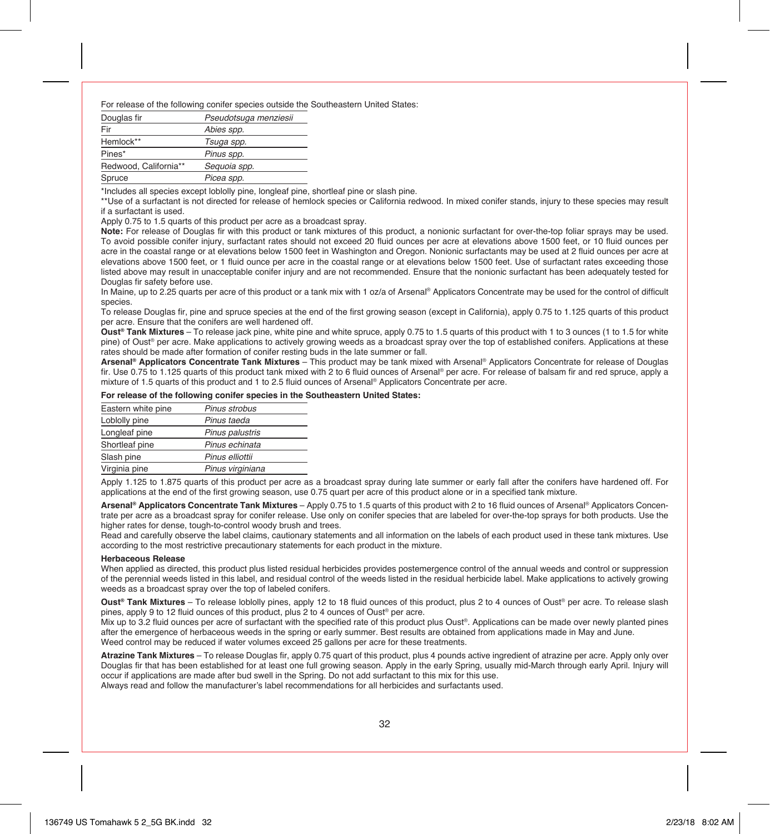For release of the following conifer species outside the Southeastern United States:

| Douglas fir           | Pseudotsuga menziesii |
|-----------------------|-----------------------|
| Fir                   | Abies spp.            |
| Hemlock**             | Tsuga spp.            |
| Pines*                | Pinus spp.            |
| Redwood, California** | Sequoia spp.          |
| Spruce                | Picea spp.            |

\*Includes all species except loblolly pine, longleaf pine, shortleaf pine or slash pine.

\*\*Use of a surfactant is not directed for release of hemlock species or California redwood. In mixed conifer stands, injury to these species may result if a surfactant is used.

Apply 0.75 to 1.5 quarts of this product per acre as a broadcast spray.

**Note:** For release of Douglas fir with this product or tank mixtures of this product, a nonionic surfactant for over-the-top foliar sprays may be used. To avoid possible conifer injury, surfactant rates should not exceed 20 fluid ounces per acre at elevations above 1500 feet, or 10 fluid ounces per acre in the coastal range or at elevations below 1500 feet in Washington and Oregon. Nonionic surfactants may be used at 2 fluid ounces per acre at elevations above 1500 feet, or 1 fluid ounce per acre in the coastal range or at elevations below 1500 feet. Use of surfactant rates exceeding those listed above may result in unacceptable conifer injury and are not recommended. Ensure that the nonionic surfactant has been adequately tested for Douglas fir safety before use.

In Maine, up to 2.25 quarts per acre of this product or a tank mix with 1 oz/a of Arsenal® Applicators Concentrate may be used for the control of difficult species.

To release Douglas fir, pine and spruce species at the end of the first growing season (except in California), apply 0.75 to 1.125 quarts of this product per acre. Ensure that the conifers are well hardened off.

**Oust® Tank Mixtures** – To release jack pine, white pine and white spruce, apply 0.75 to 1.5 quarts of this product with 1 to 3 ounces (1 to 1.5 for white pine) of Oust® per acre. Make applications to actively growing weeds as a broadcast spray over the top of established conifers. Applications at these rates should be made after formation of conifer resting buds in the late summer or fall.

**Arsenal® Applicators Concentrate Tank Mixtures** – This product may be tank mixed with Arsenal® Applicators Concentrate for release of Douglas fir. Use 0.75 to 1.125 quarts of this product tank mixed with 2 to 6 fluid ounces of Arsenal® per acre. For release of balsam fir and red spruce, apply a mixture of 1.5 quarts of this product and 1 to 2.5 fluid ounces of Arsenal® Applicators Concentrate per acre.

### **For release of the following conifer species in the Southeastern United States:**

| Pinus strobus    |
|------------------|
| Pinus taeda      |
| Pinus palustris  |
| Pinus echinata   |
| Pinus elliottii  |
| Pinus virginiana |
|                  |

Apply 1.125 to 1.875 quarts of this product per acre as a broadcast spray during late summer or early fall after the conifers have hardened off. For applications at the end of the first growing season, use 0.75 quart per acre of this product alone or in a specified tank mixture.

**Arsenal® Applicators Concentrate Tank Mixtures** – Apply 0.75 to 1.5 quarts of this product with 2 to 16 fluid ounces of Arsenal® Applicators Concentrate per acre as a broadcast spray for conifer release. Use only on conifer species that are labeled for over-the-top sprays for both products. Use the higher rates for dense, tough-to-control woody brush and trees.

Read and carefully observe the label claims, cautionary statements and all information on the labels of each product used in these tank mixtures. Use according to the most restrictive precautionary statements for each product in the mixture.

### **Herbaceous Release**

When applied as directed, this product plus listed residual herbicides provides postemergence control of the annual weeds and control or suppression of the perennial weeds listed in this label, and residual control of the weeds listed in the residual herbicide label. Make applications to actively growing weeds as a broadcast spray over the top of labeled conifers.

**Oust® Tank Mixtures** – To release loblolly pines, apply 12 to 18 fluid ounces of this product, plus 2 to 4 ounces of Oust® per acre. To release slash pines, apply 9 to 12 fluid ounces of this product, plus 2 to 4 ounces of Oust® per acre.

Mix up to 3.2 fluid ounces per acre of surfactant with the specified rate of this product plus Oust®. Applications can be made over newly planted pines after the emergence of herbaceous weeds in the spring or early summer. Best results are obtained from applications made in May and June. Weed control may be reduced if water volumes exceed 25 gallons per acre for these treatments.

**Atrazine Tank Mixtures** – To release Douglas fir, apply 0.75 quart of this product, plus 4 pounds active ingredient of atrazine per acre. Apply only over Douglas fir that has been established for at least one full growing season. Apply in the early Spring, usually mid-March through early April. Injury will occur if applications are made after bud swell in the Spring. Do not add surfactant to this mix for this use.

Always read and follow the manufacturer's label recommendations for all herbicides and surfactants used.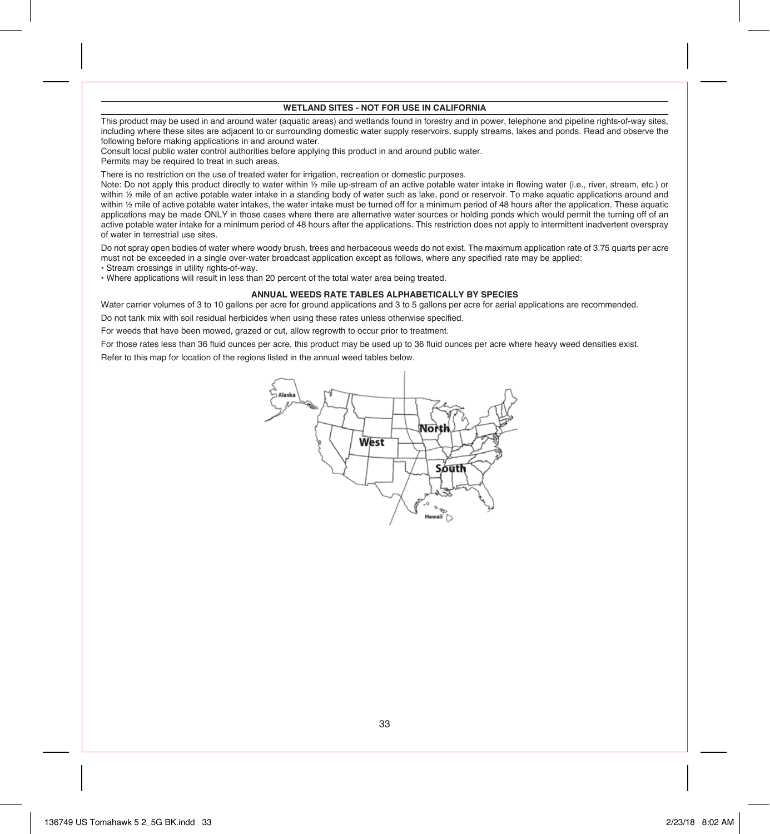### **WETLAND SITES - NOT FOR USE IN CALIFORNIA**

This product may be used in and around water (aquatic areas) and wetlands found in forestry and in power, telephone and pipeline rights-of-way sites, including where these sites are adjacent to or surrounding domestic water supply reservoirs, supply streams, lakes and ponds. Read and observe the following before making applications in and around water.

Consult local public water control authorities before applying this product in and around public water.

Permits may be required to treat in such areas.

There is no restriction on the use of treated water for irrigation, recreation or domestic purposes.

Note: Do not apply this product directly to water within 1/2 mile up-stream of an active potable water intake in flowing water (i.e., river, stream, etc.) or within 1/2 mile of an active potable water intake in a standing body of water such as lake, pond or reservoir. To make aquatic applications around and within  $\frac{1}{2}$  mile of active potable water intakes, the water intake must be turned off for a minimum period of 48 hours after the application. These aquatic applications may be made ONLY in those cases where there are alternative water sources or holding ponds which would permit the turning off of an active potable water intake for a minimum period of 48 hours after the applications. This restriction does not apply to intermittent inadvertent overspray of water in terrestrial use sites.

Do not spray open bodies of water where woody brush, trees and herbaceous weeds do not exist. The maximum application rate of 3.75 quarts per acre must not be exceeded in a single over-water broadcast application except as follows, where any specified rate may be applied:

• Stream crossings in utility rights-of-way.

• Where applications will result in less than 20 percent of the total water area being treated.

### **ANNUAL WEEDS RATE TABLES ALPHABETICALLY BY SPECIES**

Water carrier volumes of 3 to 10 gallons per acre for ground applications and 3 to 5 gallons per acre for aerial applications are recommended.

Do not tank mix with soil residual herbicides when using these rates unless otherwise specified.

For weeds that have been mowed, grazed or cut, allow regrowth to occur prior to treatment.

For those rates less than 36 fluid ounces per acre, this product may be used up to 36 fluid ounces per acre where heavy weed densities exist.

Refer to this map for location of the regions listed in the annual weed tables below.

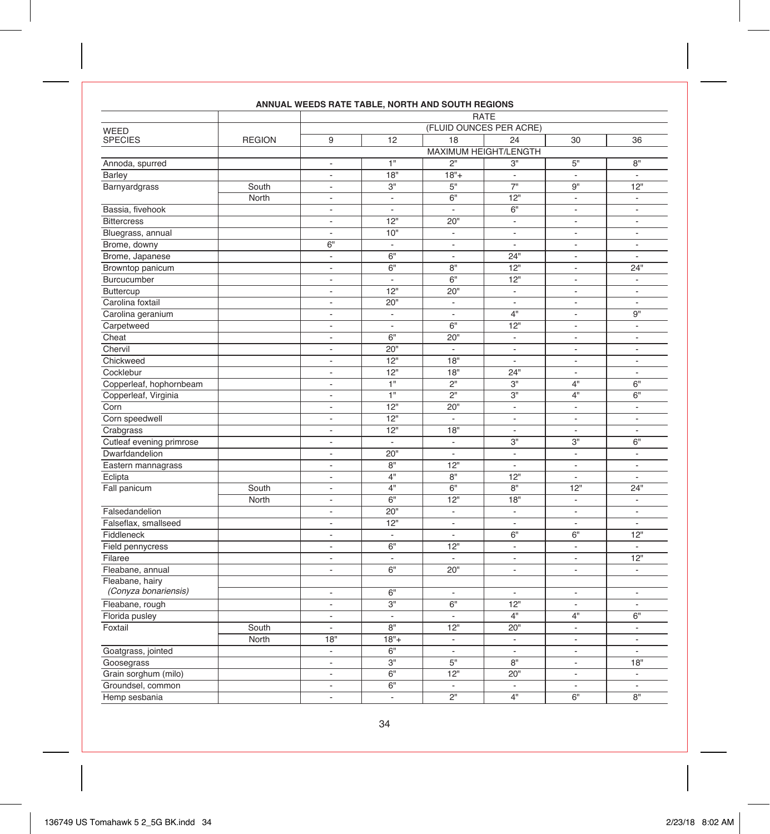### **ANNUAL WEEDS RATE TABLE, NORTH AND SOUTH REGIONS**

|                          |               | <b>RATE</b>              |                          |                              |                              |                          |                          |
|--------------------------|---------------|--------------------------|--------------------------|------------------------------|------------------------------|--------------------------|--------------------------|
| WEED                     |               |                          |                          | (FLUID OUNCES PER ACRE)      |                              |                          |                          |
| <b>SPECIES</b>           | <b>REGION</b> | 9                        | 12                       | 18                           | 24                           | 30                       | 36                       |
|                          |               |                          |                          | <b>MAXIMUM HEIGHT/LENGTH</b> |                              |                          |                          |
| Annoda, spurred          |               | $\overline{\phantom{a}}$ | 1"                       | 2"                           | 3"                           | $5"$                     | 8"                       |
| Barley                   |               | $\overline{\phantom{a}}$ | 18"                      | $18"+$                       | $\overline{\phantom{a}}$     | $\overline{\phantom{a}}$ | $\overline{\phantom{a}}$ |
| Barnyardgrass            | South         | $\overline{\phantom{a}}$ | 3"                       | 5"                           | 7"                           | 9"                       | 12"                      |
|                          | North         | $\sim$                   | $\overline{\phantom{a}}$ | 6"                           | 12"                          | $\overline{\phantom{a}}$ | $\blacksquare$           |
| Bassia, fivehook         |               | $\overline{\phantom{a}}$ | L,                       | $\overline{a}$               | 6"                           | $\overline{\phantom{a}}$ | $\overline{\phantom{a}}$ |
| <b>Bittercress</b>       |               | $\overline{\phantom{a}}$ | 12"                      | 20"                          | $\qquad \qquad \blacksquare$ | $\overline{\phantom{a}}$ | $\overline{\phantom{a}}$ |
| Bluegrass, annual        |               | $\overline{\phantom{a}}$ | 10"                      | $\overline{\phantom{a}}$     | $\overline{\phantom{a}}$     | $\overline{\phantom{a}}$ | $\overline{\phantom{a}}$ |
| Brome, downy             |               | 6"                       | $\overline{a}$           | $\overline{a}$               | $\overline{a}$               | $\overline{a}$           | $\overline{\phantom{a}}$ |
| Brome, Japanese          |               | $\overline{\phantom{a}}$ | 6"                       | $\overline{\phantom{a}}$     | 24"                          | $\overline{\phantom{a}}$ | $\overline{\phantom{a}}$ |
| Browntop panicum         |               | $\overline{\phantom{a}}$ | 6"                       | 8"                           | 12"                          | $\overline{a}$           | $24^{\overline{11}}$     |
| Burcucumber              |               | $\blacksquare$           | $\blacksquare$           | 6"                           | 12"                          | $\overline{a}$           | $\blacksquare$           |
| <b>Buttercup</b>         |               | $\overline{\phantom{a}}$ | 12"                      | 20"                          | $\overline{\phantom{a}}$     | $\overline{\phantom{a}}$ | $\overline{\phantom{a}}$ |
| Carolina foxtail         |               | $\overline{\phantom{a}}$ | 20"                      | $\overline{\phantom{a}}$     | $\qquad \qquad \blacksquare$ | ÷                        | $\overline{\phantom{a}}$ |
| Carolina geranium        |               | $\overline{\phantom{a}}$ | $\overline{\phantom{a}}$ | $\overline{\phantom{a}}$     | 4"                           | $\overline{\phantom{a}}$ | 9"                       |
| Carpetweed               |               | $\overline{\phantom{a}}$ | $\overline{\phantom{a}}$ | 6"                           | 12"                          | $\overline{\phantom{a}}$ | $\overline{\phantom{a}}$ |
| Cheat                    |               | $\overline{\phantom{a}}$ | 6"                       | 20"                          | $\overline{\phantom{a}}$     | $\overline{\phantom{a}}$ | $\overline{\phantom{a}}$ |
| Chervil                  |               | $\overline{\phantom{a}}$ | 20 <sup>11</sup>         | $\overline{a}$               | $\overline{a}$               | $\overline{a}$           | $\overline{\phantom{a}}$ |
| Chickweed                |               | $\overline{\phantom{a}}$ | 12"                      | 18"                          | $\centerdot$                 | $\overline{\phantom{a}}$ | $\overline{\phantom{a}}$ |
| Cocklebur                |               | $\overline{\phantom{a}}$ | 12"                      | 18"                          | 24"                          | $\overline{\phantom{a}}$ | $\overline{\phantom{a}}$ |
| Copperleaf, hophornbeam  |               | $\overline{\phantom{a}}$ | 1"                       | 2 <sup>n</sup>               | 3"                           | 4"                       | 6"                       |
| Copperleaf, Virginia     |               | $\overline{\phantom{a}}$ | 1"                       | 2 <sup>n</sup>               | 3"                           | 4"                       | 6"                       |
| Corn                     |               | $\overline{a}$           | 12"                      | 20"                          | $\centerdot$                 | $\overline{a}$           | $\overline{a}$           |
| Corn speedwell           |               | $\overline{a}$           | 12"                      | $\overline{a}$               | $\overline{a}$               | $\overline{a}$           | $\overline{\phantom{a}}$ |
| Crabgrass                |               | $\overline{a}$           | 12"                      | 18"                          | $\overline{a}$               | $\overline{a}$           | $\overline{a}$           |
| Cutleaf evening primrose |               | $\overline{\phantom{a}}$ | $\blacksquare$           | $\overline{\phantom{a}}$     | 3"                           | 3"                       | 6"                       |
| Dwarfdandelion           |               | $\overline{\phantom{a}}$ | 20"                      | $\overline{a}$               | $\qquad \qquad \blacksquare$ | $\overline{\phantom{a}}$ | $\overline{\phantom{a}}$ |
| Eastern mannagrass       |               | $\overline{\phantom{a}}$ | 8"                       | 12"                          | $\overline{\phantom{a}}$     | $\overline{\phantom{a}}$ | $\overline{\phantom{a}}$ |
| Eclipta                  |               | $\overline{a}$           | 4"                       | 8"                           | 12"                          | $\overline{a}$           | $\overline{\phantom{a}}$ |
| Fall panicum             | South         | $\overline{\phantom{a}}$ | 4"                       | 6"                           | 8"                           | 12"                      | 24"                      |
|                          | North         | $\overline{a}$           | 6"                       | 12"                          | 18"                          | $\overline{\phantom{a}}$ | $\overline{\phantom{a}}$ |
| Falsedandelion           |               | $\blacksquare$           | 20"                      | $\overline{\phantom{a}}$     | $\overline{\phantom{a}}$     | $\overline{\phantom{a}}$ | $\overline{\phantom{a}}$ |
| Falseflax, smallseed     |               | $\overline{\phantom{a}}$ | 12"                      | $\overline{\phantom{a}}$     | $\qquad \qquad \blacksquare$ | $\overline{\phantom{a}}$ | $\overline{\phantom{a}}$ |
| Fiddleneck               |               | $\overline{\phantom{a}}$ | $\overline{\phantom{a}}$ | $\overline{\phantom{a}}$     | 6"                           | 6"                       | 12"                      |
| Field pennycress         |               | $\overline{\phantom{a}}$ | 6"                       | 12"                          | $\overline{a}$               | $\overline{\phantom{a}}$ | $\overline{\phantom{a}}$ |
| Filaree                  |               | $\overline{\phantom{a}}$ | $\overline{a}$           | $\overline{\phantom{a}}$     | $\overline{a}$               | $\overline{\phantom{a}}$ | 12"                      |
| Fleabane, annual         |               | $\overline{\phantom{m}}$ | 6"                       | 20"                          | $\overline{a}$               | $\overline{a}$           | $\overline{a}$           |
| Fleabane, hairy          |               |                          |                          |                              |                              |                          |                          |
| (Conyza bonariensis)     |               | $\overline{a}$           | 6"                       | $\blacksquare$               | $\overline{a}$               | $\overline{a}$           | $\overline{\phantom{a}}$ |
| Fleabane, rough          |               | $\overline{a}$           | 3"                       | 6"                           | 12"                          | $\overline{a}$           | $\overline{\phantom{a}}$ |
| Florida pusley           |               | $\overline{a}$           | $\overline{a}$           | $\overline{a}$               | 4"                           | 4"                       | 6"                       |
| Foxtail                  | South         | $\overline{a}$           | 8"                       | 12"                          | 20"                          | $\overline{a}$           | $\blacksquare$           |
|                          | North         | 18"                      | $18"+$                   | $\overline{\phantom{a}}$     | $\overline{\phantom{a}}$     | $\overline{\phantom{a}}$ | $\overline{\phantom{a}}$ |
| Goatgrass, jointed       |               | $\overline{\phantom{a}}$ | 6"                       | ÷,                           | $\overline{\phantom{a}}$     | ÷                        | $\overline{\phantom{a}}$ |
| Goosegrass               |               | $\overline{\phantom{a}}$ | 3"                       | $5"$                         | $8"$                         | $\overline{\phantom{a}}$ | 18"                      |
| Grain sorghum (milo)     |               | $\overline{\phantom{a}}$ | 6"                       | 12"                          | 20"                          | $\overline{\phantom{a}}$ | $\overline{\phantom{a}}$ |
| Groundsel, common        |               | $\overline{\phantom{a}}$ | 6"                       | $\blacksquare$               | $\overline{\phantom{a}}$     | $\overline{a}$           | $\overline{\phantom{a}}$ |
| Hemp sesbania            |               | $\overline{a}$           | $\overline{a}$           | 2"                           | 4"                           | 6"                       | 8"                       |
|                          |               |                          |                          |                              |                              |                          |                          |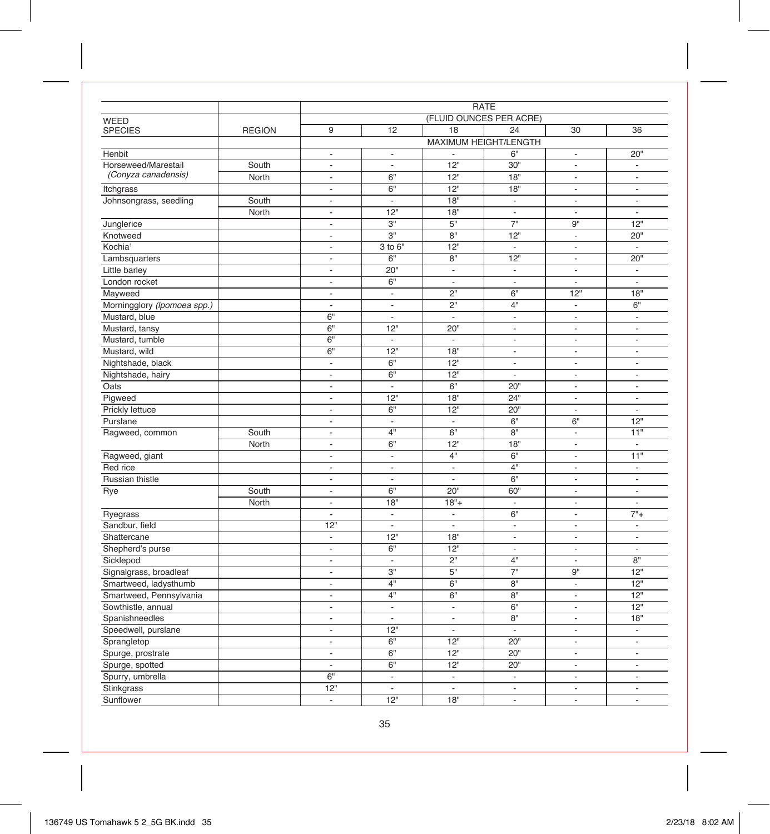|                             |               |                          |                          | <b>RATE</b>              |                          |                          |                          |
|-----------------------------|---------------|--------------------------|--------------------------|--------------------------|--------------------------|--------------------------|--------------------------|
| WEED                        |               |                          |                          | (FLUID OUNCES PER ACRE)  |                          |                          |                          |
| <b>SPECIES</b>              | <b>REGION</b> | 9                        | 12                       | 18                       | 24                       | 30                       | 36                       |
|                             |               |                          |                          | MAXIMUM HEIGHT/LENGTH    |                          |                          |                          |
| Henbit                      |               | $\overline{\phantom{a}}$ | $\overline{\phantom{a}}$ | $\overline{a}$           | 6"                       | $\overline{\phantom{a}}$ | 20"                      |
| Horseweed/Marestail         | South         | $\overline{\phantom{a}}$ | $\overline{a}$           | 12"                      | 30"                      | $\blacksquare$           | $\overline{\phantom{a}}$ |
| (Conyza canadensis)         | North         | $\overline{\phantom{a}}$ | 6"                       | 12"                      | 18"                      | $\overline{\phantom{a}}$ | $\overline{\phantom{a}}$ |
| Itchgrass                   |               | $\overline{\phantom{a}}$ | $\overline{6}$ "         | 12"                      | 18"                      | $\blacksquare$           | $\blacksquare$           |
| Johnsongrass, seedling      | South         | $\overline{a}$           | $\overline{a}$           | 18"                      | $\overline{\phantom{a}}$ | $\frac{1}{2}$            | $\blacksquare$           |
|                             | North         | $\overline{a}$           | 12"                      | 18"                      | $\overline{\phantom{a}}$ | $\overline{\phantom{a}}$ | $\overline{a}$           |
| Junglerice                  |               | $\overline{\phantom{a}}$ | 3"                       | 5"                       | 7"                       | 9"                       | 12"                      |
| Knotweed                    |               | $\overline{\phantom{a}}$ | 3"                       | 8"                       | 12"                      | $\overline{\phantom{a}}$ | 20"                      |
| Kochia <sup>1</sup>         |               | $\overline{\phantom{a}}$ | 3 to 6"                  | 12"                      | $\overline{\phantom{a}}$ | $\overline{\phantom{a}}$ | $\overline{\phantom{a}}$ |
| Lambsquarters               |               | $\overline{\phantom{a}}$ | 6"                       | 8"                       | 12"                      | $\overline{\phantom{a}}$ | 20"                      |
| Little barley               |               | $\overline{\phantom{a}}$ | 20"                      | $\overline{\phantom{a}}$ | $\overline{\phantom{a}}$ | $\blacksquare$           | $\overline{\phantom{a}}$ |
| London rocket               |               | $\overline{a}$           | 6"                       | $\blacksquare$           | $\overline{\phantom{a}}$ | $\overline{a}$           | $\overline{a}$           |
| Mayweed                     |               | $\blacksquare$           | $\overline{\phantom{a}}$ | 2"                       | 6"                       | 12"                      | 18"                      |
| Morningglory (Ipomoea spp.) |               | $\overline{a}$           | $\overline{\phantom{a}}$ | 2 <sup>n</sup>           | 4"                       | $\overline{\phantom{a}}$ | 6"                       |
| Mustard, blue               |               | 6"                       | $\overline{a}$           | $\overline{a}$           | $\blacksquare$           | $\frac{1}{2}$            | $\overline{\phantom{a}}$ |
| Mustard, tansy              |               | 6"                       | 12"                      | 20"                      | $\overline{\phantom{a}}$ | $\overline{\phantom{a}}$ | $\overline{\phantom{a}}$ |
| Mustard, tumble             |               | 6"                       | $\overline{\phantom{a}}$ | $\overline{\phantom{a}}$ | $\overline{\phantom{a}}$ | $\overline{\phantom{a}}$ | $\overline{\phantom{a}}$ |
| Mustard, wild               |               | 6"                       | 12 <sup>11</sup>         | 18"                      | $\overline{\phantom{a}}$ | $\blacksquare$           | $\blacksquare$           |
| Nightshade, black           |               | $\overline{\phantom{a}}$ | 6"                       | 12"                      | $\overline{\phantom{a}}$ | $\overline{a}$           | $\overline{a}$           |
| Nightshade, hairy           |               | $\blacksquare$           | 6"                       | 12"                      | $\overline{\phantom{a}}$ | $\overline{\phantom{a}}$ | $\blacksquare$           |
| Oats                        |               | $\overline{\phantom{a}}$ | $\overline{\phantom{a}}$ | 6"                       | 20"                      | $\overline{\phantom{a}}$ | $\overline{\phantom{a}}$ |
| Pigweed                     |               | $\overline{\phantom{a}}$ | 12"                      | 18"                      | 24"                      | $\overline{\phantom{a}}$ | $\overline{\phantom{a}}$ |
| Prickly lettuce             |               | $\overline{\phantom{a}}$ | 6"                       | 12"                      | 20"                      | $\overline{\phantom{a}}$ | $\overline{\phantom{a}}$ |
| Purslane                    |               | $\overline{a}$           | $\overline{\phantom{a}}$ | $\blacksquare$           | 6"                       | 6"                       | 12"                      |
| Ragweed, common             | South         | $\overline{\phantom{a}}$ | 4"                       | 6"                       | 8"                       | $\overline{\phantom{a}}$ | 11"                      |
|                             | North         | $\overline{a}$           | 6"                       | 12"                      | 18"                      | $\overline{a}$           | L,                       |
| Ragweed, giant              |               | $\blacksquare$           | $\overline{\phantom{a}}$ | 4"                       | 6"                       | $\overline{\phantom{a}}$ | 11"                      |
| Red rice                    |               | $\overline{\phantom{a}}$ | $\overline{\phantom{a}}$ | $\overline{\phantom{a}}$ | 4"                       | $\overline{\phantom{a}}$ | $\overline{\phantom{a}}$ |
| Russian thistle             |               | $\overline{\phantom{a}}$ | $\overline{\phantom{a}}$ | $\blacksquare$           | 6"                       | $\overline{\phantom{a}}$ | $\overline{\phantom{a}}$ |
| Rye                         | South         | $\overline{\phantom{a}}$ | 6"                       | 20"                      | 60"                      | $\overline{\phantom{a}}$ | $\overline{\phantom{a}}$ |
|                             | North         | $\overline{\phantom{a}}$ | 18"                      | $18"+$                   | $\overline{\phantom{a}}$ | $\overline{\phantom{a}}$ | $\overline{\phantom{a}}$ |
| Ryegrass                    |               | $\overline{\phantom{a}}$ | $\blacksquare$           | $\blacksquare$           | 6"                       | $\overline{\phantom{a}}$ | $7"+$                    |
| Sandbur, field              |               | 12 <sup>0</sup>          | $\overline{\phantom{m}}$ | $\overline{a}$           | $\overline{\phantom{a}}$ | $\overline{a}$           | $\overline{a}$           |
| Shattercane                 |               | $\overline{\phantom{a}}$ | 12"                      | 18"                      | $\blacksquare$           | $\frac{1}{2}$            | $\overline{\phantom{a}}$ |
| Shepherd's purse            |               | $\overline{\phantom{a}}$ | 6"                       | 12"                      | $\overline{\phantom{a}}$ | $\overline{\phantom{a}}$ | $\overline{\phantom{a}}$ |
| Sicklepod                   |               | $\overline{\phantom{a}}$ | Ţ                        | $\overline{2}$           | 4"                       | $\overline{\phantom{a}}$ | 8"                       |
| Signalgrass, broadleaf      |               | $\overline{\phantom{a}}$ | 3"                       | 5"                       | 7"                       | 9"                       | 12"                      |
| Smartweed, ladysthumb       |               | $\overline{\phantom{a}}$ | 4"                       | 6"                       | 8"                       | $\overline{\phantom{a}}$ | 12"                      |
| Smartweed, Pennsylvania     |               | $\overline{\phantom{a}}$ | 4 <sup>0</sup>           | 6"                       | 8"                       | $\overline{\phantom{a}}$ | 12"                      |
| Sowthistle, annual          |               | $\overline{\phantom{m}}$ | $\overline{\phantom{a}}$ | $\overline{\phantom{a}}$ | 6"                       | $\frac{1}{2}$            | 12"                      |
| Spanishneedles              |               | $\overline{a}$           | $\overline{a}$           | $\blacksquare$           | 8"                       | $\frac{1}{2}$            | 18"                      |
| Speedwell, purslane         |               | $\overline{\phantom{a}}$ | 12"                      | $\overline{\phantom{a}}$ | $\overline{\phantom{a}}$ | $\overline{\phantom{a}}$ | $\overline{\phantom{a}}$ |
| Sprangletop                 |               | $\overline{\phantom{a}}$ | 6"                       | 12"                      | 20 <sup>11</sup>         | $\overline{\phantom{a}}$ | $\blacksquare$           |
| Spurge, prostrate           |               | $\overline{a}$           | 6"                       | 12"                      | 20"                      | $\blacksquare$           | $\blacksquare$           |
| Spurge, spotted             |               | $\overline{\phantom{a}}$ | 6"                       | 12"                      | 20"                      | $\overline{\phantom{a}}$ | $\overline{\phantom{a}}$ |
| Spurry, umbrella            |               | 6"                       | $\overline{\phantom{a}}$ | $\overline{\phantom{a}}$ | $\overline{\phantom{a}}$ | $\frac{1}{2}$            | $\overline{\phantom{a}}$ |
| Stinkgrass                  |               | 12"                      | $\overline{\phantom{a}}$ | $\overline{\phantom{a}}$ | $\overline{\phantom{a}}$ | $\overline{a}$           | $\overline{a}$           |
|                             |               | $\overline{a}$           | 12"                      | 18"                      | $\blacksquare$           | $\overline{a}$           | $\overline{a}$           |
| Sunflower                   |               |                          |                          |                          |                          |                          |                          |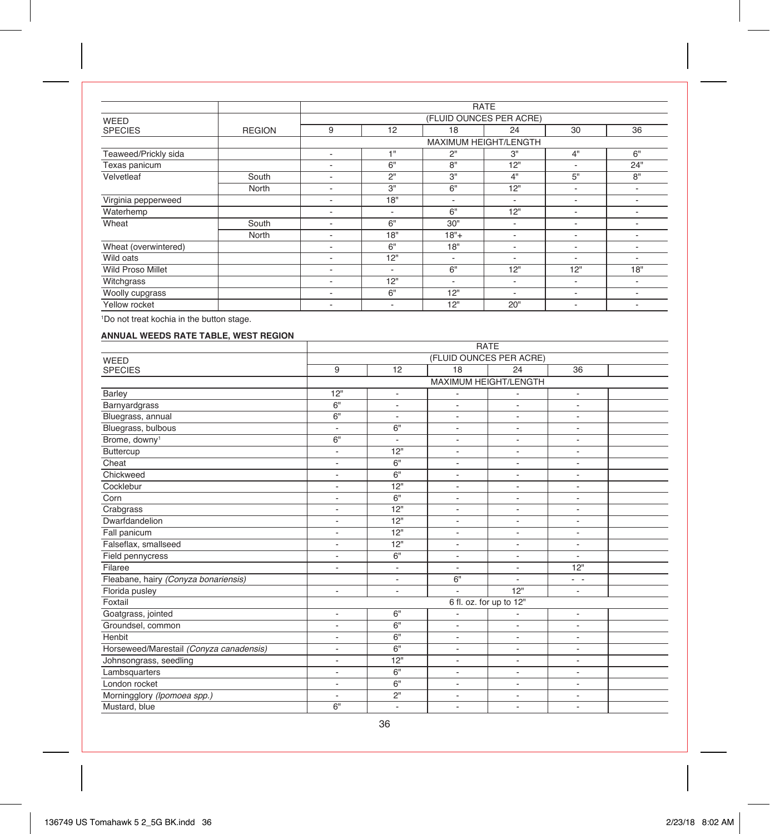|                      |               | RATE                     |                          |                          |                          |                          |                          |
|----------------------|---------------|--------------------------|--------------------------|--------------------------|--------------------------|--------------------------|--------------------------|
| WEED                 |               |                          |                          |                          | (FLUID OUNCES PER ACRE)  |                          |                          |
| <b>SPECIES</b>       | <b>REGION</b> | 9                        | 12                       | 18                       | 24                       | 30                       | 36                       |
|                      |               |                          |                          |                          | MAXIMUM HEIGHT/LENGTH    |                          |                          |
| Teaweed/Prickly sida |               | $\overline{\phantom{a}}$ | 1"                       | 2"                       | 3"                       | 4"                       | 6"                       |
| Texas panicum        |               | $\overline{\phantom{a}}$ | 6"                       | R''                      | 12"                      | $\overline{\phantom{0}}$ | 24"                      |
| Velvetleaf           | South         | $\overline{\phantom{a}}$ | 2"                       | 3"                       | 4"                       | 5"                       | 8"                       |
|                      | North         | $\overline{\phantom{a}}$ | 3"                       | 6"                       | 12"                      | $\overline{\phantom{0}}$ |                          |
| Virginia pepperweed  |               | $\overline{\phantom{a}}$ | 18"                      | $\overline{\phantom{a}}$ | $\overline{\phantom{0}}$ | $\overline{\phantom{a}}$ |                          |
| Waterhemp            |               | $\overline{\phantom{a}}$ | $\overline{\phantom{a}}$ | 6"                       | 12"                      | $\overline{\phantom{a}}$ |                          |
| Wheat                | South         | $\overline{\phantom{a}}$ | 6"                       | 30"                      | $\overline{\phantom{a}}$ | $\overline{\phantom{a}}$ |                          |
|                      | North         | $\overline{\phantom{a}}$ | 18"                      | $18"+$                   | $\overline{\phantom{a}}$ | $\overline{\phantom{a}}$ |                          |
| Wheat (overwintered) |               | $\overline{\phantom{a}}$ | 6"                       | 18"                      | $\overline{\phantom{a}}$ | $\overline{\phantom{a}}$ |                          |
| Wild oats            |               | $\overline{\phantom{a}}$ | 12"                      | $\overline{\phantom{a}}$ | $\overline{\phantom{a}}$ | $\overline{\phantom{a}}$ | $\overline{\phantom{a}}$ |
| Wild Proso Millet    |               | $\overline{\phantom{a}}$ | $\overline{\phantom{a}}$ | 6"                       | 12"                      | 12"                      | 18"                      |
| Witchgrass           |               | $\overline{\phantom{a}}$ | 12"                      | $\overline{\phantom{a}}$ | $\overline{\phantom{a}}$ | $\overline{\phantom{a}}$ | $\overline{\phantom{a}}$ |
| Woolly cupgrass      |               | $\overline{\phantom{a}}$ | 6"                       | 12"                      | $\overline{\phantom{a}}$ | $\overline{\phantom{a}}$ | $\overline{\phantom{0}}$ |
| Yellow rocket        |               | $\overline{\phantom{a}}$ | $\overline{\phantom{a}}$ | 12"                      | 20"                      | $\overline{\phantom{a}}$ | $\overline{\phantom{0}}$ |

1Do not treat kochia in the button stage.

### **ANNUAL WEEDS RATE TABLE, WEST REGION**

|                                         | <b>RATE</b>                  |                          |                              |                          |                          |  |
|-----------------------------------------|------------------------------|--------------------------|------------------------------|--------------------------|--------------------------|--|
| WEED                                    | (FLUID OUNCES PER ACRE)      |                          |                              |                          |                          |  |
| <b>SPECIES</b>                          | 9                            | 12                       | 18                           | 24                       | 36                       |  |
|                                         |                              |                          | <b>MAXIMUM HEIGHT/LENGTH</b> |                          |                          |  |
| Barley                                  | 12"                          | $\frac{1}{2}$            | $\overline{\phantom{0}}$     | $\overline{a}$           | $\overline{\phantom{a}}$ |  |
| Barnyardgrass                           | 6"                           | $\overline{\phantom{0}}$ | ÷                            | $\overline{a}$           | $\overline{\phantom{a}}$ |  |
| Bluegrass, annual                       | 6"                           | $\overline{\phantom{a}}$ | $\qquad \qquad \blacksquare$ | $\overline{\phantom{0}}$ | $\overline{\phantom{a}}$ |  |
| Bluegrass, bulbous                      | $\overline{a}$               | 6"                       | $\overline{\phantom{a}}$     | $\overline{a}$           | $\overline{\phantom{a}}$ |  |
| Brome, downy <sup>1</sup>               | 6"                           | $\overline{\phantom{0}}$ | $\overline{\phantom{a}}$     | $\overline{\phantom{0}}$ | $\overline{\phantom{a}}$ |  |
| Buttercup                               | $\overline{\phantom{a}}$     | 12"                      | $\overline{\phantom{a}}$     | $\overline{\phantom{0}}$ | $\overline{\phantom{a}}$ |  |
| Cheat                                   | $\qquad \qquad \blacksquare$ | 6"                       | $\qquad \qquad \blacksquare$ | $\overline{\phantom{0}}$ | $\overline{\phantom{a}}$ |  |
| Chickweed                               | $\overline{a}$               | 6"                       | $\overline{a}$               | $\overline{a}$           | $\overline{\phantom{a}}$ |  |
| Cocklebur                               | ٠                            | 12"                      | ٠                            | $\overline{a}$           | $\overline{\phantom{m}}$ |  |
| Corn                                    | $\overline{\phantom{0}}$     | 6"                       | $\overline{\phantom{0}}$     | $\overline{\phantom{0}}$ | $\overline{\phantom{a}}$ |  |
| Crabgrass                               | $\overline{\phantom{0}}$     | 12"                      | $\overline{\phantom{0}}$     | $\overline{\phantom{0}}$ | $\overline{\phantom{a}}$ |  |
| Dwarfdandelion                          | ٠                            | 12"                      | ÷                            | $\overline{\phantom{0}}$ | $\overline{a}$           |  |
| Fall panicum                            | $\overline{\phantom{0}}$     | 12"                      | $\overline{\phantom{a}}$     | $\overline{\phantom{0}}$ | $\overline{\phantom{a}}$ |  |
| Falseflax, smallseed                    | $\overline{a}$               | 12"                      | $\overline{a}$               | $\overline{a}$           | $\overline{\phantom{a}}$ |  |
| Field pennycress                        | ÷                            | 6"                       | ÷                            | $\overline{a}$           |                          |  |
| Filaree                                 | $\overline{a}$               | $\overline{\phantom{a}}$ | $\overline{\phantom{a}}$     | $\overline{\phantom{0}}$ | 12"                      |  |
| Fleabane, hairy (Conyza bonariensis)    |                              | $\overline{\phantom{a}}$ | 6"                           | $\overline{\phantom{0}}$ | - -                      |  |
| Florida pusley                          | $\overline{\phantom{a}}$     | $\overline{\phantom{a}}$ |                              | 12"                      | $\overline{\phantom{a}}$ |  |
| Foxtail                                 |                              |                          | 6 fl. oz. for up to 12"      |                          |                          |  |
| Goatgrass, jointed                      | $\overline{a}$               | 6"                       | $\overline{a}$               | $\overline{a}$           | $\overline{\phantom{a}}$ |  |
| Groundsel, common                       | $\overline{a}$               | 6"                       | ÷                            | $\overline{a}$           | $\overline{a}$           |  |
| Henbit                                  | $\overline{\phantom{0}}$     | 6"                       | $\overline{\phantom{0}}$     | $\overline{\phantom{0}}$ | $\overline{\phantom{a}}$ |  |
| Horseweed/Marestail (Conyza canadensis) | $\overline{a}$               | 6"                       | $\overline{a}$               | $\overline{\phantom{0}}$ | $\overline{\phantom{a}}$ |  |
| Johnsongrass, seedling                  | $\overline{a}$               | 12"                      | ÷                            | $\overline{a}$           | $\overline{a}$           |  |
| Lambsquarters                           | $\overline{\phantom{a}}$     | 6"                       | $\overline{a}$               | $\overline{\phantom{0}}$ | $\overline{\phantom{a}}$ |  |
| London rocket                           | $\qquad \qquad \blacksquare$ | 6"                       | $\qquad \qquad \blacksquare$ | $\overline{\phantom{0}}$ | $\overline{\phantom{a}}$ |  |
| Morningglory (Ipomoea spp.)             | $\overline{\phantom{a}}$     | 2 <sup>n</sup>           | $\overline{\phantom{a}}$     | $\overline{\phantom{0}}$ | $\overline{\phantom{a}}$ |  |
| Mustard, blue                           | 6"                           | $\overline{a}$           | $\overline{\phantom{a}}$     | $\overline{\phantom{a}}$ | $\overline{\phantom{a}}$ |  |
|                                         |                              |                          |                              |                          |                          |  |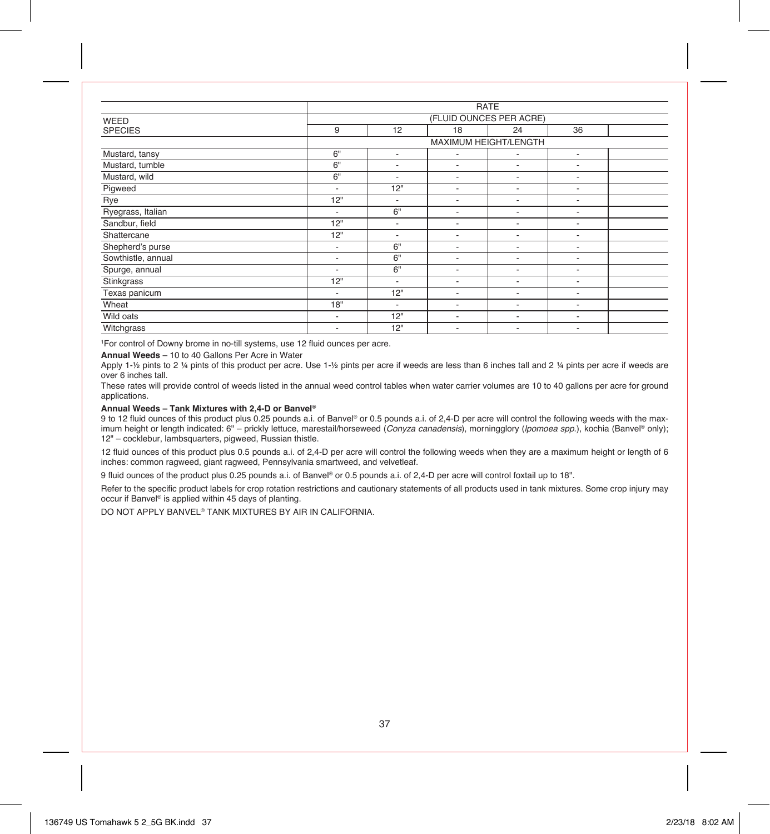|                    | <b>RATE</b>              |                          |                          |                          |                          |  |
|--------------------|--------------------------|--------------------------|--------------------------|--------------------------|--------------------------|--|
| WEED               |                          |                          | (FLUID OUNCES PER ACRE)  |                          |                          |  |
| <b>SPECIES</b>     | 9                        | 12                       | 18                       | 24                       | 36                       |  |
|                    |                          |                          | MAXIMUM HEIGHT/LENGTH    |                          |                          |  |
| Mustard, tansy     | 6"                       | $\overline{\phantom{a}}$ | $\overline{\phantom{a}}$ | $\overline{\phantom{a}}$ | $\overline{\phantom{a}}$ |  |
| Mustard, tumble    | 6"                       | $\overline{\phantom{a}}$ | $\overline{\phantom{0}}$ | $\overline{\phantom{a}}$ | $\overline{\phantom{a}}$ |  |
| Mustard, wild      | 6"                       | $\overline{\phantom{a}}$ | $\overline{\phantom{0}}$ | $\overline{\phantom{a}}$ | $\overline{\phantom{a}}$ |  |
| Pigweed            | $\overline{\phantom{a}}$ | 12"                      | $\overline{\phantom{0}}$ | $\overline{\phantom{a}}$ | $\overline{\phantom{a}}$ |  |
| Rye                | 12"                      | $\overline{\phantom{a}}$ | $\overline{\phantom{a}}$ | $\overline{\phantom{a}}$ | $\overline{\phantom{a}}$ |  |
| Ryegrass, Italian  | $\overline{\phantom{a}}$ | 6"                       | $\overline{\phantom{a}}$ | $\overline{\phantom{a}}$ | $\overline{\phantom{a}}$ |  |
| Sandbur, field     | 12"                      | $\overline{\phantom{a}}$ | $\overline{\phantom{a}}$ | $\overline{\phantom{0}}$ | $\overline{\phantom{a}}$ |  |
| Shattercane        | 12"                      | $\overline{\phantom{a}}$ | $\overline{\phantom{a}}$ | $\overline{\phantom{0}}$ | $\overline{\phantom{a}}$ |  |
| Shepherd's purse   | $\overline{\phantom{a}}$ | 6"                       | $\overline{\phantom{0}}$ | $\overline{\phantom{a}}$ | $\overline{\phantom{a}}$ |  |
| Sowthistle, annual | ٠                        | 6"                       | $\overline{\phantom{a}}$ | $\overline{\phantom{a}}$ | $\overline{\phantom{a}}$ |  |
| Spurge, annual     | ٠                        | 6"                       | $\overline{\phantom{a}}$ | $\overline{\phantom{a}}$ | $\overline{\phantom{a}}$ |  |
| Stinkgrass         | 12"                      | $\overline{\phantom{a}}$ | $\overline{\phantom{0}}$ | $\overline{\phantom{a}}$ | $\overline{\phantom{a}}$ |  |
| Texas panicum      | $\overline{\phantom{a}}$ | 12"                      | $\overline{\phantom{a}}$ | $\overline{\phantom{a}}$ | $\overline{\phantom{a}}$ |  |
| Wheat              | 18"                      | $\overline{\phantom{a}}$ | $\overline{\phantom{a}}$ | $\overline{\phantom{a}}$ | $\overline{\phantom{a}}$ |  |
| Wild oats          | $\overline{\phantom{a}}$ | 12"                      | $\overline{\phantom{a}}$ | $\overline{\phantom{a}}$ | $\overline{\phantom{a}}$ |  |
| Witchgrass         | $\overline{\phantom{a}}$ | 12"                      | $\overline{\phantom{a}}$ | $\overline{\phantom{a}}$ | $\overline{\phantom{a}}$ |  |

1For control of Downy brome in no-till systems, use 12 fluid ounces per acre.

### **Annual Weeds** – 10 to 40 Gallons Per Acre in Water

Apply 1-½ pints to 2 ¼ pints of this product per acre. Use 1-½ pints per acre if weeds are less than 6 inches tall and 2 ¼ pints per acre if weeds are over 6 inches tall.

These rates will provide control of weeds listed in the annual weed control tables when water carrier volumes are 10 to 40 gallons per acre for ground applications.

### **Annual Weeds – Tank Mixtures with 2,4-D or Banvel®**

9 to 12 fluid ounces of this product plus 0.25 pounds a.i. of Banvel® or 0.5 pounds a.i. of 2,4-D per acre will control the following weeds with the maximum height or length indicated: 6" – prickly lettuce, marestail/horseweed (*Conyza canadensis*), morningglory (*lpomoea spp*.), kochia (Banvel® only); 12" – cocklebur, lambsquarters, pigweed, Russian thistle.

12 fluid ounces of this product plus 0.5 pounds a.i. of 2,4-D per acre will control the following weeds when they are a maximum height or length of 6 inches: common ragweed, giant ragweed, Pennsylvania smartweed, and velvetleaf.

9 fluid ounces of the product plus 0.25 pounds a.i. of Banvel® or 0.5 pounds a.i. of 2.4-D per acre will control foxtail up to 18".

Refer to the specific product labels for crop rotation restrictions and cautionary statements of all products used in tank mixtures. Some crop injury may occur if Banvel® is applied within 45 days of planting.

DO NOT APPLY BANVEL® TANK MIXTURES BY AIR IN CALIFORNIA.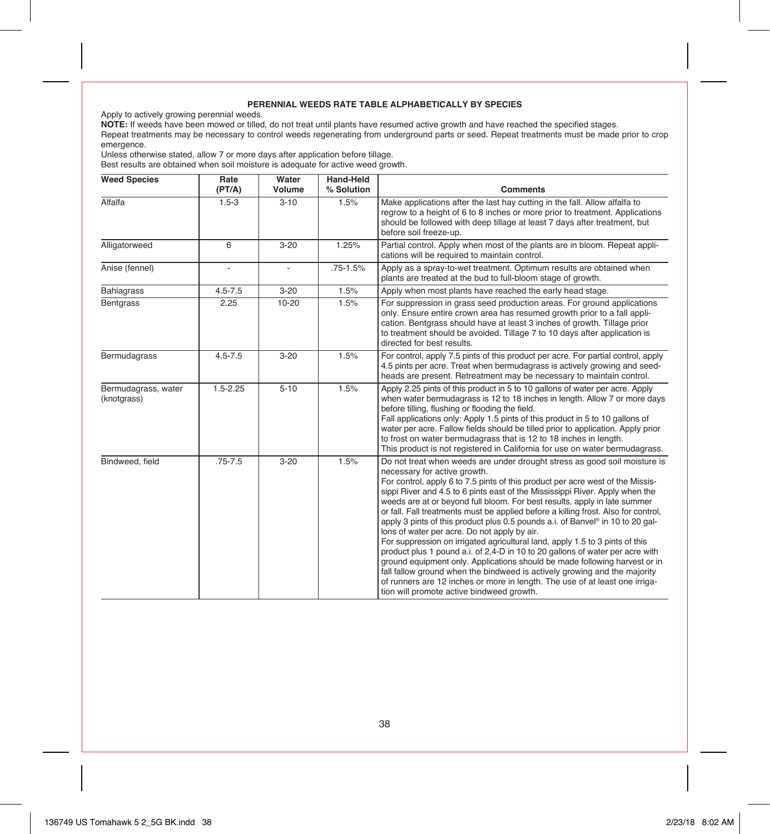### **PERENNIAL WEEDS RATE TABLE ALPHABETICALLY BY SPECIES**

Apply to actively growing perennial weeds.

**NOTE:** If weeds have been mowed or tilled, do not treat until plants have resumed active growth and have reached the specified stages.

Repeat treatments may be necessary to control weeds regenerating from underground parts or seed. Repeat treatments must be made prior to crop emergence.

Unless otherwise stated, allow 7 or more days after application before tillage. Best results are obtained when soil moisture is adequate for active weed growth.

| <b>Weed Species</b>                | Rate<br>(PT/A) | Water<br>Volume | Hand-Held<br>% Solution | Comments                                                                                                                                                                                                                                                                                                                                                                                                                                                                                                                                                                                                                                                                                                                                                                                                                                                                                                                                                                                                                                 |
|------------------------------------|----------------|-----------------|-------------------------|------------------------------------------------------------------------------------------------------------------------------------------------------------------------------------------------------------------------------------------------------------------------------------------------------------------------------------------------------------------------------------------------------------------------------------------------------------------------------------------------------------------------------------------------------------------------------------------------------------------------------------------------------------------------------------------------------------------------------------------------------------------------------------------------------------------------------------------------------------------------------------------------------------------------------------------------------------------------------------------------------------------------------------------|
| Alfalfa                            | $1.5 - 3$      | $3 - 10$        | 1.5%                    | Make applications after the last hay cutting in the fall. Allow alfalfa to<br>regrow to a height of 6 to 8 inches or more prior to treatment. Applications<br>should be followed with deep tillage at least 7 days after treatment, but<br>before soil freeze-up.                                                                                                                                                                                                                                                                                                                                                                                                                                                                                                                                                                                                                                                                                                                                                                        |
| Alligatorweed                      | 6              | $3 - 20$        | 1.25%                   | Partial control. Apply when most of the plants are in bloom. Repeat appli-<br>cations will be required to maintain control.                                                                                                                                                                                                                                                                                                                                                                                                                                                                                                                                                                                                                                                                                                                                                                                                                                                                                                              |
| Anise (fennel)                     | $\overline{a}$ | $\overline{a}$  | $.75 - 1.5%$            | Apply as a spray-to-wet treatment. Optimum results are obtained when<br>plants are treated at the bud to full-bloom stage of growth.                                                                                                                                                                                                                                                                                                                                                                                                                                                                                                                                                                                                                                                                                                                                                                                                                                                                                                     |
| <b>Bahiagrass</b>                  | $4.5 - 7.5$    | $3 - 20$        | 1.5%                    | Apply when most plants have reached the early head stage.                                                                                                                                                                                                                                                                                                                                                                                                                                                                                                                                                                                                                                                                                                                                                                                                                                                                                                                                                                                |
| <b>Bentgrass</b>                   | 2.25           | $10 - 20$       | 1.5%                    | For suppression in grass seed production areas. For ground applications<br>only. Ensure entire crown area has resumed growth prior to a fall appli-<br>cation. Bentgrass should have at least 3 inches of growth. Tillage prior<br>to treatment should be avoided. Tillage 7 to 10 days after application is<br>directed for best results.                                                                                                                                                                                                                                                                                                                                                                                                                                                                                                                                                                                                                                                                                               |
| Bermudagrass                       | $4.5 - 7.5$    | $3 - 20$        | 1.5%                    | For control, apply 7.5 pints of this product per acre. For partial control, apply<br>4.5 pints per acre. Treat when bermudagrass is actively growing and seed-<br>heads are present. Retreatment may be necessary to maintain control.                                                                                                                                                                                                                                                                                                                                                                                                                                                                                                                                                                                                                                                                                                                                                                                                   |
| Bermudagrass, water<br>(knotgrass) | $1.5 - 2.25$   | $5 - 10$        | 1.5%                    | Apply 2.25 pints of this product in 5 to 10 gallons of water per acre. Apply<br>when water bermudagrass is 12 to 18 inches in length. Allow 7 or more days<br>before tilling, flushing or flooding the field.<br>Fall applications only: Apply 1.5 pints of this product in 5 to 10 gallons of<br>water per acre. Fallow fields should be tilled prior to application. Apply prior<br>to frost on water bermudagrass that is 12 to 18 inches in length.<br>This product is not registered in California for use on water bermudagrass.                                                                                                                                                                                                                                                                                                                                                                                                                                                                                                   |
| Bindweed, field                    | $.75 - 7.5$    | $3 - 20$        | 1.5%                    | Do not treat when weeds are under drought stress as good soil moisture is<br>necessary for active growth.<br>For control, apply 6 to 7.5 pints of this product per acre west of the Missis-<br>sippi River and 4.5 to 6 pints east of the Mississippi River. Apply when the<br>weeds are at or beyond full bloom. For best results, apply in late summer<br>or fall. Fall treatments must be applied before a killing frost. Also for control,<br>apply 3 pints of this product plus 0.5 pounds a.i. of Banvel® in 10 to 20 gal-<br>lons of water per acre. Do not apply by air.<br>For suppression on irrigated agricultural land, apply 1.5 to 3 pints of this<br>product plus 1 pound a.i. of 2,4-D in 10 to 20 gallons of water per acre with<br>ground equipment only. Applications should be made following harvest or in<br>fall fallow ground when the bindweed is actively growing and the majority<br>of runners are 12 inches or more in length. The use of at least one irriga-<br>tion will promote active bindweed growth. |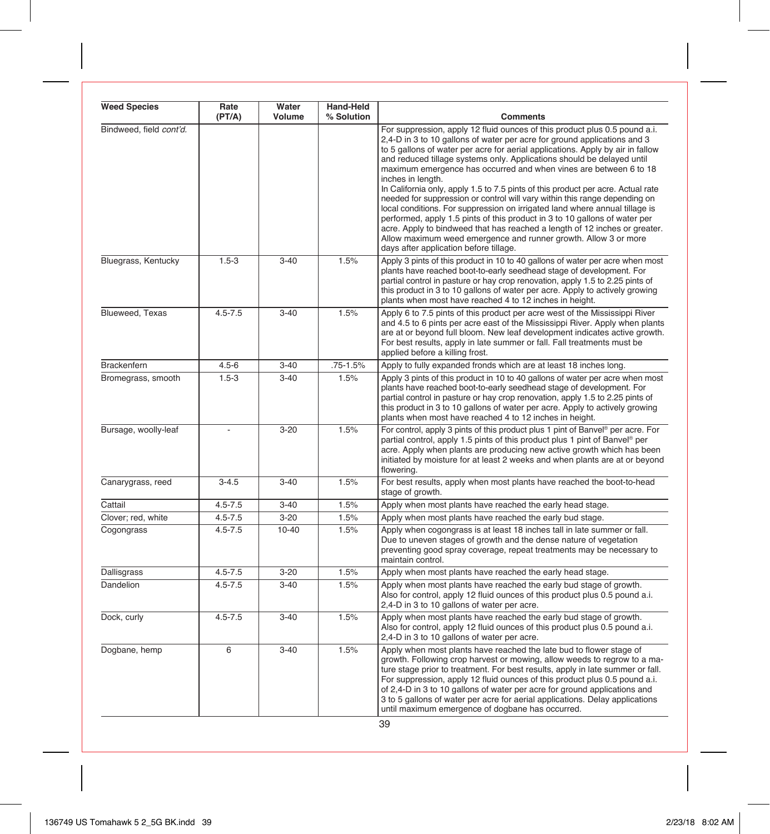| <b>Weed Species</b>     | Rate<br>(PT/A) | Water<br>Volume | Hand-Held<br>% Solution | <b>Comments</b>                                                                                                                                                                                                                                                                                                                                                                                                                                                                                                                                                                                                                                                                                                                                                                                                                                                                                                                        |
|-------------------------|----------------|-----------------|-------------------------|----------------------------------------------------------------------------------------------------------------------------------------------------------------------------------------------------------------------------------------------------------------------------------------------------------------------------------------------------------------------------------------------------------------------------------------------------------------------------------------------------------------------------------------------------------------------------------------------------------------------------------------------------------------------------------------------------------------------------------------------------------------------------------------------------------------------------------------------------------------------------------------------------------------------------------------|
| Bindweed, field cont'd. |                |                 |                         | For suppression, apply 12 fluid ounces of this product plus 0.5 pound a.i.<br>2,4-D in 3 to 10 gallons of water per acre for ground applications and 3<br>to 5 gallons of water per acre for aerial applications. Apply by air in fallow<br>and reduced tillage systems only. Applications should be delayed until<br>maximum emergence has occurred and when vines are between 6 to 18<br>inches in lenath.<br>In California only, apply 1.5 to 7.5 pints of this product per acre. Actual rate<br>needed for suppression or control will vary within this range depending on<br>local conditions. For suppression on irrigated land where annual tillage is<br>performed, apply 1.5 pints of this product in 3 to 10 gallons of water per<br>acre. Apply to bindweed that has reached a length of 12 inches or greater.<br>Allow maximum weed emergence and runner growth. Allow 3 or more<br>days after application before tillage. |
| Bluegrass, Kentucky     | $1.5 - 3$      | $3 - 40$        | 1.5%                    | Apply 3 pints of this product in 10 to 40 gallons of water per acre when most<br>plants have reached boot-to-early seedhead stage of development. For<br>partial control in pasture or hay crop renovation, apply 1.5 to 2.25 pints of<br>this product in 3 to 10 gallons of water per acre. Apply to actively growing<br>plants when most have reached 4 to 12 inches in height.                                                                                                                                                                                                                                                                                                                                                                                                                                                                                                                                                      |
| <b>Blueweed, Texas</b>  | $4.5 - 7.5$    | $3-40$          | 1.5%                    | Apply 6 to 7.5 pints of this product per acre west of the Mississippi River<br>and 4.5 to 6 pints per acre east of the Mississippi River. Apply when plants<br>are at or beyond full bloom. New leaf development indicates active growth.<br>For best results, apply in late summer or fall. Fall treatments must be<br>applied before a killing frost.                                                                                                                                                                                                                                                                                                                                                                                                                                                                                                                                                                                |
| Brackenfern             | $4.5 - 6$      | $3 - 40$        | 75-1.5%                 | Apply to fully expanded fronds which are at least 18 inches long.                                                                                                                                                                                                                                                                                                                                                                                                                                                                                                                                                                                                                                                                                                                                                                                                                                                                      |
| Bromegrass, smooth      | $1.5 - 3$      | $3 - 40$        | 1.5%                    | Apply 3 pints of this product in 10 to 40 gallons of water per acre when most<br>plants have reached boot-to-early seedhead stage of development. For<br>partial control in pasture or hay crop renovation, apply 1.5 to 2.25 pints of<br>this product in 3 to 10 gallons of water per acre. Apply to actively growing<br>plants when most have reached 4 to 12 inches in height.                                                                                                                                                                                                                                                                                                                                                                                                                                                                                                                                                      |
| Bursage, woolly-leaf    |                | $3 - 20$        | 1.5%                    | For control, apply 3 pints of this product plus 1 pint of Banvel® per acre. For<br>partial control, apply 1.5 pints of this product plus 1 pint of Banvel <sup>®</sup> per<br>acre. Apply when plants are producing new active growth which has been<br>initiated by moisture for at least 2 weeks and when plants are at or beyond<br>flowering.                                                                                                                                                                                                                                                                                                                                                                                                                                                                                                                                                                                      |
| Canarygrass, reed       | $3 - 4.5$      | $3 - 40$        | 1.5%                    | For best results, apply when most plants have reached the boot-to-head<br>stage of growth.                                                                                                                                                                                                                                                                                                                                                                                                                                                                                                                                                                                                                                                                                                                                                                                                                                             |
| Cattail                 | $4.5 - 7.5$    | $3 - 40$        | 1.5%                    | Apply when most plants have reached the early head stage.                                                                                                                                                                                                                                                                                                                                                                                                                                                                                                                                                                                                                                                                                                                                                                                                                                                                              |
| Clover; red, white      | $4.5 - 7.5$    | $3 - 20$        | 1.5%                    | Apply when most plants have reached the early bud stage.                                                                                                                                                                                                                                                                                                                                                                                                                                                                                                                                                                                                                                                                                                                                                                                                                                                                               |
| Cogongrass              | $4.5 - 7.5$    | $10 - 40$       | 1.5%                    | Apply when cogongrass is at least 18 inches tall in late summer or fall.<br>Due to uneven stages of growth and the dense nature of vegetation<br>preventing good spray coverage, repeat treatments may be necessary to<br>maintain control.                                                                                                                                                                                                                                                                                                                                                                                                                                                                                                                                                                                                                                                                                            |
| Dallisgrass             | $4.5 - 7.5$    | $3 - 20$        | 1.5%                    | Apply when most plants have reached the early head stage.                                                                                                                                                                                                                                                                                                                                                                                                                                                                                                                                                                                                                                                                                                                                                                                                                                                                              |
| Dandelion               | $4.5 - 7.5$    | $3-40$          | 1.5%                    | Apply when most plants have reached the early bud stage of growth.<br>Also for control, apply 12 fluid ounces of this product plus 0.5 pound a.i.<br>2,4-D in 3 to 10 gallons of water per acre.                                                                                                                                                                                                                                                                                                                                                                                                                                                                                                                                                                                                                                                                                                                                       |
| Dock, curly             | $4.5 - 7.5$    | $3-40$          | 1.5%                    | Apply when most plants have reached the early bud stage of growth.<br>Also for control, apply 12 fluid ounces of this product plus 0.5 pound a.i.<br>2,4-D in 3 to 10 gallons of water per acre.                                                                                                                                                                                                                                                                                                                                                                                                                                                                                                                                                                                                                                                                                                                                       |
| Dogbane, hemp           | 6              | $3 - 40$        | 1.5%                    | Apply when most plants have reached the late bud to flower stage of<br>growth. Following crop harvest or mowing, allow weeds to regrow to a ma-<br>ture stage prior to treatment. For best results, apply in late summer or fall.<br>For suppression, apply 12 fluid ounces of this product plus 0.5 pound a.i.<br>of 2,4-D in 3 to 10 gallons of water per acre for ground applications and<br>3 to 5 gallons of water per acre for aerial applications. Delay applications<br>until maximum emergence of dogbane has occurred.                                                                                                                                                                                                                                                                                                                                                                                                       |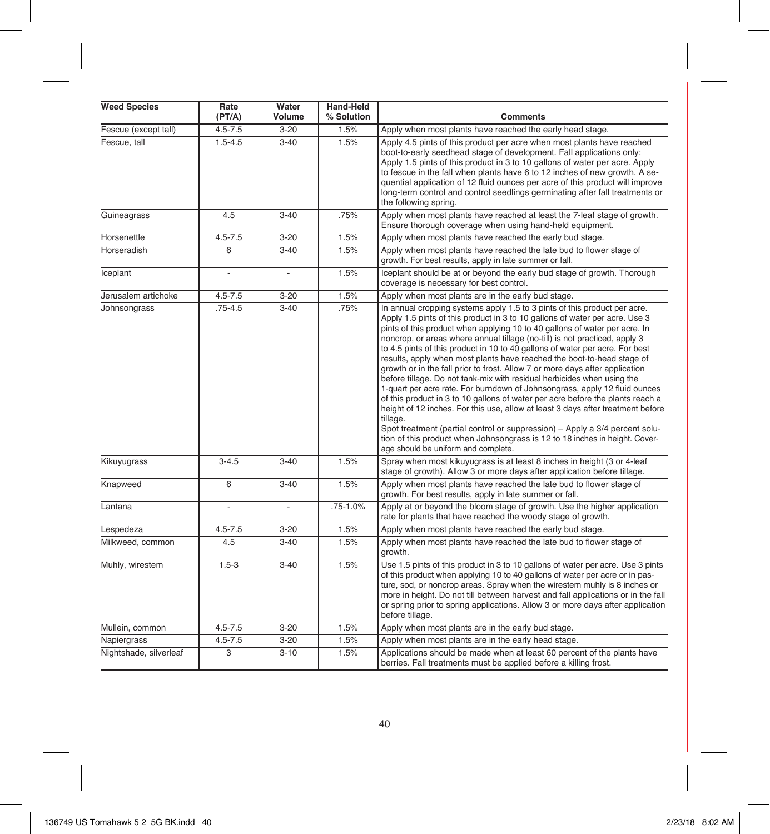| <b>Weed Species</b>    | Rate<br>(PT/A) | Water<br>Volume          | Hand-Held<br>% Solution | <b>Comments</b>                                                                                                                                                                                                                                                                                                                                                                                                                                                                                                                                                                                                                                                                                                                                                                                                                                                                                                                                                                                                                                                                                               |
|------------------------|----------------|--------------------------|-------------------------|---------------------------------------------------------------------------------------------------------------------------------------------------------------------------------------------------------------------------------------------------------------------------------------------------------------------------------------------------------------------------------------------------------------------------------------------------------------------------------------------------------------------------------------------------------------------------------------------------------------------------------------------------------------------------------------------------------------------------------------------------------------------------------------------------------------------------------------------------------------------------------------------------------------------------------------------------------------------------------------------------------------------------------------------------------------------------------------------------------------|
| Fescue (except tall)   | $4.5 - 7.5$    | $3-20$                   | 1.5%                    | Apply when most plants have reached the early head stage.                                                                                                                                                                                                                                                                                                                                                                                                                                                                                                                                                                                                                                                                                                                                                                                                                                                                                                                                                                                                                                                     |
| Fescue, tall           | $1.5 - 4.5$    | $3 - 40$                 | 1.5%                    | Apply 4.5 pints of this product per acre when most plants have reached<br>boot-to-early seedhead stage of development. Fall applications only:<br>Apply 1.5 pints of this product in 3 to 10 gallons of water per acre. Apply<br>to fescue in the fall when plants have 6 to 12 inches of new growth. A se-<br>quential application of 12 fluid ounces per acre of this product will improve<br>long-term control and control seedlings germinating after fall treatments or<br>the following spring.                                                                                                                                                                                                                                                                                                                                                                                                                                                                                                                                                                                                         |
| Guineagrass            | 4.5            | $3-40$                   | .75%                    | Apply when most plants have reached at least the 7-leaf stage of growth.<br>Ensure thorough coverage when using hand-held equipment.                                                                                                                                                                                                                                                                                                                                                                                                                                                                                                                                                                                                                                                                                                                                                                                                                                                                                                                                                                          |
| Horsenettle            | $4.5 - 7.5$    | $3 - 20$                 | 1.5%                    | Apply when most plants have reached the early bud stage.                                                                                                                                                                                                                                                                                                                                                                                                                                                                                                                                                                                                                                                                                                                                                                                                                                                                                                                                                                                                                                                      |
| Horseradish            | 6              | $3 - 40$                 | 1.5%                    | Apply when most plants have reached the late bud to flower stage of<br>growth. For best results, apply in late summer or fall.                                                                                                                                                                                                                                                                                                                                                                                                                                                                                                                                                                                                                                                                                                                                                                                                                                                                                                                                                                                |
| Iceplant               | $\overline{a}$ | $\overline{a}$           | 1.5%                    | Iceplant should be at or beyond the early bud stage of growth. Thorough<br>coverage is necessary for best control.                                                                                                                                                                                                                                                                                                                                                                                                                                                                                                                                                                                                                                                                                                                                                                                                                                                                                                                                                                                            |
| Jerusalem artichoke    | $4.5 - 7.5$    | $3 - 20$                 | 1.5%                    | Apply when most plants are in the early bud stage.                                                                                                                                                                                                                                                                                                                                                                                                                                                                                                                                                                                                                                                                                                                                                                                                                                                                                                                                                                                                                                                            |
| Johnsongrass           | $.75 - 4.5$    | $3-40$                   | .75%                    | In annual cropping systems apply 1.5 to 3 pints of this product per acre.<br>Apply 1.5 pints of this product in 3 to 10 gallons of water per acre. Use 3<br>pints of this product when applying 10 to 40 gallons of water per acre. In<br>noncrop, or areas where annual tillage (no-till) is not practiced, apply 3<br>to 4.5 pints of this product in 10 to 40 gallons of water per acre. For best<br>results, apply when most plants have reached the boot-to-head stage of<br>growth or in the fall prior to frost. Allow 7 or more days after application<br>before tillage. Do not tank-mix with residual herbicides when using the<br>1-quart per acre rate. For burndown of Johnsongrass, apply 12 fluid ounces<br>of this product in 3 to 10 gallons of water per acre before the plants reach a<br>height of 12 inches. For this use, allow at least 3 days after treatment before<br>tillage.<br>Spot treatment (partial control or suppression) - Apply a 3/4 percent solu-<br>tion of this product when Johnsongrass is 12 to 18 inches in height. Cover-<br>age should be uniform and complete. |
| Kikuyugrass            | $3 - 4.5$      | $3 - 40$                 | 1.5%                    | Spray when most kikuyugrass is at least 8 inches in height (3 or 4-leaf<br>stage of growth). Allow 3 or more days after application before tillage.                                                                                                                                                                                                                                                                                                                                                                                                                                                                                                                                                                                                                                                                                                                                                                                                                                                                                                                                                           |
| Knapweed               | 6              | $3 - 40$                 | 1.5%                    | Apply when most plants have reached the late bud to flower stage of<br>growth. For best results, apply in late summer or fall.                                                                                                                                                                                                                                                                                                                                                                                                                                                                                                                                                                                                                                                                                                                                                                                                                                                                                                                                                                                |
| Lantana                | $\overline{a}$ | $\overline{\phantom{a}}$ | .75-1.0%                | Apply at or beyond the bloom stage of growth. Use the higher application<br>rate for plants that have reached the woody stage of growth.                                                                                                                                                                                                                                                                                                                                                                                                                                                                                                                                                                                                                                                                                                                                                                                                                                                                                                                                                                      |
| Lespedeza              | $4.5 - 7.5$    | $3 - 20$                 | 1.5%                    | Apply when most plants have reached the early bud stage.                                                                                                                                                                                                                                                                                                                                                                                                                                                                                                                                                                                                                                                                                                                                                                                                                                                                                                                                                                                                                                                      |
| Milkweed, common       | 4.5            | $3 - 40$                 | 1.5%                    | Apply when most plants have reached the late bud to flower stage of<br>growth.                                                                                                                                                                                                                                                                                                                                                                                                                                                                                                                                                                                                                                                                                                                                                                                                                                                                                                                                                                                                                                |
| Muhly, wirestem        | $1.5 - 3$      | $3 - 40$                 | 1.5%                    | Use 1.5 pints of this product in 3 to 10 gallons of water per acre. Use 3 pints<br>of this product when applying 10 to 40 gallons of water per acre or in pas-<br>ture, sod, or noncrop areas. Spray when the wirestem muhly is 8 inches or<br>more in height. Do not till between harvest and fall applications or in the fall<br>or spring prior to spring applications. Allow 3 or more days after application<br>before tillage.                                                                                                                                                                                                                                                                                                                                                                                                                                                                                                                                                                                                                                                                          |
| Mullein, common        | $4.5 - 7.5$    | $3 - 20$                 | 1.5%                    | Apply when most plants are in the early bud stage.                                                                                                                                                                                                                                                                                                                                                                                                                                                                                                                                                                                                                                                                                                                                                                                                                                                                                                                                                                                                                                                            |
| Napiergrass            | $4.5 - 7.5$    | $3 - 20$                 | 1.5%                    | Apply when most plants are in the early head stage.                                                                                                                                                                                                                                                                                                                                                                                                                                                                                                                                                                                                                                                                                                                                                                                                                                                                                                                                                                                                                                                           |
| Nightshade, silverleaf | 3              | $3 - 10$                 | 1.5%                    | Applications should be made when at least 60 percent of the plants have<br>berries. Fall treatments must be applied before a killing frost.                                                                                                                                                                                                                                                                                                                                                                                                                                                                                                                                                                                                                                                                                                                                                                                                                                                                                                                                                                   |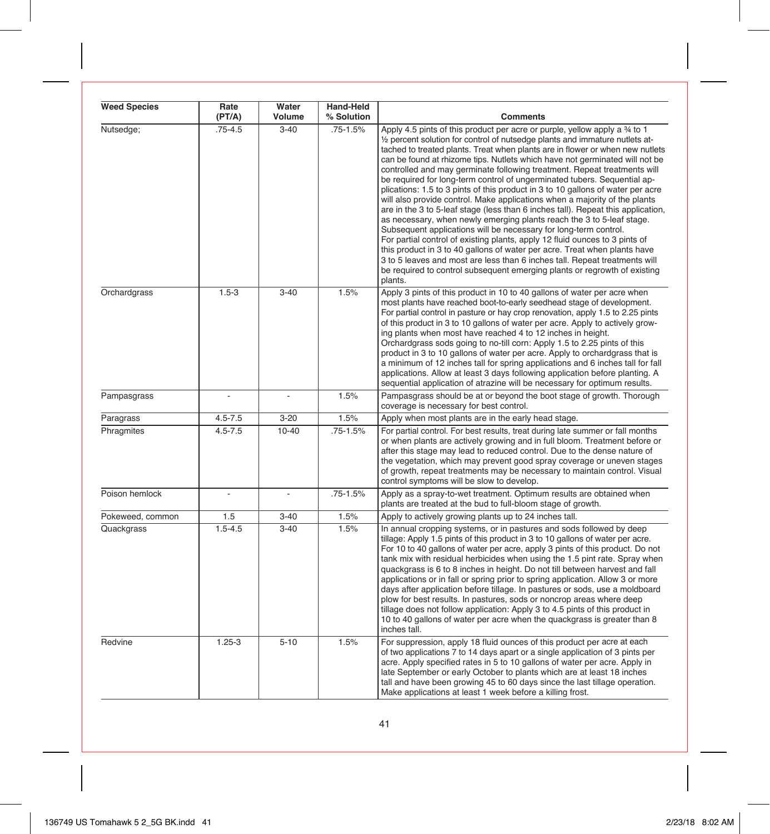| <b>Weed Species</b> | Rate<br>(PT/A) | Water<br>Volume          | Hand-Held<br>% Solution | <b>Comments</b>                                                                                                                                                                                                                                                                                                                                                                                                                                                                                                                                                                                                                                                                                                                                                                                                                                                                                                                                                                                                                                                                                                                                                                                                        |
|---------------------|----------------|--------------------------|-------------------------|------------------------------------------------------------------------------------------------------------------------------------------------------------------------------------------------------------------------------------------------------------------------------------------------------------------------------------------------------------------------------------------------------------------------------------------------------------------------------------------------------------------------------------------------------------------------------------------------------------------------------------------------------------------------------------------------------------------------------------------------------------------------------------------------------------------------------------------------------------------------------------------------------------------------------------------------------------------------------------------------------------------------------------------------------------------------------------------------------------------------------------------------------------------------------------------------------------------------|
| Nutsedge;           | $.75 - 4.5$    | $3 - 40$                 | .75-1.5%                | Apply 4.5 pints of this product per acre or purple, yellow apply a 34 to 1<br>1/2 percent solution for control of nutsedge plants and immature nutlets at-<br>tached to treated plants. Treat when plants are in flower or when new nutlets<br>can be found at rhizome tips. Nutlets which have not germinated will not be<br>controlled and may germinate following treatment. Repeat treatments will<br>be required for long-term control of ungerminated tubers. Sequential ap-<br>plications: 1.5 to 3 pints of this product in 3 to 10 gallons of water per acre<br>will also provide control. Make applications when a majority of the plants<br>are in the 3 to 5-leaf stage (less than 6 inches tall). Repeat this application,<br>as necessary, when newly emerging plants reach the 3 to 5-leaf stage.<br>Subsequent applications will be necessary for long-term control.<br>For partial control of existing plants, apply 12 fluid ounces to 3 pints of<br>this product in 3 to 40 gallons of water per acre. Treat when plants have<br>3 to 5 leaves and most are less than 6 inches tall. Repeat treatments will<br>be required to control subsequent emerging plants or regrowth of existing<br>plants. |
| Orchardgrass        | $1.5 - 3$      | $3 - 40$                 | 1.5%                    | Apply 3 pints of this product in 10 to 40 gallons of water per acre when<br>most plants have reached boot-to-early seedhead stage of development.<br>For partial control in pasture or hay crop renovation, apply 1.5 to 2.25 pints<br>of this product in 3 to 10 gallons of water per acre. Apply to actively grow-<br>ing plants when most have reached 4 to 12 inches in height.<br>Orchardgrass sods going to no-till corn: Apply 1.5 to 2.25 pints of this<br>product in 3 to 10 gallons of water per acre. Apply to orchardgrass that is<br>a minimum of 12 inches tall for spring applications and 6 inches tall for fall<br>applications. Allow at least 3 days following application before planting. A<br>sequential application of atrazine will be necessary for optimum results.                                                                                                                                                                                                                                                                                                                                                                                                                          |
| Pampasgrass         |                |                          | 1.5%                    | Pampasgrass should be at or beyond the boot stage of growth. Thorough<br>coverage is necessary for best control.                                                                                                                                                                                                                                                                                                                                                                                                                                                                                                                                                                                                                                                                                                                                                                                                                                                                                                                                                                                                                                                                                                       |
| Paragrass           | $4.5 - 7.5$    | $3 - 20$                 | 1.5%                    | Apply when most plants are in the early head stage.                                                                                                                                                                                                                                                                                                                                                                                                                                                                                                                                                                                                                                                                                                                                                                                                                                                                                                                                                                                                                                                                                                                                                                    |
| Phragmites          | $4.5 - 7.5$    | $10 - 40$                | .75-1.5%                | For partial control. For best results, treat during late summer or fall months<br>or when plants are actively growing and in full bloom. Treatment before or<br>after this stage may lead to reduced control. Due to the dense nature of<br>the vegetation, which may prevent good spray coverage or uneven stages<br>of growth, repeat treatments may be necessary to maintain control. Visual<br>control symptoms will be slow to develop.                                                                                                                                                                                                                                                                                                                                                                                                                                                                                                                                                                                                                                                                                                                                                                           |
| Poison hemlock      |                | $\overline{\phantom{a}}$ | .75-1.5%                | Apply as a spray-to-wet treatment. Optimum results are obtained when<br>plants are treated at the bud to full-bloom stage of growth.                                                                                                                                                                                                                                                                                                                                                                                                                                                                                                                                                                                                                                                                                                                                                                                                                                                                                                                                                                                                                                                                                   |
| Pokeweed, common    | 1.5            | $3 - 40$                 | 1.5%                    | Apply to actively growing plants up to 24 inches tall.                                                                                                                                                                                                                                                                                                                                                                                                                                                                                                                                                                                                                                                                                                                                                                                                                                                                                                                                                                                                                                                                                                                                                                 |
| Quackgrass          | $1.5 - 4.5$    | $3 - 40$                 | 1.5%                    | In annual cropping systems, or in pastures and sods followed by deep<br>tillage: Apply 1.5 pints of this product in 3 to 10 gallons of water per acre.<br>For 10 to 40 gallons of water per acre, apply 3 pints of this product. Do not<br>tank mix with residual herbicides when using the 1.5 pint rate. Spray when<br>quackgrass is 6 to 8 inches in height. Do not till between harvest and fall<br>applications or in fall or spring prior to spring application. Allow 3 or more<br>days after application before tillage. In pastures or sods, use a moldboard<br>plow for best results. In pastures, sods or noncrop areas where deep<br>tillage does not follow application: Apply 3 to 4.5 pints of this product in<br>10 to 40 gallons of water per acre when the quackgrass is greater than 8<br>inches tall.                                                                                                                                                                                                                                                                                                                                                                                              |
| Redvine             | $1.25 - 3$     | $5 - 10$                 | 1.5%                    | For suppression, apply 18 fluid ounces of this product per acre at each<br>of two applications 7 to 14 days apart or a single application of 3 pints per<br>acre. Apply specified rates in 5 to 10 gallons of water per acre. Apply in<br>late September or early October to plants which are at least 18 inches<br>tall and have been growing 45 to 60 days since the last tillage operation.<br>Make applications at least 1 week before a killing frost.                                                                                                                                                                                                                                                                                                                                                                                                                                                                                                                                                                                                                                                                                                                                                            |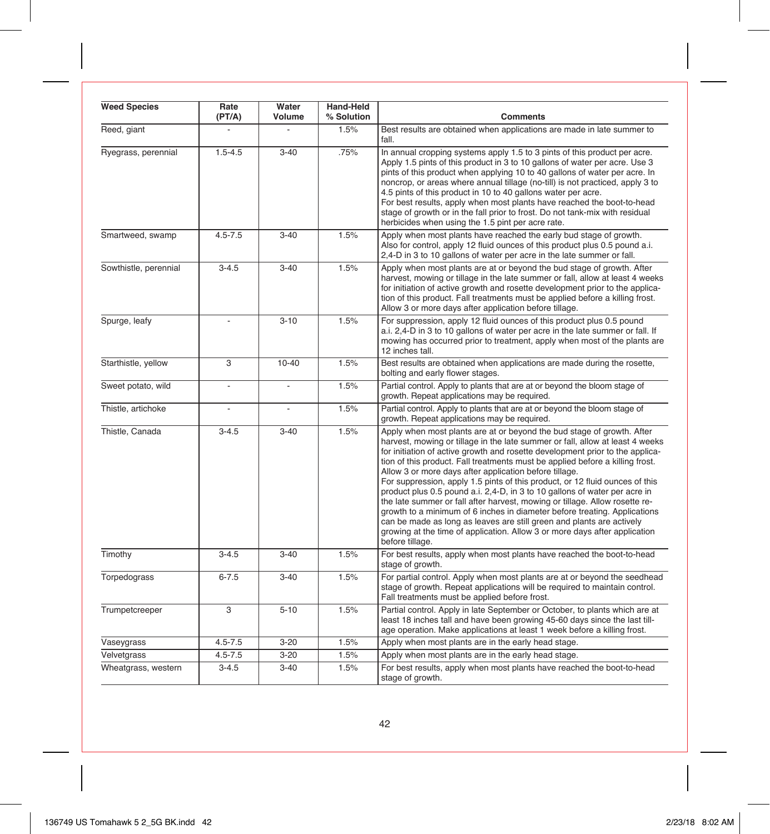| <b>Weed Species</b>   | Rate<br>(PT/A) | Water<br>Volume | Hand-Held<br>% Solution | Comments                                                                                                                                                                                                                                                                                                                                                                                                                                                                                                                                                                                                                                                                                                                                                                                                                                                                                |
|-----------------------|----------------|-----------------|-------------------------|-----------------------------------------------------------------------------------------------------------------------------------------------------------------------------------------------------------------------------------------------------------------------------------------------------------------------------------------------------------------------------------------------------------------------------------------------------------------------------------------------------------------------------------------------------------------------------------------------------------------------------------------------------------------------------------------------------------------------------------------------------------------------------------------------------------------------------------------------------------------------------------------|
| Reed, giant           |                |                 | 1.5%                    | Best results are obtained when applications are made in late summer to<br>fall.                                                                                                                                                                                                                                                                                                                                                                                                                                                                                                                                                                                                                                                                                                                                                                                                         |
| Ryegrass, perennial   | $1.5 - 4.5$    | $3 - 40$        | .75%                    | In annual cropping systems apply 1.5 to 3 pints of this product per acre.<br>Apply 1.5 pints of this product in 3 to 10 gallons of water per acre. Use 3<br>pints of this product when applying 10 to 40 gallons of water per acre. In<br>noncrop, or areas where annual tillage (no-till) is not practiced, apply 3 to<br>4.5 pints of this product in 10 to 40 gallons water per acre.<br>For best results, apply when most plants have reached the boot-to-head<br>stage of growth or in the fall prior to frost. Do not tank-mix with residual<br>herbicides when using the 1.5 pint per acre rate.                                                                                                                                                                                                                                                                                 |
| Smartweed, swamp      | $4.5 - 7.5$    | $3 - 40$        | 1.5%                    | Apply when most plants have reached the early bud stage of growth.<br>Also for control, apply 12 fluid ounces of this product plus 0.5 pound a.i.<br>2,4-D in 3 to 10 gallons of water per acre in the late summer or fall.                                                                                                                                                                                                                                                                                                                                                                                                                                                                                                                                                                                                                                                             |
| Sowthistle, perennial | $3 - 4.5$      | $3 - 40$        | 1.5%                    | Apply when most plants are at or beyond the bud stage of growth. After<br>harvest, mowing or tillage in the late summer or fall, allow at least 4 weeks<br>for initiation of active growth and rosette development prior to the applica-<br>tion of this product. Fall treatments must be applied before a killing frost.<br>Allow 3 or more days after application before tillage.                                                                                                                                                                                                                                                                                                                                                                                                                                                                                                     |
| Spurge, leafy         |                | $3 - 10$        | 1.5%                    | For suppression, apply 12 fluid ounces of this product plus 0.5 pound<br>a.i. 2,4-D in 3 to 10 gallons of water per acre in the late summer or fall. If<br>mowing has occurred prior to treatment, apply when most of the plants are<br>12 inches tall.                                                                                                                                                                                                                                                                                                                                                                                                                                                                                                                                                                                                                                 |
| Starthistle, yellow   | 3              | $10 - 40$       | 1.5%                    | Best results are obtained when applications are made during the rosette,<br>bolting and early flower stages.                                                                                                                                                                                                                                                                                                                                                                                                                                                                                                                                                                                                                                                                                                                                                                            |
| Sweet potato, wild    | $\overline{a}$ | $\overline{a}$  | 1.5%                    | Partial control. Apply to plants that are at or beyond the bloom stage of<br>growth. Repeat applications may be required.                                                                                                                                                                                                                                                                                                                                                                                                                                                                                                                                                                                                                                                                                                                                                               |
| Thistle, artichoke    |                | $\overline{a}$  | 1.5%                    | Partial control. Apply to plants that are at or beyond the bloom stage of<br>growth. Repeat applications may be required.                                                                                                                                                                                                                                                                                                                                                                                                                                                                                                                                                                                                                                                                                                                                                               |
| Thistle, Canada       | $3 - 4.5$      | $3 - 40$        | 1.5%                    | Apply when most plants are at or beyond the bud stage of growth. After<br>harvest, mowing or tillage in the late summer or fall, allow at least 4 weeks<br>for initiation of active growth and rosette development prior to the applica-<br>tion of this product. Fall treatments must be applied before a killing frost.<br>Allow 3 or more days after application before tillage.<br>For suppression, apply 1.5 pints of this product, or 12 fluid ounces of this<br>product plus 0.5 pound a.i. 2,4-D, in 3 to 10 gallons of water per acre in<br>the late summer or fall after harvest, mowing or tillage. Allow rosette re-<br>growth to a minimum of 6 inches in diameter before treating. Applications<br>can be made as long as leaves are still green and plants are actively<br>growing at the time of application. Allow 3 or more days after application<br>before tillage. |
| Timothy               | $3 - 4.5$      | $3 - 40$        | 1.5%                    | For best results, apply when most plants have reached the boot-to-head<br>stage of growth.                                                                                                                                                                                                                                                                                                                                                                                                                                                                                                                                                                                                                                                                                                                                                                                              |
| Torpedograss          | $6 - 7.5$      | $3 - 40$        | 1.5%                    | For partial control. Apply when most plants are at or beyond the seedhead<br>stage of growth. Repeat applications will be required to maintain control.<br>Fall treatments must be applied before frost.                                                                                                                                                                                                                                                                                                                                                                                                                                                                                                                                                                                                                                                                                |
| Trumpetcreeper        | 3              | $5 - 10$        | 1.5%                    | Partial control. Apply in late September or October, to plants which are at<br>least 18 inches tall and have been growing 45-60 days since the last till-<br>age operation. Make applications at least 1 week before a killing frost.                                                                                                                                                                                                                                                                                                                                                                                                                                                                                                                                                                                                                                                   |
| Vaseygrass            | $4.5 - 7.5$    | $3 - 20$        | 1.5%                    | Apply when most plants are in the early head stage.                                                                                                                                                                                                                                                                                                                                                                                                                                                                                                                                                                                                                                                                                                                                                                                                                                     |
| Velvetgrass           | $4.5 - 7.5$    | $3 - 20$        | 1.5%                    | Apply when most plants are in the early head stage.                                                                                                                                                                                                                                                                                                                                                                                                                                                                                                                                                                                                                                                                                                                                                                                                                                     |
| Wheatgrass, western   | $3 - 4.5$      | $3 - 40$        | 1.5%                    | For best results, apply when most plants have reached the boot-to-head<br>stage of growth.                                                                                                                                                                                                                                                                                                                                                                                                                                                                                                                                                                                                                                                                                                                                                                                              |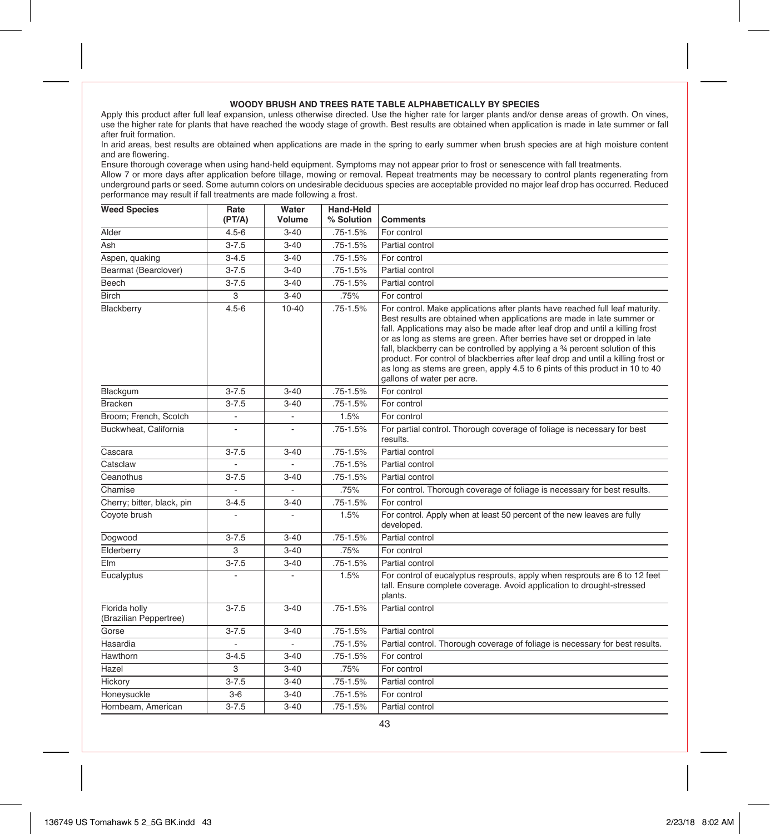### **WOODY BRUSH AND TREES RATE TABLE ALPHABETICALLY BY SPECIES**

Apply this product after full leaf expansion, unless otherwise directed. Use the higher rate for larger plants and/or dense areas of growth. On vines, use the higher rate for plants that have reached the woody stage of growth. Best results are obtained when application is made in late summer or fall after fruit formation.

In arid areas, best results are obtained when applications are made in the spring to early summer when brush species are at high moisture content and are flowering.

Ensure thorough coverage when using hand-held equipment. Symptoms may not appear prior to frost or senescence with fall treatments.

Allow 7 or more days after application before tillage, mowing or removal. Repeat treatments may be necessary to control plants regenerating from underground parts or seed. Some autumn colors on undesirable deciduous species are acceptable provided no major leaf drop has occurred. Reduced performance may result if fall treatments are made following a frost.

| <b>Weed Species</b>                     | Rate<br>(PT/A) | Water<br>Volume | Hand-Held<br>% Solution | <b>Comments</b>                                                                                                                                                                                                                                                                                                                                                                                                                                                                                                                                                                                        |
|-----------------------------------------|----------------|-----------------|-------------------------|--------------------------------------------------------------------------------------------------------------------------------------------------------------------------------------------------------------------------------------------------------------------------------------------------------------------------------------------------------------------------------------------------------------------------------------------------------------------------------------------------------------------------------------------------------------------------------------------------------|
| Alder                                   | $4.5 - 6$      | $3 - 40$        | $.75 - 1.5%$            | For control                                                                                                                                                                                                                                                                                                                                                                                                                                                                                                                                                                                            |
|                                         |                | $3 - 40$        | .75-1.5%                | Partial control                                                                                                                                                                                                                                                                                                                                                                                                                                                                                                                                                                                        |
| Ash                                     | $3 - 7.5$      | $3 - 40$        | .75-1.5%                | For control                                                                                                                                                                                                                                                                                                                                                                                                                                                                                                                                                                                            |
| Aspen, quaking                          | $3 - 4.5$      |                 |                         |                                                                                                                                                                                                                                                                                                                                                                                                                                                                                                                                                                                                        |
| Bearmat (Bearclover)                    | $3 - 7.5$      | $3 - 40$        | .75-1.5%                | Partial control                                                                                                                                                                                                                                                                                                                                                                                                                                                                                                                                                                                        |
| Beech                                   | $3 - 7.5$      | $3 - 40$        | .75-1.5%                | Partial control                                                                                                                                                                                                                                                                                                                                                                                                                                                                                                                                                                                        |
| <b>Birch</b>                            | 3              | $3 - 40$        | .75%                    | For control                                                                                                                                                                                                                                                                                                                                                                                                                                                                                                                                                                                            |
| Blackberry                              | $4.5 - 6$      | $10 - 40$       | .75-1.5%                | For control. Make applications after plants have reached full leaf maturity.<br>Best results are obtained when applications are made in late summer or<br>fall. Applications may also be made after leaf drop and until a killing frost<br>or as long as stems are green. After berries have set or dropped in late<br>fall, blackberry can be controlled by applying a 34 percent solution of this<br>product. For control of blackberries after leaf drop and until a killing frost or<br>as long as stems are green, apply 4.5 to 6 pints of this product in 10 to 40<br>gallons of water per acre. |
| Blackgum                                | $3 - 7.5$      | $3 - 40$        | .75-1.5%                | For control                                                                                                                                                                                                                                                                                                                                                                                                                                                                                                                                                                                            |
| <b>Bracken</b>                          | $3 - 7.5$      | $3 - 40$        | .75-1.5%                | For control                                                                                                                                                                                                                                                                                                                                                                                                                                                                                                                                                                                            |
| Broom; French, Scotch                   |                | $\overline{a}$  | 1.5%                    | For control                                                                                                                                                                                                                                                                                                                                                                                                                                                                                                                                                                                            |
| Buckwheat, California                   |                |                 | $.75 - 1.5%$            | For partial control. Thorough coverage of foliage is necessary for best<br>results.                                                                                                                                                                                                                                                                                                                                                                                                                                                                                                                    |
| Cascara                                 | $3 - 7.5$      | $3 - 40$        | .75-1.5%                | Partial control                                                                                                                                                                                                                                                                                                                                                                                                                                                                                                                                                                                        |
| Catsclaw                                |                | $\overline{a}$  | $.75 - 1.5%$            | Partial control                                                                                                                                                                                                                                                                                                                                                                                                                                                                                                                                                                                        |
| Ceanothus                               | $3 - 7.5$      | $3 - 40$        | .75-1.5%                | Partial control                                                                                                                                                                                                                                                                                                                                                                                                                                                                                                                                                                                        |
| Chamise                                 |                |                 | .75%                    | For control. Thorough coverage of foliage is necessary for best results.                                                                                                                                                                                                                                                                                                                                                                                                                                                                                                                               |
| Cherry; bitter, black, pin              | $3 - 4.5$      | $3 - 40$        | .75-1.5%                | For control                                                                                                                                                                                                                                                                                                                                                                                                                                                                                                                                                                                            |
| Coyote brush                            |                |                 | 1.5%                    | For control. Apply when at least 50 percent of the new leaves are fully<br>developed.                                                                                                                                                                                                                                                                                                                                                                                                                                                                                                                  |
| Dogwood                                 | $3 - 7.5$      | $3 - 40$        | .75-1.5%                | Partial control                                                                                                                                                                                                                                                                                                                                                                                                                                                                                                                                                                                        |
| Elderberry                              | 3              | $3 - 40$        | .75%                    | For control                                                                                                                                                                                                                                                                                                                                                                                                                                                                                                                                                                                            |
| Elm                                     | $3 - 7.5$      | $3 - 40$        | .75-1.5%                | Partial control                                                                                                                                                                                                                                                                                                                                                                                                                                                                                                                                                                                        |
| Eucalyptus                              |                | $\overline{a}$  | 1.5%                    | For control of eucalyptus resprouts, apply when resprouts are 6 to 12 feet<br>tall. Ensure complete coverage. Avoid application to drought-stressed<br>plants.                                                                                                                                                                                                                                                                                                                                                                                                                                         |
| Florida holly<br>(Brazilian Peppertree) | $3 - 7.5$      | $3 - 40$        | .75-1.5%                | Partial control                                                                                                                                                                                                                                                                                                                                                                                                                                                                                                                                                                                        |
| Gorse                                   | $3 - 7.5$      | $3 - 40$        | .75-1.5%                | Partial control                                                                                                                                                                                                                                                                                                                                                                                                                                                                                                                                                                                        |
| Hasardia                                |                |                 | .75-1.5%                | Partial control. Thorough coverage of foliage is necessary for best results.                                                                                                                                                                                                                                                                                                                                                                                                                                                                                                                           |
| Hawthorn                                | $3 - 4.5$      | $3 - 40$        | .75-1.5%                | For control                                                                                                                                                                                                                                                                                                                                                                                                                                                                                                                                                                                            |
| Hazel                                   | 3              | $3 - 40$        | .75%                    | For control                                                                                                                                                                                                                                                                                                                                                                                                                                                                                                                                                                                            |
| Hickory                                 | $3 - 7.5$      | $3 - 40$        | .75-1.5%                | Partial control                                                                                                                                                                                                                                                                                                                                                                                                                                                                                                                                                                                        |
| Honeysuckle                             | $3-6$          | $3 - 40$        | .75-1.5%                | For control                                                                                                                                                                                                                                                                                                                                                                                                                                                                                                                                                                                            |
| Hornbeam, American                      | $3 - 7.5$      | $3 - 40$        | .75-1.5%                | Partial control                                                                                                                                                                                                                                                                                                                                                                                                                                                                                                                                                                                        |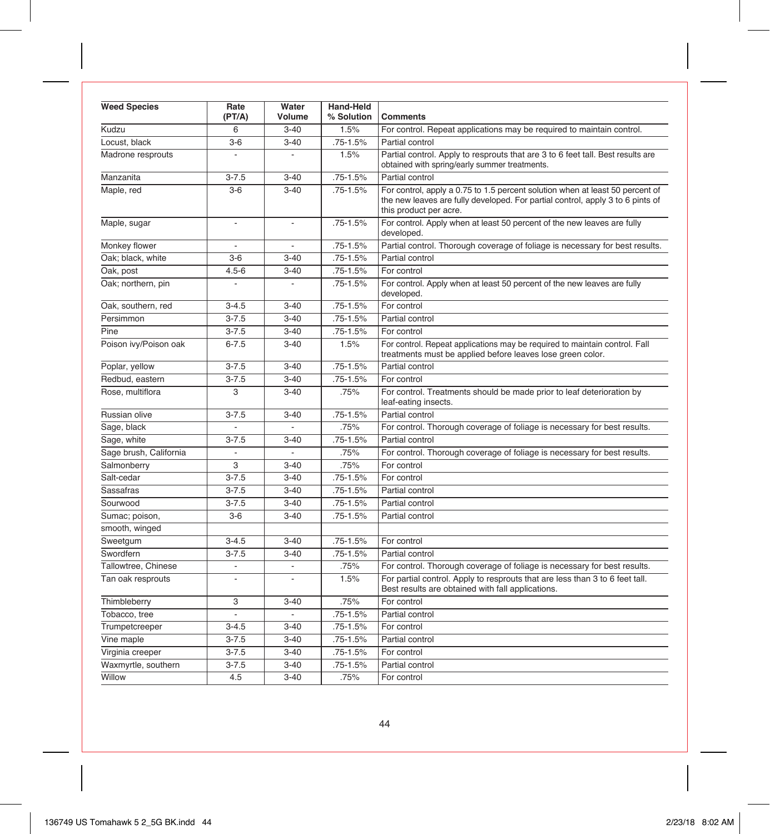| <b>Weed Species</b>    | Rate<br>(PT/A)           | Water<br>Volume          | Hand-Held<br>% Solution | <b>Comments</b>                                                                                                                                                                           |
|------------------------|--------------------------|--------------------------|-------------------------|-------------------------------------------------------------------------------------------------------------------------------------------------------------------------------------------|
| Kudzu                  | 6                        | $3 - 40$                 | 1.5%                    | For control. Repeat applications may be required to maintain control.                                                                                                                     |
| Locust, black          | $3-6$                    | $3 - 40$                 | .75-1.5%                | Partial control                                                                                                                                                                           |
| Madrone resprouts      | $\overline{a}$           | $\overline{a}$           | 1.5%                    | Partial control. Apply to resprouts that are 3 to 6 feet tall. Best results are<br>obtained with spring/early summer treatments.                                                          |
| Manzanita              | $3 - 7.5$                | $3 - 40$                 | .75-1.5%                | Partial control                                                                                                                                                                           |
| Maple, red             | $3-6$                    | $3 - 40$                 | .75-1.5%                | For control, apply a 0.75 to 1.5 percent solution when at least 50 percent of<br>the new leaves are fully developed. For partial control, apply 3 to 6 pints of<br>this product per acre. |
| Maple, sugar           | $\overline{a}$           | $\overline{a}$           | $.75 - 1.5%$            | For control. Apply when at least 50 percent of the new leaves are fully<br>developed.                                                                                                     |
| Monkey flower          | $\overline{\phantom{a}}$ | $\overline{\phantom{a}}$ | .75-1.5%                | Partial control. Thorough coverage of foliage is necessary for best results.                                                                                                              |
| Oak; black, white      | $3-6$                    | $3 - 40$                 | $.75 - 1.5%$            | Partial control                                                                                                                                                                           |
| Oak, post              | $4.5 - 6$                | $3 - 40$                 | .75-1.5%                | For control                                                                                                                                                                               |
| Oak; northern, pin     | $\overline{a}$           | $\overline{a}$           | .75-1.5%                | For control. Apply when at least 50 percent of the new leaves are fully<br>developed.                                                                                                     |
| Oak, southern, red     | $3 - 4.5$                | $3 - 40$                 | .75-1.5%                | For control                                                                                                                                                                               |
| Persimmon              | $3 - 7.5$                | $3 - 40$                 | .75-1.5%                | Partial control                                                                                                                                                                           |
| Pine                   | $3 - 7.5$                | $3 - 40$                 | .75-1.5%                | For control                                                                                                                                                                               |
| Poison ivy/Poison oak  | $6 - 7.5$                | $3-40$                   | 1.5%                    | For control. Repeat applications may be required to maintain control. Fall<br>treatments must be applied before leaves lose green color.                                                  |
| Poplar, yellow         | $3 - 7.5$                | $3 - 40$                 | .75-1.5%                | Partial control                                                                                                                                                                           |
| Redbud, eastern        | $3 - 7.5$                | $3 - 40$                 | .75-1.5%                | For control                                                                                                                                                                               |
| Rose, multiflora       | 3                        | $3 - 40$                 | .75%                    | For control. Treatments should be made prior to leaf deterioration by<br>leaf-eating insects.                                                                                             |
| Russian olive          | $3 - 7.5$                | $3 - 40$                 | $.75 - 1.5%$            | Partial control                                                                                                                                                                           |
| Sage, black            |                          | $\centerdot$             | .75%                    | For control. Thorough coverage of foliage is necessary for best results.                                                                                                                  |
| Sage, white            | $3 - 7.5$                | $3 - 40$                 | .75-1.5%                | Partial control                                                                                                                                                                           |
| Sage brush, California | $\overline{a}$           | $\overline{\phantom{a}}$ | .75%                    | For control. Thorough coverage of foliage is necessary for best results.                                                                                                                  |
| Salmonberry            | 3                        | $3 - 40$                 | .75%                    | For control                                                                                                                                                                               |
| Salt-cedar             | $3 - 7.5$                | $3 - 40$                 | .75-1.5%                | For control                                                                                                                                                                               |
| Sassafras              | $3 - 7.5$                | $3 - 40$                 | .75-1.5%                | Partial control                                                                                                                                                                           |
| Sourwood               | $3 - 7.5$                | $3 - 40$                 | .75-1.5%                | Partial control                                                                                                                                                                           |
| Sumac; poison,         | $3-6$                    | $3 - 40$                 | .75-1.5%                | Partial control                                                                                                                                                                           |
| smooth, winged         |                          |                          |                         |                                                                                                                                                                                           |
| Sweetgum               | $3 - 4.5$                | $3 - 40$                 | .75-1.5%                | For control                                                                                                                                                                               |
| Swordfern              | $3 - 7.5$                | $3 - 40$                 | .75-1.5%                | Partial control                                                                                                                                                                           |
| Tallowtree, Chinese    | $\overline{a}$           | Ξ                        | .75%                    | For control. Thorough coverage of foliage is necessary for best results.                                                                                                                  |
| Tan oak resprouts      | $\overline{a}$           | $\overline{a}$           | 1.5%                    | For partial control. Apply to resprouts that are less than 3 to 6 feet tall.<br>Best results are obtained with fall applications.                                                         |
| Thimbleberry           | 3                        | $3 - 40$                 | .75%                    | For control                                                                                                                                                                               |
| Tobacco, tree          | $\overline{a}$           | $\overline{a}$           | .75-1.5%                | Partial control                                                                                                                                                                           |
| Trumpetcreeper         | $3 - 4.5$                | $3 - 40$                 | .75-1.5%                | For control                                                                                                                                                                               |
| Vine maple             | $3 - 7.5$                | $3 - 40$                 | .75-1.5%                | Partial control                                                                                                                                                                           |
| Virginia creeper       | $3 - 7.5$                | $3 - 40$                 | .75-1.5%                | For control                                                                                                                                                                               |
| Waxmyrtle, southern    | $3 - 7.5$                | $3 - 40$                 | .75-1.5%                | Partial control                                                                                                                                                                           |
| Willow                 | 4.5                      | $3 - 40$                 | .75%                    | For control                                                                                                                                                                               |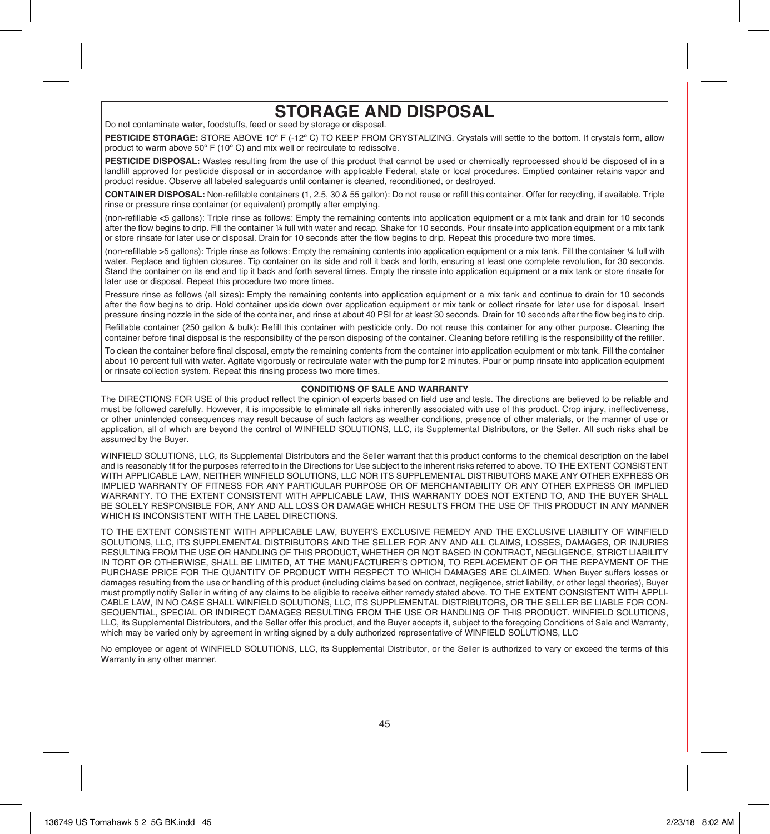# **STORAGE AND DISPOSAL**

Do not contaminate water, foodstuffs, feed or seed by storage or disposal.

**PESTICIDE STORAGE:** STORE ABOVE 10º F (-12º C) TO KEEP FROM CRYSTALIZING. Crystals will settle to the bottom. If crystals form, allow product to warm above 50º F (10º C) and mix well or recirculate to redissolve.

PESTICIDE DISPOSAL: Wastes resulting from the use of this product that cannot be used or chemically reprocessed should be disposed of in a landfill approved for pesticide disposal or in accordance with applicable Federal, state or local procedures. Emptied container retains vapor and product residue. Observe all labeled safeguards until container is cleaned, reconditioned, or destroyed.

**CONTAINER DISPOSAL:** Non-refillable containers (1, 2.5, 30 & 55 gallon): Do not reuse or refill this container. Offer for recycling, if available. Triple rinse or pressure rinse container (or equivalent) promptly after emptying.

(non-refillable <5 gallons): Triple rinse as follows: Empty the remaining contents into application equipment or a mix tank and drain for 10 seconds after the flow begins to drip. Fill the container ¼ full with water and recap. Shake for 10 seconds. Pour rinsate into application equipment or a mix tank or store rinsate for later use or disposal. Drain for 10 seconds after the flow begins to drip. Repeat this procedure two more times.

(non-refillable >5 gallons): Triple rinse as follows: Empty the remaining contents into application equipment or a mix tank. Fill the container ¼ full with water. Replace and tighten closures. Tip container on its side and roll it back and forth, ensuring at least one complete revolution, for 30 seconds. Stand the container on its end and tip it back and forth several times. Empty the rinsate into application equipment or a mix tank or store rinsate for later use or disposal. Repeat this procedure two more times.

Pressure rinse as follows (all sizes): Empty the remaining contents into application equipment or a mix tank and continue to drain for 10 seconds after the flow begins to drip. Hold container upside down over application equipment or mix tank or collect rinsate for later use for disposal. Insert pressure rinsing nozzle in the side of the container, and rinse at about 40 PSI for at least 30 seconds. Drain for 10 seconds after the flow begins to drip.

Refillable container (250 gallon & bulk): Refill this container with pesticide only. Do not reuse this container for any other purpose. Cleaning the container before final disposal is the responsibility of the person disposing of the container. Cleaning before refilling is the responsibility of the refiller.

To clean the container before final disposal, empty the remaining contents from the container into application equipment or mix tank. Fill the container about 10 percent full with water. Agitate vigorously or recirculate water with the pump for 2 minutes. Pour or pump rinsate into application equipment or rinsate collection system. Repeat this rinsing process two more times.

### **CONDITIONS OF SALE AND WARRANTY**

The DIRECTIONS FOR USE of this product reflect the opinion of experts based on field use and tests. The directions are believed to be reliable and must be followed carefully. However, it is impossible to eliminate all risks inherently associated with use of this product. Crop injury, ineffectiveness, or other unintended consequences may result because of such factors as weather conditions, presence of other materials, or the manner of use or application, all of which are beyond the control of WINFIELD SOLUTIONS, LLC, its Supplemental Distributors, or the Seller. All such risks shall be assumed by the Buyer.

WINFIELD SOLUTIONS, LLC, its Supplemental Distributors and the Seller warrant that this product conforms to the chemical description on the label and is reasonably fit for the purposes referred to in the Directions for Use subject to the inherent risks referred to above. TO THE EXTENT CONSISTENT WITH APPLICABLE LAW, NEITHER WINFIELD SOLUTIONS, LLC NOR ITS SUPPLEMENTAL DISTRIBUTORS MAKE ANY OTHER EXPRESS OR IMPLIED WARRANTY OF FITNESS FOR ANY PARTICULAR PURPOSE OR OF MERCHANTABILITY OR ANY OTHER EXPRESS OR IMPLIED WARRANTY. TO THE EXTENT CONSISTENT WITH APPLICABLE LAW, THIS WARRANTY DOES NOT EXTEND TO, AND THE BUYER SHALL BE SOLELY RESPONSIBLE FOR, ANY AND ALL LOSS OR DAMAGE WHICH RESULTS FROM THE USE OF THIS PRODUCT IN ANY MANNER WHICH IS INCONSISTENT WITH THE LABEL DIRECTIONS.

TO THE EXTENT CONSISTENT WITH APPLICABLE LAW, BUYER'S EXCLUSIVE REMEDY AND THE EXCLUSIVE LIABILITY OF WINFIELD SOLUTIONS, LLC, ITS SUPPLEMENTAL DISTRIBUTORS AND THE SELLER FOR ANY AND ALL CLAIMS, LOSSES, DAMAGES, OR INJURIES RESULTING FROM THE USE OR HANDLING OF THIS PRODUCT, WHETHER OR NOT BASED IN CONTRACT, NEGLIGENCE, STRICT LIABILITY IN TORT OR OTHERWISE, SHALL BE LIMITED, AT THE MANUFACTURER'S OPTION, TO REPLACEMENT OF OR THE REPAYMENT OF THE PURCHASE PRICE FOR THE QUANTITY OF PRODUCT WITH RESPECT TO WHICH DAMAGES ARE CLAIMED. When Buyer suffers losses or damages resulting from the use or handling of this product (including claims based on contract, negligence, strict liability, or other legal theories), Buyer must promptly notify Seller in writing of any claims to be eligible to receive either remedy stated above. TO THE EXTENT CONSISTENT WITH APPLI-CABLE LAW, IN NO CASE SHALL WINFIELD SOLUTIONS, LLC, ITS SUPPLEMENTAL DISTRIBUTORS, OR THE SELLER BE LIABLE FOR CON-SEQUENTIAL, SPECIAL OR INDIRECT DAMAGES RESULTING FROM THE USE OR HANDLING OF THIS PRODUCT. WINFIELD SOLUTIONS, LLC, its Supplemental Distributors, and the Seller offer this product, and the Buyer accepts it, subject to the foregoing Conditions of Sale and Warranty, which may be varied only by agreement in writing signed by a duly authorized representative of WINFIELD SOLUTIONS, LLC

No employee or agent of WINFIELD SOLUTIONS, LLC, its Supplemental Distributor, or the Seller is authorized to vary or exceed the terms of this Warranty in any other manner.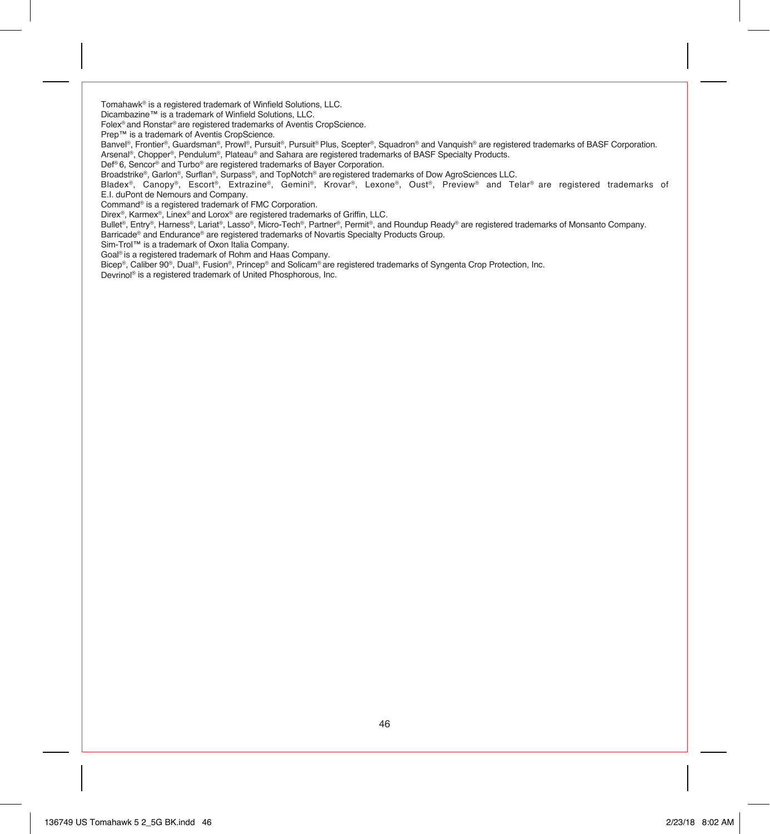Tomahawk® is a registered trademark of Winfield Solutions, LLC.

Dicambazine™ is a trademark of Winfield Solutions, LLC.

Folex® and Ronstar® are registered trademarks of Aventis CropScience.

Prep™ is a trademark of Aventis CropScience.

Banvel®, Frontier®, Guardsman®, Prowl®, Pursuit®, Pursuit® Plus, Scepter®, Squadron® and Vanquish® are registered trademarks of BASF Corporation.

Arsenal®, Chopper®, Pendulum®, Plateau® and Sahara are registered trademarks of BASF Specialty Products.

Def® 6, Sencor® and Turbo® are registered trademarks of Bayer Corporation.

Broadstrike®, Garlon®, Surflan®, Surpass®, and TopNotch® are registered trademarks of Dow AgroSciences LLC.

Bladex®, Canopy®, Escort®, Extrazine®, Gemini®, Krovar®, Lexone®, Oust®, Preview® and Telar® are registered trademarks of E.I. duPont de Nemours and Company.

Command® is a registered trademark of FMC Corporation.

Direx®, Karmex®, Linex® and Lorox® are registered trademarks of Griffin, LLC.

Bullet®, Entry®, Harness®, Lariat®, Lasso®, Micro-Tech®, Partner®, Permit®, and Roundup Ready® are registered trademarks of Monsanto Company.

Barricade® and Endurance® are registered trademarks of Novartis Specialty Products Group.

Sim-Trol™ is a trademark of Oxon Italia Company.

Goal® is a registered trademark of Rohm and Haas Company.

Bicep®, Caliber 90®, Dual®, Fusion®, Princep® and Solicam® are registered trademarks of Syngenta Crop Protection, Inc.

Devrinol® is a registered trademark of United Phosphorous, Inc.